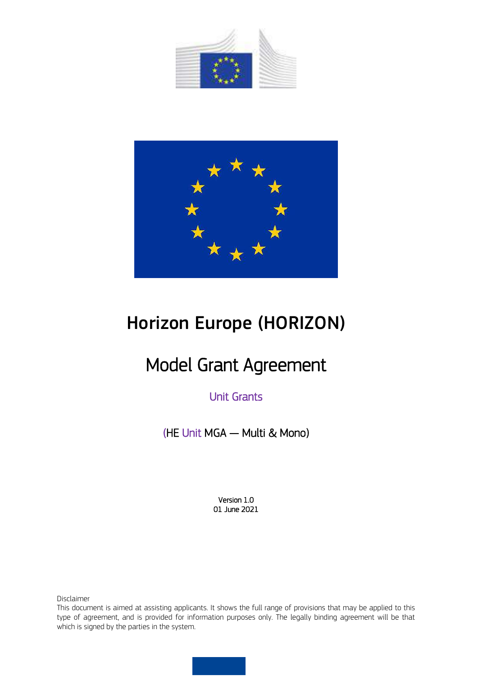



# Horizon Europe (HORIZON)

# Model Grant Agreement

# Unit Grants

(HE Unit MGA — Multi & Mono)

Version 1.0 01 June 2021

Disclaimer

This document is aimed at assisting applicants. It shows the full range of provisions that may be applied to this type of agreement, and is provided for information purposes only. The legally binding agreement will be that which is signed by the parties in the system.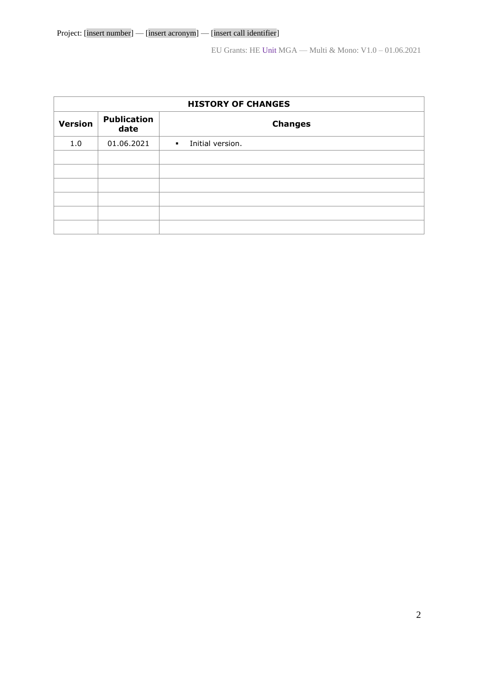| <b>HISTORY OF CHANGES</b> |                            |                                  |  |  |  |  |
|---------------------------|----------------------------|----------------------------------|--|--|--|--|
| <b>Version</b>            | <b>Publication</b><br>date | <b>Changes</b>                   |  |  |  |  |
| 1.0                       | 01.06.2021                 | Initial version.<br>$\mathbf{r}$ |  |  |  |  |
|                           |                            |                                  |  |  |  |  |
|                           |                            |                                  |  |  |  |  |
|                           |                            |                                  |  |  |  |  |
|                           |                            |                                  |  |  |  |  |
|                           |                            |                                  |  |  |  |  |
|                           |                            |                                  |  |  |  |  |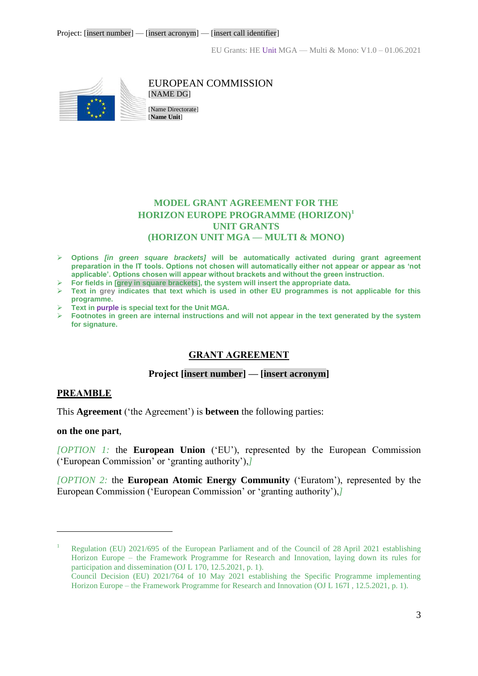

#### EUROPEAN COMMISSION [NAME DG]

[Name Directorate] [**Name Unit**]

# **MODEL GRANT AGREEMENT FOR THE HORIZON EUROPE PROGRAMME (HORIZON)<sup>1</sup> UNIT GRANTS (HORIZON UNIT MGA — MULTI & MONO)**

- **Options** *[in green square brackets]* **will be automatically activated during grant agreement preparation in the IT tools. Options not chosen will automatically either not appear or appear as 'not applicable'. Options chosen will appear without brackets and without the green instruction.**
- **For fields in [grey in square brackets], the system will insert the appropriate data.**
- **Text in grey indicates that text which is used in other EU programmes is not applicable for this programme.**
- **Text in purple is special text for the Unit MGA.**
- **Footnotes in green are internal instructions and will not appear in the text generated by the system for signature.**

# **GRANT AGREEMENT**

#### **Project [insert number] — [insert acronym]**

#### **PREAMBLE**

This **Agreement** ('the Agreement') is **between** the following parties:

#### **on the one part**,

 $\overline{a}$ 

*[OPTION 1:* the **European Union** ('EU'), represented by the European Commission ('European Commission' or 'granting authority'),*]* 

*[OPTION 2:* the **European Atomic Energy Community** ('Euratom'), represented by the European Commission ('European Commission' or 'granting authority'),*]* 

<sup>&</sup>lt;sup>1</sup> Regulation (EU) 2021/695 of the European Parliament and of the Council of 28 April 2021 establishing Horizon Europe – the Framework Programme for Research and Innovation, laying down its rules for participation and dissemination (OJ L 170, 12.5.2021, p. 1).

Council Decision (EU) 2021/764 of 10 May 2021 establishing the Specific Programme implementing Horizon Europe – the Framework Programme for Research and Innovation (OJ L 167I , 12.5.2021, p. 1).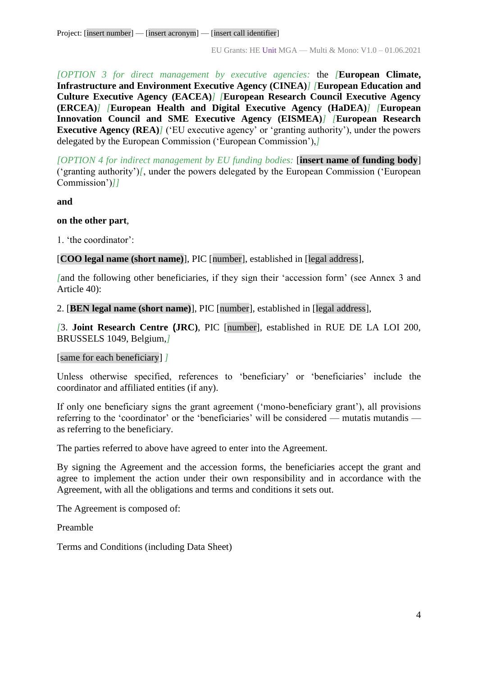Project: [insert number] — [insert acronym] — [insert call identifier]

EU Grants: HE Unit MGA — Multi & Mono: V1.0 – 01.06.2021

*[OPTION 3 for direct management by executive agencies:* the *[***European Climate, Infrastructure and Environment Executive Agency (CINEA)***] [***European Education and Culture Executive Agency (EACEA)***] [***European Research Council Executive Agency (ERCEA)***] [***European Health and Digital Executive Agency (HaDEA)***] [***European Innovation Council and SME Executive Agency (EISMEA)***] [***European Research Executive Agency (REA)<sup>***]* **('EU executive agency' or 'granting authority'), under the powers**</sup> delegated by the European Commission ('European Commission'),*]*

*[OPTION 4 for indirect management by EU funding bodies:* [**insert name of funding body**] ('granting authority')*[*, under the powers delegated by the European Commission ('European Commission')*]]*

**and** 

# **on the other part**,

1. 'the coordinator':

[**COO legal name (short name)**], PIC [number], established in [legal address],

*[*and the following other beneficiaries, if they sign their 'accession form' (see Annex 3 and Article 40):

2. [**BEN legal name (short name)**], PIC [number], established in [legal address],

*[*3. **Joint Research Centre (JRC)**, PIC [number], established in RUE DE LA LOI 200, BRUSSELS 1049, Belgium,*]*

[same for each beneficiary] *]*

Unless otherwise specified, references to 'beneficiary' or 'beneficiaries' include the coordinator and affiliated entities (if any).

If only one beneficiary signs the grant agreement ('mono-beneficiary grant'), all provisions referring to the 'coordinator' or the 'beneficiaries' will be considered — mutatis mutandis as referring to the beneficiary.

The parties referred to above have agreed to enter into the Agreement.

By signing the Agreement and the accession forms, the beneficiaries accept the grant and agree to implement the action under their own responsibility and in accordance with the Agreement, with all the obligations and terms and conditions it sets out.

The Agreement is composed of:

Preamble

Terms and Conditions (including Data Sheet)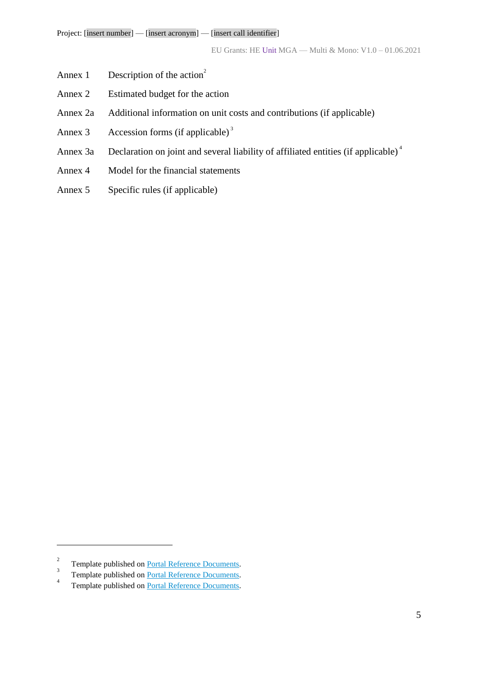- Annex 1 Description of the action<sup>2</sup>
- Annex 2 Estimated budget for the action
- Annex 2a Additional information on unit costs and contributions (if applicable)
- Annex 3 Accession forms (if applicable)<sup>3</sup>
- Annex 3a Declaration on joint and several liability of affiliated entities (if applicable)<sup>4</sup>
- Annex 4 Model for the financial statements
- Annex 5 Specific rules (if applicable)

<sup>2</sup> Template published on [Portal Reference Documents.](https://ec.europa.eu/info/funding-tenders/opportunities/portal/screen/how-to-participate/reference-documents) 3

Template published on [Portal Reference Documents.](https://ec.europa.eu/info/funding-tenders/opportunities/portal/screen/how-to-participate/reference-documents)

<sup>4</sup> Template published on [Portal Reference Documents.](https://ec.europa.eu/info/funding-tenders/opportunities/portal/screen/how-to-participate/reference-documents)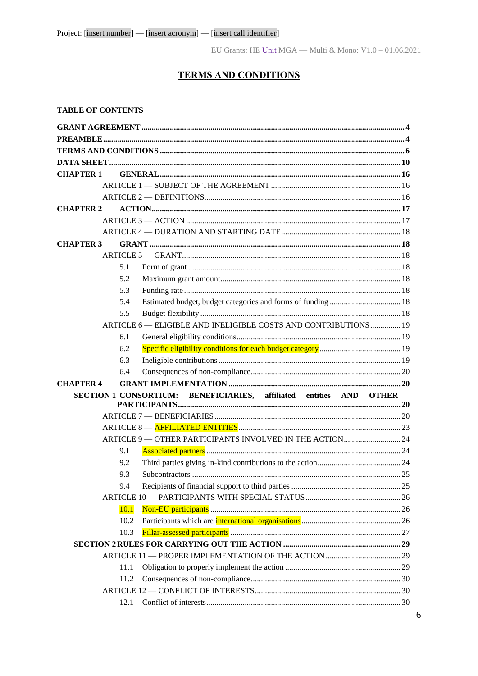# **TERMS AND CONDITIONS**

## <span id="page-5-0"></span>**TABLE OF CONTENTS**

| <b>CHAPTER 1</b> |      |                                                                    |  |
|------------------|------|--------------------------------------------------------------------|--|
|                  |      |                                                                    |  |
|                  |      |                                                                    |  |
| <b>CHAPTER 2</b> |      |                                                                    |  |
|                  |      |                                                                    |  |
|                  |      |                                                                    |  |
| <b>CHAPTER 3</b> |      |                                                                    |  |
|                  |      |                                                                    |  |
|                  | 5.1  |                                                                    |  |
|                  | 5.2  |                                                                    |  |
|                  | 5.3  |                                                                    |  |
|                  | 5.4  |                                                                    |  |
|                  | 5.5  |                                                                    |  |
|                  |      | ARTICLE 6 - ELIGIBLE AND INELIGIBLE COSTS AND CONTRIBUTIONS 19     |  |
|                  | 6.1  |                                                                    |  |
|                  | 6.2  |                                                                    |  |
|                  | 6.3  |                                                                    |  |
|                  | 6.4  |                                                                    |  |
| <b>CHAPTER 4</b> |      |                                                                    |  |
|                  |      | SECTION 1 CONSORTIUM: BENEFICIARIES, affiliated entities AND OTHER |  |
|                  |      |                                                                    |  |
|                  |      |                                                                    |  |
|                  |      |                                                                    |  |
|                  |      |                                                                    |  |
|                  |      | ARTICLE 9 - OTHER PARTICIPANTS INVOLVED IN THE ACTION 24           |  |
|                  | 9.1  |                                                                    |  |
|                  | 9.2  |                                                                    |  |
|                  | 9.3  |                                                                    |  |
|                  | 9.4  |                                                                    |  |
|                  |      |                                                                    |  |
|                  | 10.1 |                                                                    |  |
|                  | 10.2 |                                                                    |  |
|                  | 10.3 |                                                                    |  |
|                  |      |                                                                    |  |
|                  |      |                                                                    |  |
|                  | 11.1 |                                                                    |  |
|                  | 11.2 |                                                                    |  |
|                  |      |                                                                    |  |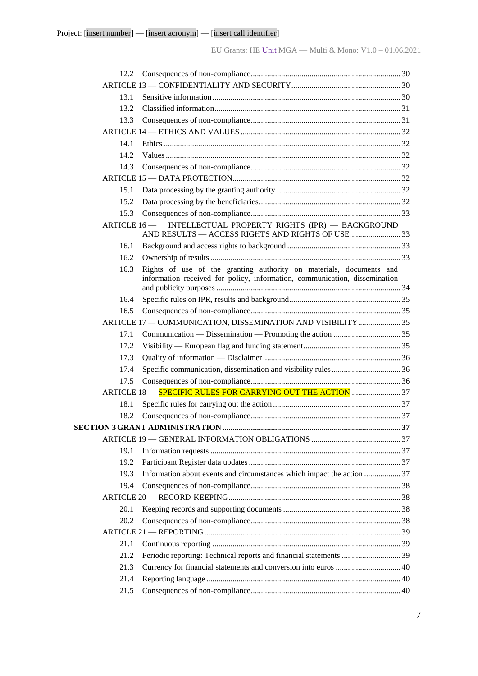| 12.2. |                                                                                                                                                   |  |
|-------|---------------------------------------------------------------------------------------------------------------------------------------------------|--|
|       |                                                                                                                                                   |  |
| 13.1  |                                                                                                                                                   |  |
| 13.2  |                                                                                                                                                   |  |
| 13.3  |                                                                                                                                                   |  |
|       |                                                                                                                                                   |  |
| 14.1  |                                                                                                                                                   |  |
| 14.2. |                                                                                                                                                   |  |
| 14.3  |                                                                                                                                                   |  |
|       |                                                                                                                                                   |  |
| 15.1  |                                                                                                                                                   |  |
| 15.2  |                                                                                                                                                   |  |
| 15.3  |                                                                                                                                                   |  |
|       | ARTICLE 16 - INTELLECTUAL PROPERTY RIGHTS (IPR) - BACKGROUND<br>AND RESULTS - ACCESS RIGHTS AND RIGHTS OF USE33                                   |  |
| 16.1  |                                                                                                                                                   |  |
| 16.2. |                                                                                                                                                   |  |
| 16.3  | Rights of use of the granting authority on materials, documents and<br>information received for policy, information, communication, dissemination |  |
| 16.4  |                                                                                                                                                   |  |
| 16.5  |                                                                                                                                                   |  |
|       | ARTICLE 17 - COMMUNICATION, DISSEMINATION AND VISIBILITY  35                                                                                      |  |
| 17.1  |                                                                                                                                                   |  |
| 17.2  |                                                                                                                                                   |  |
| 17.3  |                                                                                                                                                   |  |
| 17.4  |                                                                                                                                                   |  |
| 17.5  |                                                                                                                                                   |  |
|       | ARTICLE 18 - SPECIFIC RULES FOR CARRYING OUT THE ACTION  37                                                                                       |  |
| 18.1  |                                                                                                                                                   |  |
| 18.2  |                                                                                                                                                   |  |
|       |                                                                                                                                                   |  |
|       |                                                                                                                                                   |  |
| 19.1  |                                                                                                                                                   |  |
| 19.2  |                                                                                                                                                   |  |
| 19.3  | Information about events and circumstances which impact the action  37                                                                            |  |
| 19.4  |                                                                                                                                                   |  |
|       |                                                                                                                                                   |  |
| 20.1  |                                                                                                                                                   |  |
| 20.2  |                                                                                                                                                   |  |
|       |                                                                                                                                                   |  |
| 21.1  |                                                                                                                                                   |  |
| 21.2  | Periodic reporting: Technical reports and financial statements 39                                                                                 |  |
| 21.3  |                                                                                                                                                   |  |
| 21.4  |                                                                                                                                                   |  |
| 21.5  |                                                                                                                                                   |  |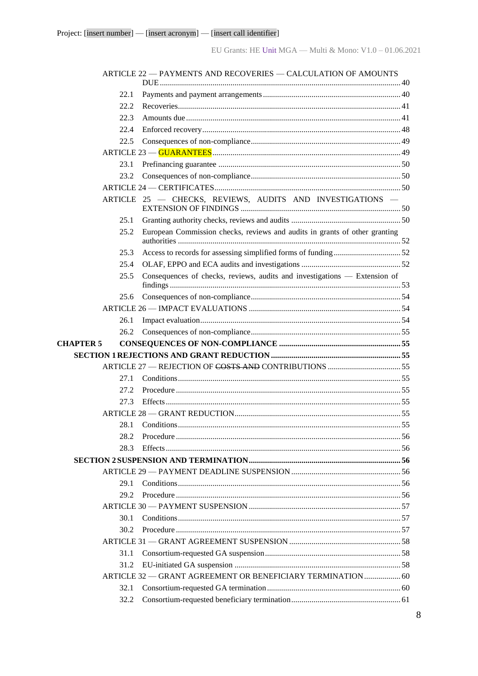|                  | ARTICLE 22 - PAYMENTS AND RECOVERIES - CALCULATION OF AMOUNTS              |
|------------------|----------------------------------------------------------------------------|
|                  |                                                                            |
| 22.1             |                                                                            |
| 22.2             |                                                                            |
| 22.3             |                                                                            |
| 22.4             |                                                                            |
| 22.5             |                                                                            |
|                  |                                                                            |
| 23.1             |                                                                            |
| 23.2             |                                                                            |
|                  |                                                                            |
|                  | ARTICLE 25 - CHECKS, REVIEWS, AUDITS AND INVESTIGATIONS -                  |
| 25.1             |                                                                            |
| 25.2             | European Commission checks, reviews and audits in grants of other granting |
| 25.3             |                                                                            |
| 25.4             |                                                                            |
| 25.5             | Consequences of checks, reviews, audits and investigations - Extension of  |
| 25.6             |                                                                            |
|                  |                                                                            |
| 26.1             |                                                                            |
| 26.2             |                                                                            |
| <b>CHAPTER 5</b> |                                                                            |
|                  |                                                                            |
|                  |                                                                            |
| 27.1             |                                                                            |
| 27.2             |                                                                            |
| 27.3             |                                                                            |
|                  |                                                                            |
| 28.1             |                                                                            |
| 28.2             |                                                                            |
| 28.3             |                                                                            |
|                  |                                                                            |
|                  |                                                                            |
| 29.1             |                                                                            |
| 29.2             |                                                                            |
|                  |                                                                            |
| 30.1             |                                                                            |
| 30.2             |                                                                            |
|                  |                                                                            |
| 31.1             |                                                                            |
| 31.2             |                                                                            |
|                  | ARTICLE 32 - GRANT AGREEMENT OR BENEFICIARY TERMINATION 60                 |
| 32.1             |                                                                            |
| 32.2             |                                                                            |
|                  |                                                                            |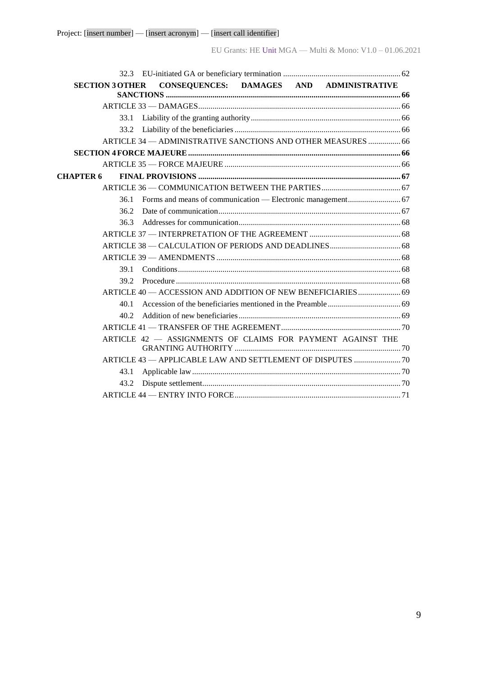| <b>SECTION 3 OTHER</b> | CONSEQUENCES: DAMAGES AND ADMINISTRATIVE                     |  |  |
|------------------------|--------------------------------------------------------------|--|--|
|                        |                                                              |  |  |
|                        |                                                              |  |  |
| 33.1                   |                                                              |  |  |
| 33.2                   |                                                              |  |  |
|                        | ARTICLE 34 - ADMINISTRATIVE SANCTIONS AND OTHER MEASURES  66 |  |  |
|                        |                                                              |  |  |
|                        |                                                              |  |  |
| <b>CHAPTER 6</b>       |                                                              |  |  |
|                        |                                                              |  |  |
| 36.1                   |                                                              |  |  |
| 36.2                   |                                                              |  |  |
| 36.3                   |                                                              |  |  |
|                        |                                                              |  |  |
|                        |                                                              |  |  |
|                        |                                                              |  |  |
| 39.1                   |                                                              |  |  |
| 39.2                   |                                                              |  |  |
|                        | ARTICLE 40 - ACCESSION AND ADDITION OF NEW BENEFICIARIES 69  |  |  |
| 40.1                   |                                                              |  |  |
| 40.2                   |                                                              |  |  |
|                        |                                                              |  |  |
|                        | ARTICLE 42 - ASSIGNMENTS OF CLAIMS FOR PAYMENT AGAINST THE   |  |  |
|                        | ARTICLE 43 - APPLICABLE LAW AND SETTLEMENT OF DISPUTES  70   |  |  |
| 43.1                   |                                                              |  |  |
| 43.2                   |                                                              |  |  |
|                        |                                                              |  |  |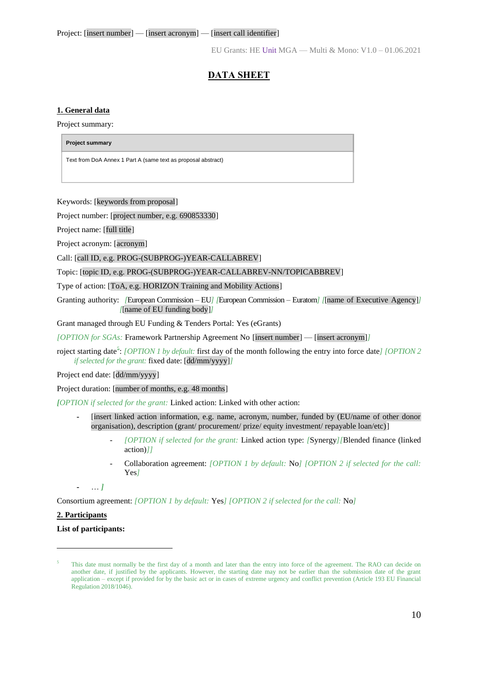# **DATA SHEET**

#### <span id="page-9-0"></span>**1. General data**

Project summary:

**Project summary** 

Text from DoA Annex 1 Part A (same text as proposal abstract)

Keywords: [keywords from proposal]

Project number: [project number, e.g. 690853330]

Project name: [full title]

Project acronym: [acronym]

Call: [call ID, e.g. PROG-(SUBPROG-)YEAR-CALLABREV]

Topic: [topic ID, e.g. PROG-(SUBPROG-)YEAR-CALLABREV-NN/TOPICABBREV]

Type of action: [ToA, e.g. HORIZON Training and Mobility Actions]

Granting authority: *[European Commission – EU] [European Commission – Euratom] [finame of Executive Agency]] [*[name of EU funding body]*]*

Grant managed through EU Funding & Tenders Portal: Yes (eGrants)

*[OPTION for SGAs:* Framework Partnership Agreement No [insert number] — [insert acronym]*]*

roject starting date<sup>5</sup>: *[OPTION 1 by default:* first day of the month following the entry into force date*] [OPTION 2 if selected for the grant:* fixed date: [dd/mm/yyyy]*]*

Project end date: [dd/mm/yyyy]

Project duration: [number of months, e.g. 48 months]

*[OPTION if selected for the grant:* Linked action: Linked with other action:

- **-** [insert linked action information, e.g. name, acronym, number, funded by (EU/name of other donor organisation), description (grant/ procurement/ prize/ equity investment/ repayable loan/etc)]
	- *[OPTION if selected for the grant:* Linked action type: *[*Synergy*][*Blended finance (linked action)*]]*
	- Collaboration agreement: *[OPTION 1 by default:* No*] [OPTION 2 if selected for the call:*  Yes*]*

**-** … *]*

Consortium agreement: *[OPTION 1 by default:* Yes*] [OPTION 2 if selected for the call:* No*]*

#### **2. Participants**

 $\overline{a}$ 

#### **List of participants:**

<sup>5</sup> This date must normally be the first day of a month and later than the entry into force of the agreement. The RAO can decide on another date, if justified by the applicants. However, the starting date may not be earlier than the submission date of the grant application – except if provided for by the basic act or in cases of extreme urgency and conflict prevention (Article 193 EU Financial Regulation 2018/1046).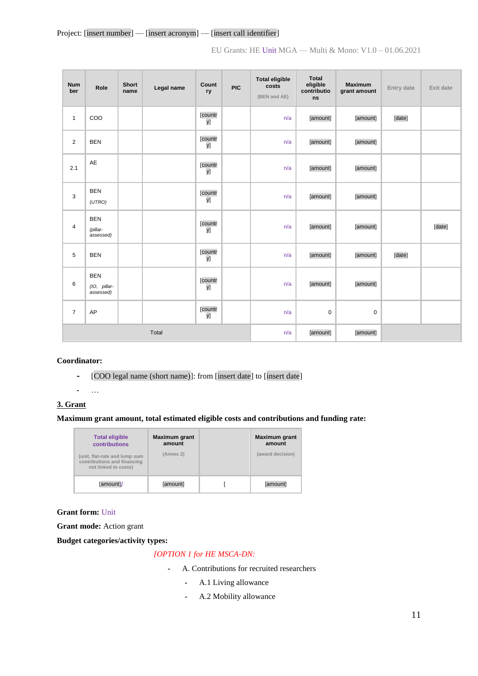| <b>Num</b><br>ber | Role                                    | <b>Short</b><br>name | Legal name | Count<br>ry   | <b>PIC</b> | <b>Total eligible</b><br>costs<br>(BEN and AE) | <b>Total</b><br>eligible<br>contributio<br>ns | <b>Maximum</b><br>grant amount | Entry date | Exit date |
|-------------------|-----------------------------------------|----------------------|------------|---------------|------------|------------------------------------------------|-----------------------------------------------|--------------------------------|------------|-----------|
| $\mathbf{1}$      | COO                                     |                      |            | [countr<br>y] |            | n/a                                            | [amount]                                      | [amount]                       | [date]     |           |
| 2                 | <b>BEN</b>                              |                      |            | [countr<br>y] |            | n/a                                            | [amount]                                      | [amount]                       |            |           |
| 2.1               | AE                                      |                      |            | [countr<br>y] |            | n/a                                            | [amount]                                      | [amount]                       |            |           |
| 3                 | <b>BEN</b><br>(UTRO)                    |                      |            | [countr<br>y] |            | n/a                                            | [amount]                                      | [amount]                       |            |           |
| $\overline{4}$    | <b>BEN</b><br>(pillar-<br>assessed)     |                      |            | [countr<br>y] |            | n/a                                            | [amount]                                      | [amount]                       |            | [date]    |
| 5                 | <b>BEN</b>                              |                      |            | [countr<br>y] |            | n/a                                            | [amount]                                      | [amount]                       | [date]     |           |
| 6                 | <b>BEN</b><br>(IO, pillar-<br>assessed) |                      |            | [countr<br>y] |            | n/a                                            | [amount]                                      | [amount]                       |            |           |
| $\overline{7}$    | AP                                      |                      |            | [countr<br>y] |            | n/a                                            | $\pmb{0}$                                     | $\mathbf 0$                    |            |           |
|                   |                                         |                      | Total      |               |            | n/a                                            | [amount]                                      | [amount]                       |            |           |

#### **Coordinator:**

**-** [COO legal name (short name)]: from [insert date] to [insert date]

**-** …

#### **3. Grant**

#### **Maximum grant amount, total estimated eligible costs and contributions and funding rate:**

| <b>Total eligible</b><br>contributions                                               | <b>Maximum grant</b><br>amount | <b>Maximum</b> grant<br>amount |                  |  |
|--------------------------------------------------------------------------------------|--------------------------------|--------------------------------|------------------|--|
| (unit, flat-rate and lump sum<br>contributions and financing<br>not linked to costs) | (Annex 2)                      |                                | (award decision) |  |
| [amount]]                                                                            | [amount]                       |                                | [amount]         |  |

**Grant form:** Unit

**Grant mode:** Action grant

**Budget categories/activity types:**

#### *[OPTION 1 for HE MSCA-DN:*

- **-** A. Contributions for recruited researchers
	- **-** A.1 Living allowance
	- **-** A.2 Mobility allowance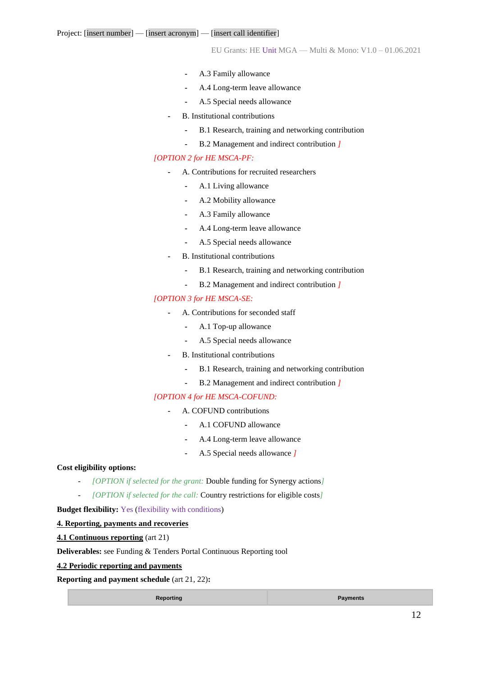- **-** A.3 Family allowance
- **-** A.4 Long-term leave allowance
- **-** A.5 Special needs allowance
- **-** B. Institutional contributions
	- **-** B.1 Research, training and networking contribution
	- **-** B.2 Management and indirect contribution *]*

#### *[OPTION 2 for HE MSCA-PF:*

- **-** A. Contributions for recruited researchers
	- **-** A.1 Living allowance
	- **-** A.2 Mobility allowance
	- **-** A.3 Family allowance
	- **-** A.4 Long-term leave allowance
	- **-** A.5 Special needs allowance
- **-** B. Institutional contributions
	- **-** B.1 Research, training and networking contribution
	- **-** B.2 Management and indirect contribution *]*

#### *[OPTION 3 for HE MSCA-SE:*

- **-** A. Contributions for seconded staff
	- **-** A.1 Top-up allowance
	- **-** A.5 Special needs allowance
- **-** B. Institutional contributions
	- **-** B.1 Research, training and networking contribution
	- **-** B.2 Management and indirect contribution *]*

#### *[OPTION 4 for HE MSCA-COFUND:*

- **-** A. COFUND contributions
	- **-** A.1 COFUND allowance
	- **-** A.4 Long-term leave allowance
	- **-** A.5 Special needs allowance *]*

#### **Cost eligibility options:**

- *[OPTION if selected for the grant:* Double funding for Synergy actions*]*
- *[OPTION if selected for the call:* Country restrictions for eligible costs*]*

**Budget flexibility:** Yes (flexibility with conditions)

#### **4. Reporting, payments and recoveries**

**4.1 Continuous reporting** (art 21)

**Deliverables:** see Funding & Tenders Portal Continuous Reporting tool

#### **4.2 Periodic reporting and payments**

**Reporting and payment schedule** (art 21, 22)**:**

**Reporting Payments**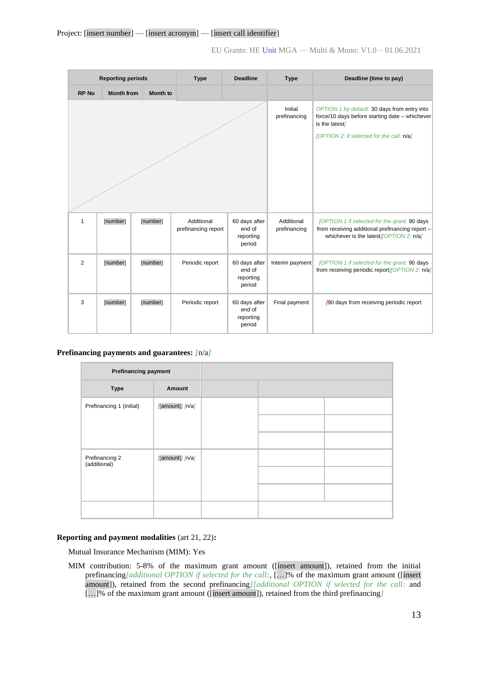### Project: [insert number] — [insert acronym] — [insert call identifier]

EU Grants: HE Unit MGA — Multi & Mono: V1.0 – 01.06.2021

| <b>Reporting periods</b> |                   |          | <b>Type</b>                       | <b>Deadline</b>                                | <b>Type</b>                | Deadline (time to pay)                                                                                                                                        |
|--------------------------|-------------------|----------|-----------------------------------|------------------------------------------------|----------------------------|---------------------------------------------------------------------------------------------------------------------------------------------------------------|
| <b>RP No</b>             | <b>Month from</b> | Month to |                                   |                                                |                            |                                                                                                                                                               |
|                          |                   |          |                                   |                                                | Initial<br>prefinancing    | OPTION 1 by default: 30 days from entry into<br>force/10 days before starting date - whichever<br>is the latest]<br>[OPTION 2: if selected for the call: n/a] |
|                          |                   |          |                                   |                                                |                            |                                                                                                                                                               |
| 1                        | [number]          | [number] | Additional<br>prefinancing report | 60 days after<br>end of<br>reporting<br>period | Additional<br>prefinancing | [OPTION 1 if selected for the grant: 90 days<br>from receiving additional prefinancing report -<br>whichever is the latest <i>[OPTION 2: n/a]</i>             |
| $\overline{2}$           | [number]          | [number] | Periodic report                   | 60 days after<br>end of<br>reporting<br>period | Interim payment            | [OPTION 1 if selected for the grant: 90 days<br>from receiving periodic report //OPT/ON 2: n/a/                                                               |
| 3                        | [number]          | [number] | Periodic report                   | 60 days after<br>end of<br>reporting<br>period | Final payment              | 490 days from receiving periodic report                                                                                                                       |

#### **Prefinancing payments and guarantees:** *[*n/a*]*

| <b>Prefinancing payment</b>    |                 |  |  |
|--------------------------------|-----------------|--|--|
| <b>Type</b>                    | Amount          |  |  |
| Prefinancing 1 (initial)       | [amount]] [n/a] |  |  |
|                                |                 |  |  |
|                                |                 |  |  |
| Prefinancing 2<br>(additional) | [amount]] [n/a] |  |  |
|                                |                 |  |  |
|                                |                 |  |  |
|                                |                 |  |  |

#### **Reporting and payment modalities** (art 21, 22)**:**

Mutual Insurance Mechanism (MIM): Yes

MIM contribution: 5-8% of the maximum grant amount ([insert amount]), retained from the initial prefinancing*[additional OPTION if selected for the call:*, […]% of the maximum grant amount ([insert amount]), retained from the second prefinancing*][additional OPTION if selected for the call:* and […]% of the maximum grant amount ([insert amount]), retained from the third prefinancing*]*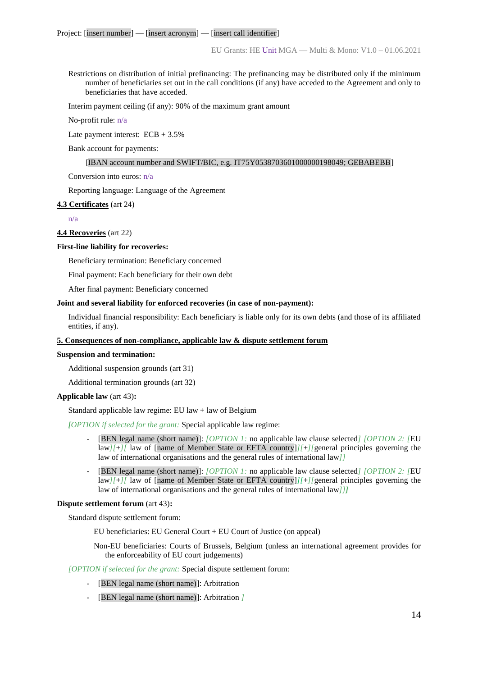Restrictions on distribution of initial prefinancing: The prefinancing may be distributed only if the minimum number of beneficiaries set out in the call conditions (if any) have acceded to the Agreement and only to beneficiaries that have acceded.

Interim payment ceiling (if any): 90% of the maximum grant amount

No-profit rule: n/a

Late payment interest:  $ECB + 3.5\%$ 

Bank account for payments:

#### [IBAN account number and SWIFT/BIC, e.g. IT75Y0538703601000000198049; GEBABEBB]

Conversion into euros: n/a

Reporting language: Language of the Agreement

#### **4.3 Certificates** (art 24)

n/a

**4.4 Recoveries** (art 22)

#### **First-line liability for recoveries:**

Beneficiary termination: Beneficiary concerned

Final payment: Each beneficiary for their own debt

After final payment: Beneficiary concerned

#### **Joint and several liability for enforced recoveries (in case of non-payment):**

Individual financial responsibility: Each beneficiary is liable only for its own debts (and those of its affiliated entities, if any).

#### **5. Consequences of non-compliance, applicable law & dispute settlement forum**

#### **Suspension and termination:**

Additional suspension grounds (art 31)

Additional termination grounds (art 32)

#### **Applicable law** (art 43)**:**

Standard applicable law regime:  $EU$  law  $+$  law of Belgium

#### *[OPTION if selected for the grant:* Special applicable law regime:

- [BEN legal name (short name)]: *[OPTION 1:* no applicable law clause selected*] [OPTION 2: [*EU law*][*+*][* law of [name of Member State or EFTA country]*][*+*][*general principles governing the law of international organisations and the general rules of international law*]]*
- [BEN legal name (short name)]: *[OPTION 1:* no applicable law clause selected*] [OPTION 2: [*EU law*][*+*][* law of [name of Member State or EFTA country]*][*+*][*general principles governing the law of international organisations and the general rules of international law*]]]*

#### **Dispute settlement forum** (art 43)**:**

Standard dispute settlement forum:

EU beneficiaries: EU General Court + EU Court of Justice (on appeal)

Non-EU beneficiaries: Courts of Brussels, Belgium (unless an international agreement provides for the enforceability of EU court judgements)

#### *[OPTION if selected for the grant:* Special dispute settlement forum:

- [BEN legal name (short name)]: Arbitration
- [BEN legal name (short name)]: Arbitration *]*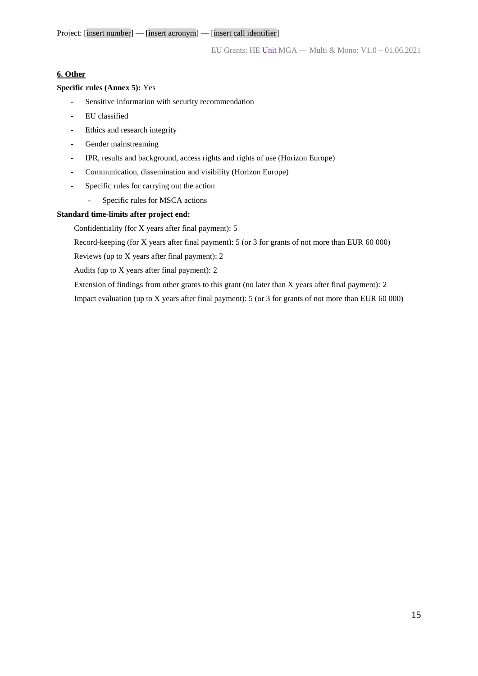#### **6. Other**

#### **Specific rules (Annex 5):** Yes

- **-** Sensitive information with security recommendation
- **-** EU classified
- **-** Ethics and research integrity
- **-** Gender mainstreaming
- **-** IPR, results and background, access rights and rights of use (Horizon Europe)
- **-** Communication, dissemination and visibility (Horizon Europe)
- **-** Specific rules for carrying out the action
	- Specific rules for MSCA actions

#### **Standard time-limits after project end:**

Confidentiality (for X years after final payment): 5

Record-keeping (for X years after final payment): 5 (or 3 for grants of not more than EUR 60 000)

Reviews (up to X years after final payment): 2

Audits (up to X years after final payment): 2

Extension of findings from other grants to this grant (no later than X years after final payment): 2

Impact evaluation (up to X years after final payment): 5 (or 3 for grants of not more than EUR 60 000)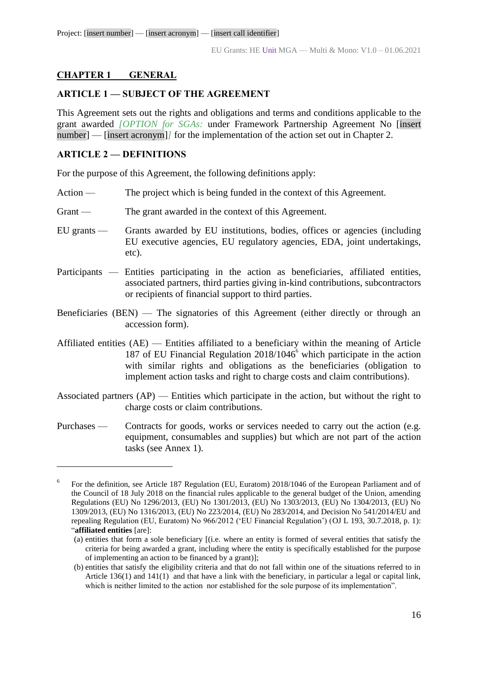# <span id="page-15-0"></span>**CHAPTER 1 GENERAL**

# <span id="page-15-1"></span>**ARTICLE 1 — SUBJECT OF THE AGREEMENT**

This Agreement sets out the rights and obligations and terms and conditions applicable to the grant awarded *[OPTION for SGAs:* under Framework Partnership Agreement No [insert number] — [insert acronym]/ for the implementation of the action set out in Chapter 2.

# <span id="page-15-2"></span>**ARTICLE 2 — DEFINITIONS**

 $\overline{a}$ 

For the purpose of this Agreement, the following definitions apply:

- Action The project which is being funded in the context of this Agreement.
- Grant The grant awarded in the context of this Agreement.
- EU grants Grants awarded by EU institutions, bodies, offices or agencies (including EU executive agencies, EU regulatory agencies, EDA, joint undertakings, etc).
- Participants Entities participating in the action as beneficiaries, affiliated entities, associated partners, third parties giving in-kind contributions, subcontractors or recipients of financial support to third parties.
- Beneficiaries (BEN) The signatories of this Agreement (either directly or through an accession form).
- Affiliated entities (AE) Entities affiliated to a beneficiary within the meaning of Article 187 of EU Financial Regulation  $2018/1046^{\circ}$  which participate in the action with similar rights and obligations as the beneficiaries (obligation to implement action tasks and right to charge costs and claim contributions).
- Associated partners (AP) Entities which participate in the action, but without the right to charge costs or claim contributions.
- Purchases Contracts for goods, works or services needed to carry out the action (e.g. equipment, consumables and supplies) but which are not part of the action tasks (see Annex 1).

<sup>6</sup> For the definition, see Article 187 Regulation (EU, Euratom) 2018/1046 of the European Parliament and of the Council of 18 July 2018 on the financial rules applicable to the general budget of the Union, amending Regulations (EU) No 1296/2013, (EU) No 1301/2013, (EU) No 1303/2013, (EU) No 1304/2013, (EU) No 1309/2013, (EU) No 1316/2013, (EU) No 223/2014, (EU) No 283/2014, and Decision No 541/2014/EU and repealing Regulation (EU, Euratom) No 966/2012 ('EU Financial Regulation') (OJ L 193, 30.7.2018, p. 1): "**affiliated entities** [are]:

<sup>(</sup>a) entities that form a sole beneficiary [(i.e. where an entity is formed of several entities that satisfy the criteria for being awarded a grant, including where the entity is specifically established for the purpose of implementing an action to be financed by a grant)];

<sup>(</sup>b) entities that satisfy the eligibility criteria and that do not fall within one of the situations referred to in Article 136(1) and 141(1) and that have a link with the beneficiary, in particular a legal or capital link, which is neither limited to the action nor established for the sole purpose of its implementation".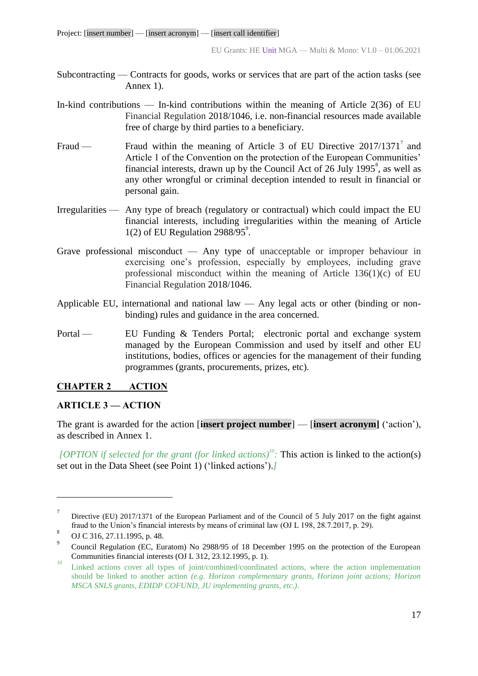- Subcontracting Contracts for goods, works or services that are part of the action tasks (see Annex 1).
- In-kind contributions In-kind contributions within the meaning of Article 2(36) of EU Financial Regulation 2018/1046, i.e. non-financial resources made available free of charge by third parties to a beneficiary.
- Fraud Fraud within the meaning of Article 3 of EU Directive  $2017/1371^7$  and Article 1 of the Convention on the protection of the European Communities' financial interests, drawn up by the Council Act of 26 July 1995 $^8$ , as well as any other wrongful or criminal deception intended to result in financial or personal gain.
- Irregularities Any type of breach (regulatory or contractual) which could impact the EU financial interests, including irregularities within the meaning of Article  $1(2)$  of EU Regulation 2988/95 $^{\circ}$ .
- Grave professional misconduct Any type of unacceptable or improper behaviour in exercising one's profession, especially by employees, including grave professional misconduct within the meaning of Article 136(1)(c) of EU Financial Regulation 2018/1046.
- Applicable EU, international and national law Any legal acts or other (binding or nonbinding) rules and guidance in the area concerned.
- Portal EU Funding & Tenders Portal; electronic portal and exchange system managed by the European Commission and used by itself and other EU institutions, bodies, offices or agencies for the management of their funding programmes (grants, procurements, prizes, etc).

# <span id="page-16-0"></span>**CHAPTER 2 ACTION**

## <span id="page-16-1"></span>**ARTICLE 3 — ACTION**

The grant is awarded for the action [**insert project number**] — [**insert acronym]** ('action'), as described in Annex 1.

*[OPTION if selected for the grant (for linked actions)<sup>10</sup>: This action is linked to the action(s)* set out in the Data Sheet (see Point 1) ('linked actions').*]*

<sup>7</sup> Directive (EU) 2017/1371 of the European Parliament and of the Council of 5 July 2017 on the fight against fraud to the Union's financial interests by means of criminal law (OJ L 198, 28.7.2017, p. 29).

<sup>8</sup> OJ C 316, 27.11.1995, p. 48.

<sup>9</sup> Council Regulation (EC, Euratom) No 2988/95 of 18 December 1995 on the protection of the European Communities financial interests (OJ L 312, 23.12.1995, p. 1).

<sup>&</sup>lt;sup>10</sup> Linked actions cover all types of joint/combined/coordinated actions, where the action implementation should be linked to another action *(e.g. Horizon complementary grants, Horizon joint actions; Horizon MSCA SNLS grants, EDIDP COFUND, JU implementing grants, etc.)*.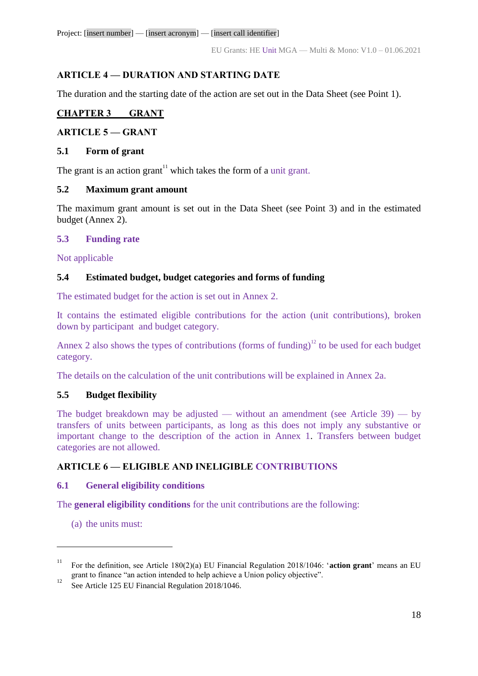Project: [insert number] — [insert acronym] — [insert call identifier]

# <span id="page-17-0"></span>**ARTICLE 4 — DURATION AND STARTING DATE**

The duration and the starting date of the action are set out in the Data Sheet (see Point 1).

# <span id="page-17-1"></span>**CHAPTER 3 GRANT**

# <span id="page-17-2"></span>**ARTICLE 5 — GRANT**

# <span id="page-17-3"></span>**5.1 Form of grant**

The grant is an action grant<sup>11</sup> which takes the form of a unit grant.

# <span id="page-17-4"></span>**5.2 Maximum grant amount**

The maximum grant amount is set out in the Data Sheet (see Point 3) and in the estimated budget (Annex 2).

# <span id="page-17-5"></span>**5.3 Funding rate**

Not applicable

# <span id="page-17-6"></span>**5.4 Estimated budget, budget categories and forms of funding**

The estimated budget for the action is set out in Annex 2.

It contains the estimated eligible contributions for the action (unit contributions), broken down by participant and budget category.

Annex 2 also shows the types of contributions (forms of funding)<sup>12</sup> to be used for each budget category.

The details on the calculation of the unit contributions will be explained in Annex 2a.

# **5.5 Budget flexibility**

The budget breakdown may be adjusted — without an amendment (see Article  $39$ ) — by transfers of units between participants, as long as this does not imply any substantive or important change to the description of the action in Annex 1. Transfers between budget categories are not allowed.

# **ARTICLE 6 — ELIGIBLE AND INELIGIBLE CONTRIBUTIONS**

# **6.1 General eligibility conditions**

The **general eligibility conditions** for the unit contributions are the following:

(a) the units must:

<sup>11</sup> For the definition, see Article 180(2)(a) EU Financial Regulation 2018/1046: '**action grant**' means an EU grant to finance "an action intended to help achieve a Union policy objective".

<sup>&</sup>lt;sup>12</sup> See Article 125 EU Financial Regulation 2018/1046.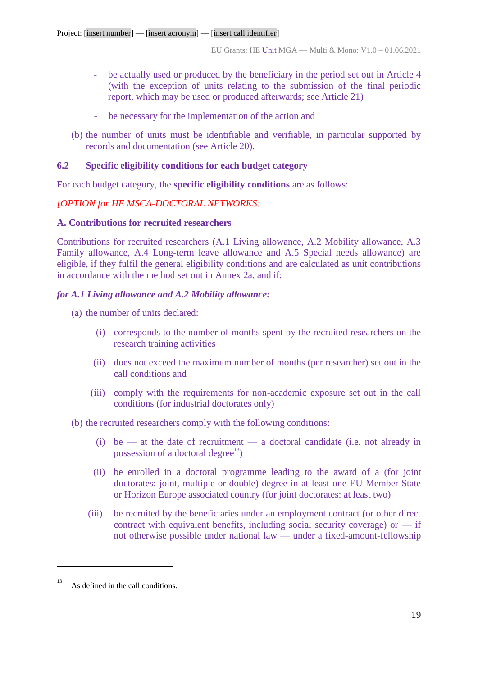- be actually used or produced by the beneficiary in the period set out in Article 4 (with the exception of units relating to the submission of the final periodic report, which may be used or produced afterwards; see Article 21)
- be necessary for the implementation of the action and
- (b) the number of units must be identifiable and verifiable, in particular supported by records and documentation (see Article 20).

## **6.2 Specific eligibility conditions for each budget category**

For each budget category, the **specific eligibility conditions** are as follows:

# *[OPTION for HE MSCA-DOCTORAL NETWORKS:*

## **A. Contributions for recruited researchers**

Contributions for recruited researchers (A.1 Living allowance, A.2 Mobility allowance, A.3 Family allowance, A.4 Long-term leave allowance and A.5 Special needs allowance) are eligible, if they fulfil the general eligibility conditions and are calculated as unit contributions in accordance with the method set out in Annex 2a, and if:

# *for A.1 Living allowance and A.2 Mobility allowance:*

- (a) the number of units declared:
	- (i) corresponds to the number of months spent by the recruited researchers on the research training activities
	- (ii) does not exceed the maximum number of months (per researcher) set out in the call conditions and
	- (iii) comply with the requirements for non-academic exposure set out in the call conditions (for industrial doctorates only)

(b) the recruited researchers comply with the following conditions:

- (i) be at the date of recruitment a doctoral candidate (i.e. not already in possession of a doctoral degree<sup>13</sup>)
- (ii) be enrolled in a doctoral programme leading to the award of a (for joint doctorates: joint, multiple or double) degree in at least one EU Member State or Horizon Europe associated country (for joint doctorates: at least two)
- (iii) be recruited by the beneficiaries under an employment contract (or other direct contract with equivalent benefits, including social security coverage) or  $-$  if not otherwise possible under national law — under a fixed-amount-fellowship

As defined in the call conditions.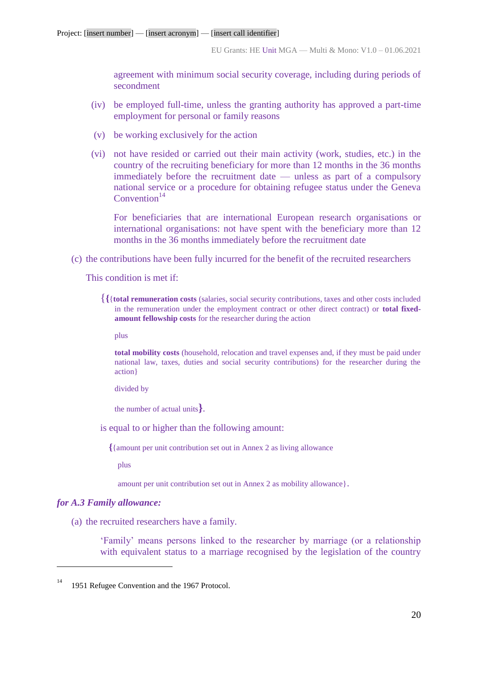agreement with minimum social security coverage, including during periods of secondment

- (iv) be employed full-time, unless the granting authority has approved a part-time employment for personal or family reasons
- (v) be working exclusively for the action
- (vi) not have resided or carried out their main activity (work, studies, etc.) in the country of the recruiting beneficiary for more than 12 months in the 36 months immediately before the recruitment date — unless as part of a compulsory national service or a procedure for obtaining refugee status under the Geneva  $Convention<sup>14</sup>$

For beneficiaries that are international European research organisations or international organisations: not have spent with the beneficiary more than 12 months in the 36 months immediately before the recruitment date

(c) the contributions have been fully incurred for the benefit of the recruited researchers

This condition is met if:

{**{**{**total remuneration costs** (salaries, social security contributions, taxes and other costs included in the remuneration under the employment contract or other direct contract) or **total fixedamount fellowship costs** for the researcher during the action

plus

**total mobility costs** (household, relocation and travel expenses and, if they must be paid under national law, taxes, duties and social security contributions) for the researcher during the action}

divided by

the number of actual units**}**.

is equal to or higher than the following amount:

**{**{amount per unit contribution set out in Annex 2 as living allowance

plus

amount per unit contribution set out in Annex 2 as mobility allowance}.

#### *for A.3 Family allowance:*

 $\overline{a}$ 

(a) the recruited researchers have a family.

'Family' means persons linked to the researcher by marriage (or a relationship with equivalent status to a marriage recognised by the legislation of the country

<sup>&</sup>lt;sup>14</sup> 1951 Refugee Convention and the 1967 Protocol.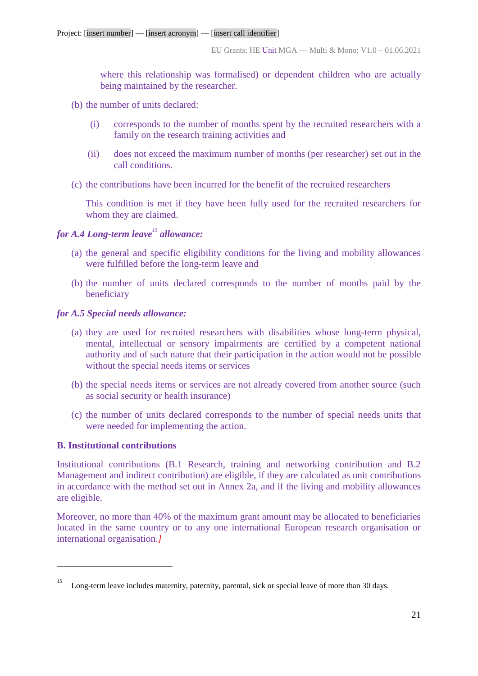where this relationship was formalised) or dependent children who are actually being maintained by the researcher.

- (b) the number of units declared:
	- (i) corresponds to the number of months spent by the recruited researchers with a family on the research training activities and
	- (ii) does not exceed the maximum number of months (per researcher) set out in the call conditions.
- (c) the contributions have been incurred for the benefit of the recruited researchers

This condition is met if they have been fully used for the recruited researchers for whom they are claimed.

# *for A.4 Long-term leave<sup>15</sup> allowance:*

- (a) the general and specific eligibility conditions for the living and mobility allowances were fulfilled before the long-term leave and
- (b) the number of units declared corresponds to the number of months paid by the beneficiary

## *for A.5 Special needs allowance:*

- (a) they are used for recruited researchers with disabilities whose long-term physical, mental, intellectual or sensory impairments are certified by a competent national authority and of such nature that their participation in the action would not be possible without the special needs items or services
- (b) the special needs items or services are not already covered from another source (such as social security or health insurance)
- (c) the number of units declared corresponds to the number of special needs units that were needed for implementing the action.

# **B. Institutional contributions**

 $\overline{a}$ 

Institutional contributions (B.1 Research, training and networking contribution and B.2 Management and indirect contribution) are eligible, if they are calculated as unit contributions in accordance with the method set out in Annex 2a, and if the living and mobility allowances are eligible.

Moreover, no more than 40% of the maximum grant amount may be allocated to beneficiaries located in the same country or to any one international European research organisation or international organisation.*]*

Long-term leave includes maternity, paternity, parental, sick or special leave of more than 30 days.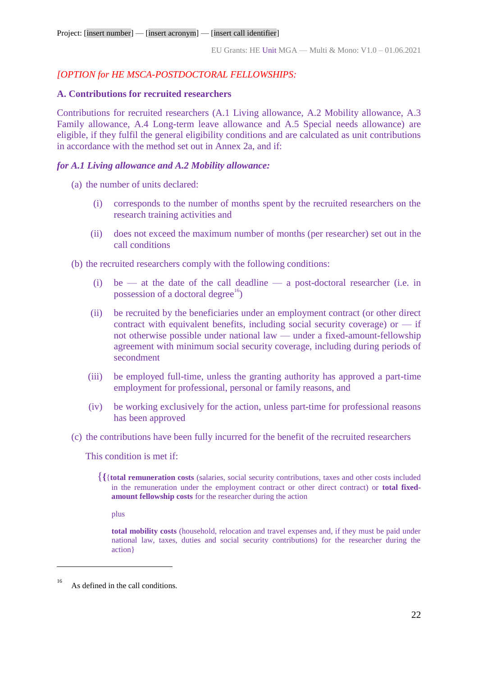## *[OPTION for HE MSCA-POSTDOCTORAL FELLOWSHIPS:*

## **A. Contributions for recruited researchers**

Contributions for recruited researchers (A.1 Living allowance, A.2 Mobility allowance, A.3 Family allowance, A.4 Long-term leave allowance and A.5 Special needs allowance) are eligible, if they fulfil the general eligibility conditions and are calculated as unit contributions in accordance with the method set out in Annex 2a, and if:

## *for A.1 Living allowance and A.2 Mobility allowance:*

(a) the number of units declared:

- (i) corresponds to the number of months spent by the recruited researchers on the research training activities and
- (ii) does not exceed the maximum number of months (per researcher) set out in the call conditions

(b) the recruited researchers comply with the following conditions:

- (i) be at the date of the call deadline a post-doctoral researcher (i.e. in possession of a doctoral degree<sup>16</sup>)
- (ii) be recruited by the beneficiaries under an employment contract (or other direct contract with equivalent benefits, including social security coverage) or  $-$  if not otherwise possible under national law — under a fixed-amount-fellowship agreement with minimum social security coverage, including during periods of secondment
- (iii) be employed full-time, unless the granting authority has approved a part-time employment for professional, personal or family reasons, and
- (iv) be working exclusively for the action, unless part-time for professional reasons has been approved
- (c) the contributions have been fully incurred for the benefit of the recruited researchers

This condition is met if:

{**{**{**total remuneration costs** (salaries, social security contributions, taxes and other costs included in the remuneration under the employment contract or other direct contract) or **total fixedamount fellowship costs** for the researcher during the action

plus

**total mobility costs** (household, relocation and travel expenses and, if they must be paid under national law, taxes, duties and social security contributions) for the researcher during the action}

As defined in the call conditions.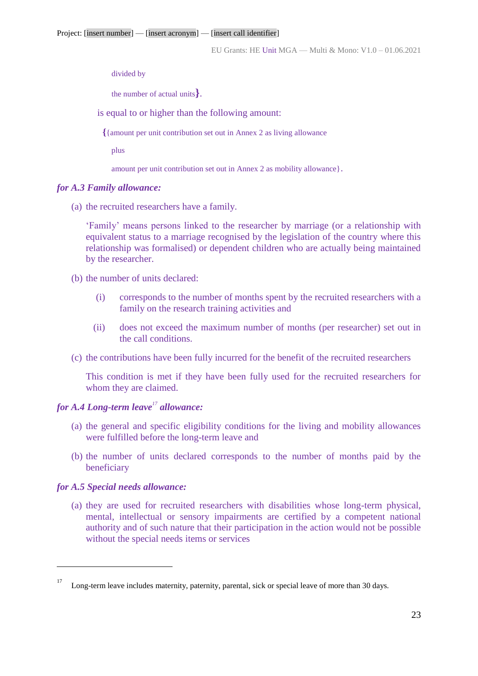divided by

the number of actual units**}**.

is equal to or higher than the following amount:

**{**{amount per unit contribution set out in Annex 2 as living allowance

plus

amount per unit contribution set out in Annex 2 as mobility allowance}.

#### *for A.3 Family allowance:*

(a) the recruited researchers have a family.

'Family' means persons linked to the researcher by marriage (or a relationship with equivalent status to a marriage recognised by the legislation of the country where this relationship was formalised) or dependent children who are actually being maintained by the researcher.

- (b) the number of units declared:
	- (i) corresponds to the number of months spent by the recruited researchers with a family on the research training activities and
	- (ii) does not exceed the maximum number of months (per researcher) set out in the call conditions.
- (c) the contributions have been fully incurred for the benefit of the recruited researchers

This condition is met if they have been fully used for the recruited researchers for whom they are claimed.

# *for A.4 Long-term leave<sup>17</sup> allowance:*

- (a) the general and specific eligibility conditions for the living and mobility allowances were fulfilled before the long-term leave and
- (b) the number of units declared corresponds to the number of months paid by the beneficiary

## *for A.5 Special needs allowance:*

 $\overline{a}$ 

(a) they are used for recruited researchers with disabilities whose long-term physical, mental, intellectual or sensory impairments are certified by a competent national authority and of such nature that their participation in the action would not be possible without the special needs items or services

Long-term leave includes maternity, paternity, parental, sick or special leave of more than 30 days.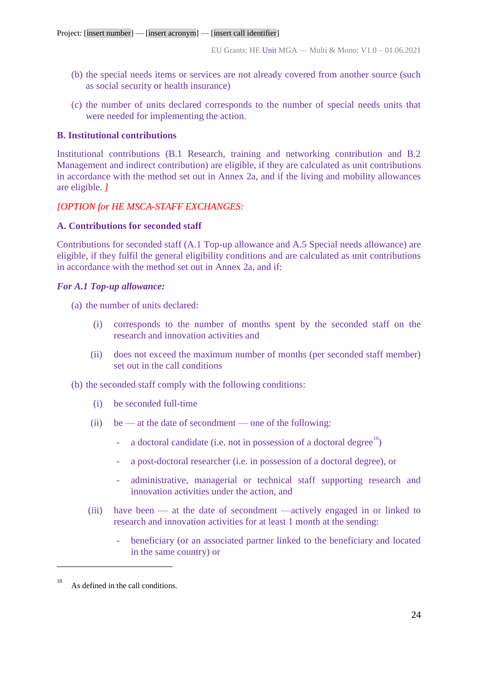- (b) the special needs items or services are not already covered from another source (such as social security or health insurance)
- (c) the number of units declared corresponds to the number of special needs units that were needed for implementing the action.

### **B. Institutional contributions**

Institutional contributions (B.1 Research, training and networking contribution and B.2 Management and indirect contribution) are eligible, if they are calculated as unit contributions in accordance with the method set out in Annex 2a, and if the living and mobility allowances are eligible. *]*

## *[OPTION for HE MSCA-STAFF EXCHANGES:*

## **A. Contributions for seconded staff**

Contributions for seconded staff (A.1 Top-up allowance and A.5 Special needs allowance) are eligible, if they fulfil the general eligibility conditions and are calculated as unit contributions in accordance with the method set out in Annex 2a, and if:

#### *For A.1 Top-up allowance:*

- (a) the number of units declared:
	- (i) corresponds to the number of months spent by the seconded staff on the research and innovation activities and
	- (ii) does not exceed the maximum number of months (per seconded staff member) set out in the call conditions
- (b) the seconded staff comply with the following conditions:
	- (i) be seconded full-time
	- (ii) be at the date of secondment one of the following:
		- a doctoral candidate (i.e. not in possession of a doctoral degree $\frac{18}{2}$ )
		- a post-doctoral researcher (i.e. in possession of a doctoral degree), or
		- administrative, managerial or technical staff supporting research and innovation activities under the action, and
	- (iii) have been at the date of secondment —actively engaged in or linked to research and innovation activities for at least 1 month at the sending:
		- beneficiary (or an associated partner linked to the beneficiary and located in the same country) or

As defined in the call conditions.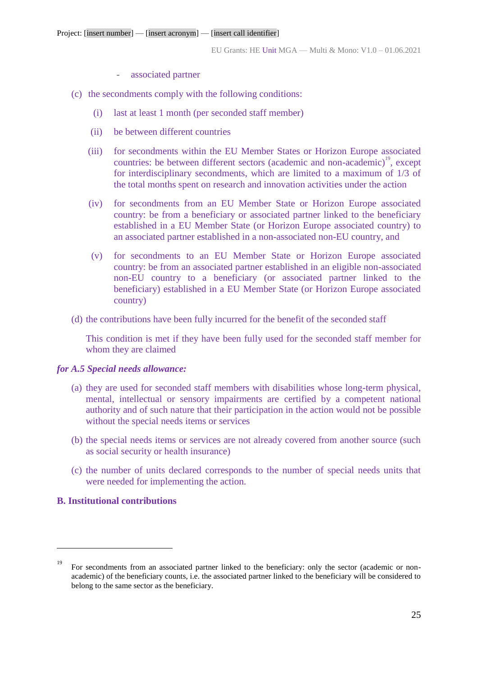- associated partner
- (c) the secondments comply with the following conditions:
	- (i) last at least 1 month (per seconded staff member)
	- (ii) be between different countries
	- (iii) for secondments within the EU Member States or Horizon Europe associated countries: be between different sectors (academic and non-academic)<sup>19</sup>, except for interdisciplinary secondments, which are limited to a maximum of 1/3 of the total months spent on research and innovation activities under the action
	- (iv) for secondments from an EU Member State or Horizon Europe associated country: be from a beneficiary or associated partner linked to the beneficiary established in a EU Member State (or Horizon Europe associated country) to an associated partner established in a non-associated non-EU country, and
	- (v) for secondments to an EU Member State or Horizon Europe associated country: be from an associated partner established in an eligible non-associated non-EU country to a beneficiary (or associated partner linked to the beneficiary) established in a EU Member State (or Horizon Europe associated country)
- (d) the contributions have been fully incurred for the benefit of the seconded staff

This condition is met if they have been fully used for the seconded staff member for whom they are claimed

#### *for A.5 Special needs allowance:*

- (a) they are used for seconded staff members with disabilities whose long-term physical, mental, intellectual or sensory impairments are certified by a competent national authority and of such nature that their participation in the action would not be possible without the special needs items or services
- (b) the special needs items or services are not already covered from another source (such as social security or health insurance)
- (c) the number of units declared corresponds to the number of special needs units that were needed for implementing the action.

## **B. Institutional contributions**

<sup>&</sup>lt;sup>19</sup> For secondments from an associated partner linked to the beneficiary: only the sector (academic or nonacademic) of the beneficiary counts, i.e. the associated partner linked to the beneficiary will be considered to belong to the same sector as the beneficiary.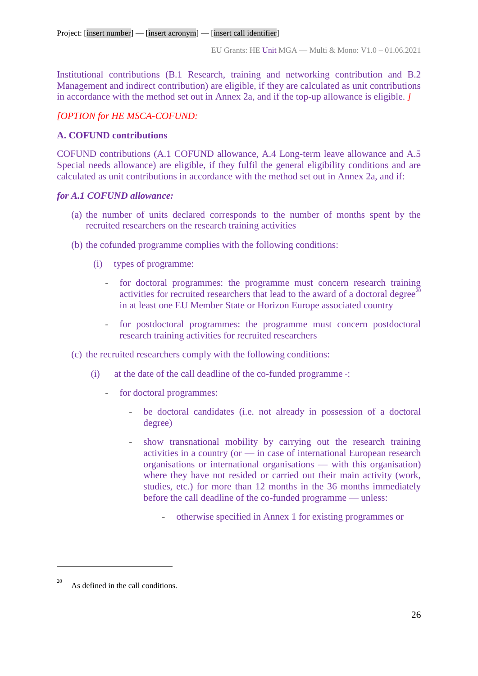Institutional contributions (B.1 Research, training and networking contribution and B.2 Management and indirect contribution) are eligible, if they are calculated as unit contributions in accordance with the method set out in Annex 2a, and if the top-up allowance is eligible. *]*

# *[OPTION for HE MSCA-COFUND:*

## **A. COFUND contributions**

COFUND contributions (A.1 COFUND allowance, A.4 Long-term leave allowance and A.5 Special needs allowance) are eligible, if they fulfil the general eligibility conditions and are calculated as unit contributions in accordance with the method set out in Annex 2a, and if:

## *for A.1 COFUND allowance:*

- (a) the number of units declared corresponds to the number of months spent by the recruited researchers on the research training activities
- (b) the cofunded programme complies with the following conditions:
	- (i) types of programme:
		- for doctoral programmes: the programme must concern research training activities for recruited researchers that lead to the award of a doctoral degree<sup>2</sup> in at least one EU Member State or Horizon Europe associated country
		- for postdoctoral programmes: the programme must concern postdoctoral research training activities for recruited researchers
- (c) the recruited researchers comply with the following conditions:
	- (i) at the date of the call deadline of the co-funded programme :
		- for doctoral programmes:
			- be doctoral candidates (i.e. not already in possession of a doctoral degree)
			- show transnational mobility by carrying out the research training activities in a country (or — in case of international European research organisations or international organisations — with this organisation) where they have not resided or carried out their main activity (work, studies, etc.) for more than 12 months in the 36 months immediately before the call deadline of the co-funded programme — unless:
				- otherwise specified in Annex 1 for existing programmes or

As defined in the call conditions.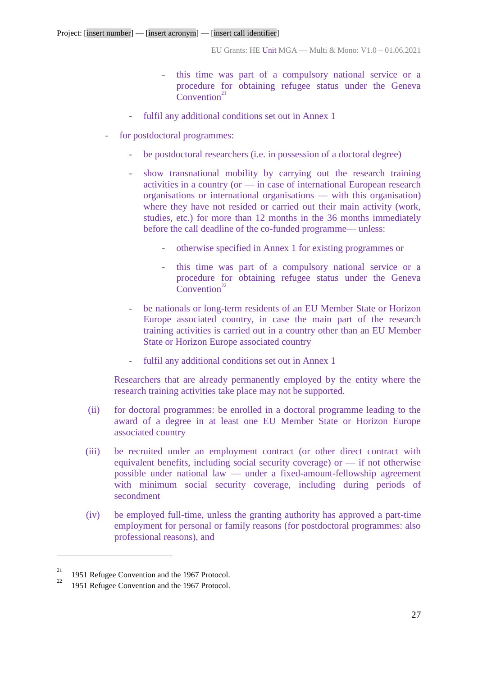- this time was part of a compulsory national service or a procedure for obtaining refugee status under the Geneva  $Convention<sup>21</sup>$
- fulfil any additional conditions set out in Annex 1
- for postdoctoral programmes:
	- be postdoctoral researchers (i.e. in possession of a doctoral degree)
	- show transnational mobility by carrying out the research training activities in a country (or — in case of international European research organisations or international organisations — with this organisation) where they have not resided or carried out their main activity (work, studies, etc.) for more than 12 months in the 36 months immediately before the call deadline of the co-funded programme— unless:
		- otherwise specified in Annex 1 for existing programmes or
		- this time was part of a compulsory national service or a procedure for obtaining refugee status under the Geneva Convention<sup>22</sup>
	- be nationals or long-term residents of an EU Member State or Horizon Europe associated country, in case the main part of the research training activities is carried out in a country other than an EU Member State or Horizon Europe associated country
	- fulfil any additional conditions set out in Annex 1

Researchers that are already permanently employed by the entity where the research training activities take place may not be supported.

- (ii) for doctoral programmes: be enrolled in a doctoral programme leading to the award of a degree in at least one EU Member State or Horizon Europe associated country
- (iii) be recruited under an employment contract (or other direct contract with equivalent benefits, including social security coverage) or — if not otherwise possible under national law — under a fixed-amount-fellowship agreement with minimum social security coverage, including during periods of secondment
- (iv) be employed full-time, unless the granting authority has approved a part-time employment for personal or family reasons (for postdoctoral programmes: also professional reasons), and

 $\frac{21}{22}$  1951 Refugee Convention and the 1967 Protocol.

<sup>1951</sup> Refugee Convention and the 1967 Protocol.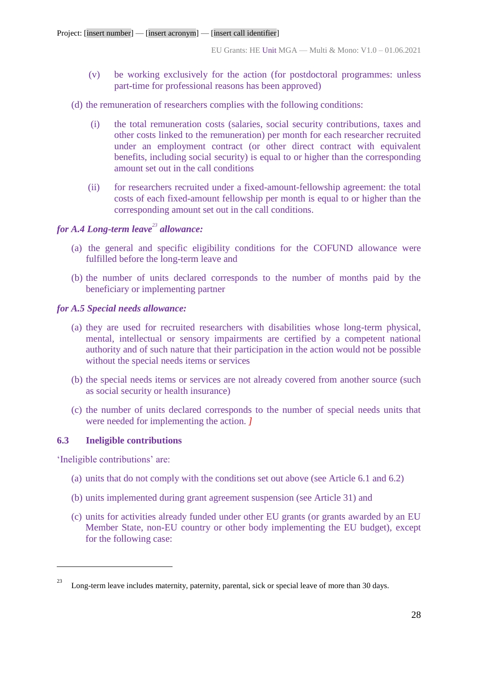- (v) be working exclusively for the action (for postdoctoral programmes: unless part-time for professional reasons has been approved)
- (d) the remuneration of researchers complies with the following conditions:
	- (i) the total remuneration costs (salaries, social security contributions, taxes and other costs linked to the remuneration) per month for each researcher recruited under an employment contract (or other direct contract with equivalent benefits, including social security) is equal to or higher than the corresponding amount set out in the call conditions
	- (ii) for researchers recruited under a fixed-amount-fellowship agreement: the total costs of each fixed-amount fellowship per month is equal to or higher than the corresponding amount set out in the call conditions.

# *for A.4 Long-term leave<sup>23</sup> allowance:*

- (a) the general and specific eligibility conditions for the COFUND allowance were fulfilled before the long-term leave and
- (b) the number of units declared corresponds to the number of months paid by the beneficiary or implementing partner

## *for A.5 Special needs allowance:*

- (a) they are used for recruited researchers with disabilities whose long-term physical, mental, intellectual or sensory impairments are certified by a competent national authority and of such nature that their participation in the action would not be possible without the special needs items or services
- (b) the special needs items or services are not already covered from another source (such as social security or health insurance)
- (c) the number of units declared corresponds to the number of special needs units that were needed for implementing the action. *]*

## **6.3 Ineligible contributions**

'Ineligible contributions' are:

- (a) units that do not comply with the conditions set out above (see Article 6.1 and 6.2)
- (b) units implemented during grant agreement suspension (see Article 31) and
- (c) units for activities already funded under other EU grants (or grants awarded by an EU Member State, non-EU country or other body implementing the EU budget), except for the following case:

Long-term leave includes maternity, paternity, parental, sick or special leave of more than 30 days.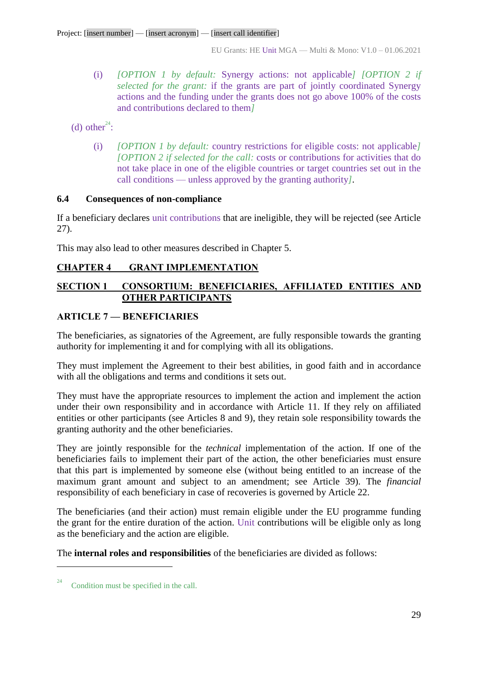(i) *[OPTION 1 by default:* Synergy actions: not applicable*] [OPTION 2 if selected for the grant:* if the grants are part of jointly coordinated Synergy actions and the funding under the grants does not go above 100% of the costs and contributions declared to them*]*

(d) other<sup>24</sup>:

(i) *[OPTION 1 by default:* country restrictions for eligible costs: not applicable*] [OPTION 2 if selected for the call:* costs or contributions for activities that do not take place in one of the eligible countries or target countries set out in the call conditions — unless approved by the granting authority*].*

# **6.4 Consequences of non-compliance**

If a beneficiary declares unit contributions that are ineligible, they will be rejected (see Article 27).

This may also lead to other measures described in Chapter 5.

# <span id="page-28-0"></span>**CHAPTER 4 GRANT IMPLEMENTATION**

# <span id="page-28-1"></span>**SECTION 1 CONSORTIUM: BENEFICIARIES, AFFILIATED ENTITIES AND OTHER PARTICIPANTS**

# <span id="page-28-2"></span>**ARTICLE 7 — BENEFICIARIES**

The beneficiaries, as signatories of the Agreement, are fully responsible towards the granting authority for implementing it and for complying with all its obligations.

They must implement the Agreement to their best abilities, in good faith and in accordance with all the obligations and terms and conditions it sets out.

They must have the appropriate resources to implement the action and implement the action under their own responsibility and in accordance with Article 11. If they rely on affiliated entities or other participants (see Articles 8 and 9), they retain sole responsibility towards the granting authority and the other beneficiaries.

They are jointly responsible for the *technical* implementation of the action. If one of the beneficiaries fails to implement their part of the action, the other beneficiaries must ensure that this part is implemented by someone else (without being entitled to an increase of the maximum grant amount and subject to an amendment; see Article 39). The *financial* responsibility of each beneficiary in case of recoveries is governed by Article 22.

The beneficiaries (and their action) must remain eligible under the EU programme funding the grant for the entire duration of the action. Unit contributions will be eligible only as long as the beneficiary and the action are eligible.

The **internal roles and responsibilities** of the beneficiaries are divided as follows:

<sup>&</sup>lt;sup>24</sup> Condition must be specified in the call.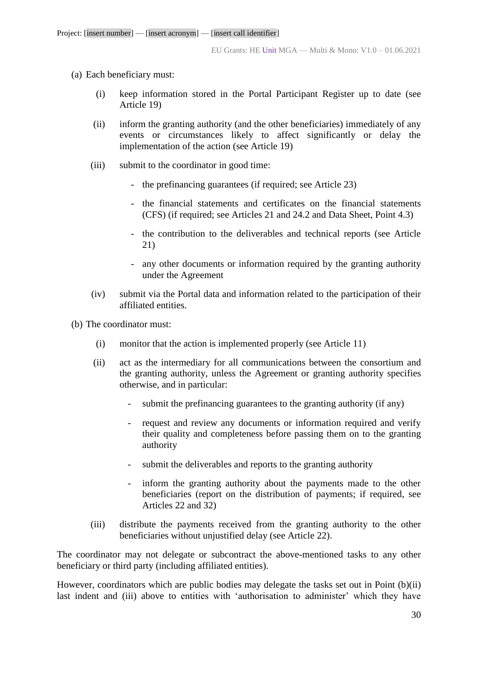- (a) Each beneficiary must:
	- (i) keep information stored in the Portal Participant Register up to date (see Article 19)
	- (ii) inform the granting authority (and the other beneficiaries) immediately of any events or circumstances likely to affect significantly or delay the implementation of the action (see Article 19)
	- (iii) submit to the coordinator in good time:
		- the prefinancing guarantees (if required; see Article 23)
		- the financial statements and certificates on the financial statements (CFS) (if required; see Articles 21 and 24.2 and Data Sheet, Point 4.3)
		- the contribution to the deliverables and technical reports (see Article 21)
		- any other documents or information required by the granting authority under the Agreement
	- (iv) submit via the Portal data and information related to the participation of their affiliated entities.
- (b) The coordinator must:
	- (i) monitor that the action is implemented properly (see Article 11)
	- (ii) act as the intermediary for all communications between the consortium and the granting authority, unless the Agreement or granting authority specifies otherwise, and in particular:
		- submit the prefinancing guarantees to the granting authority (if any)
		- request and review any documents or information required and verify their quality and completeness before passing them on to the granting authority
		- submit the deliverables and reports to the granting authority
		- inform the granting authority about the payments made to the other beneficiaries (report on the distribution of payments; if required, see Articles 22 and 32)
	- (iii) distribute the payments received from the granting authority to the other beneficiaries without unjustified delay (see Article 22).

The coordinator may not delegate or subcontract the above-mentioned tasks to any other beneficiary or third party (including affiliated entities).

However, coordinators which are public bodies may delegate the tasks set out in Point (b)(ii) last indent and (iii) above to entities with 'authorisation to administer' which they have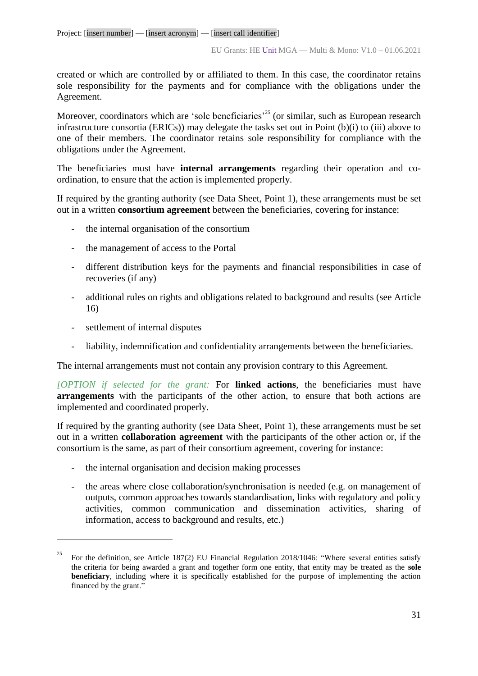created or which are controlled by or affiliated to them. In this case, the coordinator retains sole responsibility for the payments and for compliance with the obligations under the Agreement.

Moreover, coordinators which are 'sole beneficiaries'<sup>25</sup> (or similar, such as European research infrastructure consortia (ERICs)) may delegate the tasks set out in Point (b)(i) to (iii) above to one of their members. The coordinator retains sole responsibility for compliance with the obligations under the Agreement.

The beneficiaries must have **internal arrangements** regarding their operation and coordination, to ensure that the action is implemented properly.

If required by the granting authority (see Data Sheet, Point 1), these arrangements must be set out in a written **consortium agreement** between the beneficiaries, covering for instance:

- the internal organisation of the consortium
- the management of access to the Portal
- different distribution keys for the payments and financial responsibilities in case of recoveries (if any)
- additional rules on rights and obligations related to background and results (see Article 16)
- settlement of internal disputes

 $\overline{a}$ 

- liability, indemnification and confidentiality arrangements between the beneficiaries.

The internal arrangements must not contain any provision contrary to this Agreement.

*[OPTION if selected for the grant:* For **linked actions**, the beneficiaries must have **arrangements** with the participants of the other action, to ensure that both actions are implemented and coordinated properly.

If required by the granting authority (see Data Sheet, Point 1), these arrangements must be set out in a written **collaboration agreement** with the participants of the other action or, if the consortium is the same, as part of their consortium agreement, covering for instance:

- the internal organisation and decision making processes
- the areas where close collaboration/synchronisation is needed (e.g. on management of outputs, common approaches towards standardisation, links with regulatory and policy activities, common communication and dissemination activities, sharing of information, access to background and results, etc.)

<sup>25</sup> For the definition, see Article 187(2) EU Financial Regulation 2018/1046: "Where several entities satisfy the criteria for being awarded a grant and together form one entity, that entity may be treated as the **sole beneficiary**, including where it is specifically established for the purpose of implementing the action financed by the grant."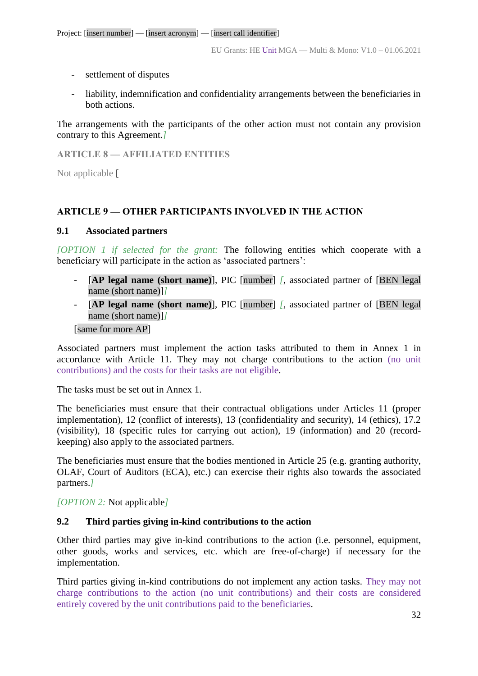- settlement of disputes
- liability, indemnification and confidentiality arrangements between the beneficiaries in both actions.

The arrangements with the participants of the other action must not contain any provision contrary to this Agreement.*]*

<span id="page-31-0"></span>**ARTICLE 8 — AFFILIATED ENTITIES**

Not applicable [

# <span id="page-31-1"></span>**ARTICLE 9 — OTHER PARTICIPANTS INVOLVED IN THE ACTION**

## **9.1 Associated partners**

*[OPTION 1 if selected for the grant:* The following entities which cooperate with a beneficiary will participate in the action as 'associated partners':

- [**AP legal name (short name)**], PIC [number] *[*, associated partner of [BEN legal name (short name)]*]*
- [**AP legal name (short name)**], PIC [number] *[*, associated partner of [BEN legal name (short name)]*]*

[same for more AP]

Associated partners must implement the action tasks attributed to them in Annex 1 in accordance with Article 11. They may not charge contributions to the action (no unit contributions) and the costs for their tasks are not eligible.

The tasks must be set out in Annex 1.

The beneficiaries must ensure that their contractual obligations under Articles 11 (proper implementation), 12 (conflict of interests), 13 (confidentiality and security), 14 (ethics), 17.2 (visibility), 18 (specific rules for carrying out action), 19 (information) and 20 (recordkeeping) also apply to the associated partners.

The beneficiaries must ensure that the bodies mentioned in Article 25 (e.g. granting authority, OLAF, Court of Auditors (ECA), etc.) can exercise their rights also towards the associated partners.*]*

*[OPTION 2:* Not applicable*]* 

## **9.2 Third parties giving in-kind contributions to the action**

Other third parties may give in-kind contributions to the action (i.e. personnel, equipment, other goods, works and services, etc. which are free-of-charge) if necessary for the implementation.

Third parties giving in-kind contributions do not implement any action tasks. They may not charge contributions to the action (no unit contributions) and their costs are considered entirely covered by the unit contributions paid to the beneficiaries.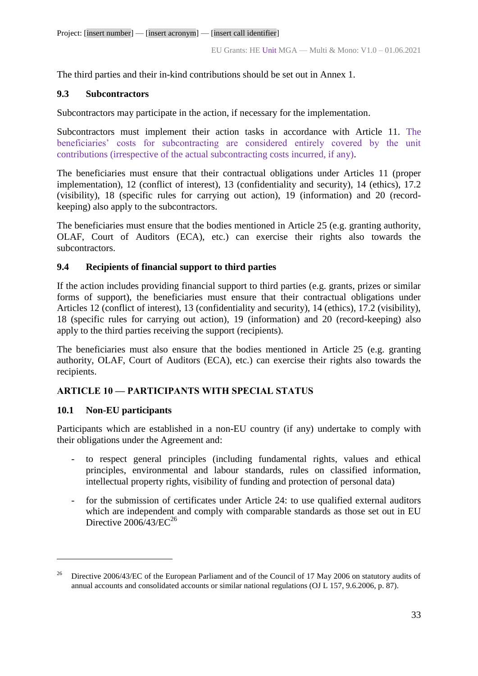The third parties and their in-kind contributions should be set out in Annex 1.

# **9.3 Subcontractors**

Subcontractors may participate in the action, if necessary for the implementation.

Subcontractors must implement their action tasks in accordance with Article 11. The beneficiaries' costs for subcontracting are considered entirely covered by the unit contributions (irrespective of the actual subcontracting costs incurred, if any).

The beneficiaries must ensure that their contractual obligations under Articles 11 (proper implementation), 12 (conflict of interest), 13 (confidentiality and security), 14 (ethics), 17.2 (visibility), 18 (specific rules for carrying out action), 19 (information) and 20 (recordkeeping) also apply to the subcontractors.

The beneficiaries must ensure that the bodies mentioned in Article 25 (e.g. granting authority, OLAF, Court of Auditors (ECA), etc.) can exercise their rights also towards the subcontractors.

# **9.4 Recipients of financial support to third parties**

If the action includes providing financial support to third parties (e.g. grants, prizes or similar forms of support), the beneficiaries must ensure that their contractual obligations under Articles 12 (conflict of interest), 13 (confidentiality and security), 14 (ethics), 17.2 (visibility), 18 (specific rules for carrying out action), 19 (information) and 20 (record-keeping) also apply to the third parties receiving the support (recipients).

The beneficiaries must also ensure that the bodies mentioned in Article 25 (e.g. granting authority, OLAF, Court of Auditors (ECA), etc.) can exercise their rights also towards the recipients.

# **ARTICLE 10 — PARTICIPANTS WITH SPECIAL STATUS**

## <span id="page-32-0"></span>**10.1 Non-EU participants**

 $\overline{a}$ 

Participants which are established in a non-EU country (if any) undertake to comply with their obligations under the Agreement and:

- to respect general principles (including fundamental rights, values and ethical principles, environmental and labour standards, rules on classified information, intellectual property rights, visibility of funding and protection of personal data)
- for the submission of certificates under Article 24: to use qualified external auditors which are independent and comply with comparable standards as those set out in EU Directive  $2006/43/EC^{26}$

<sup>26</sup> Directive 2006/43/EC of the European Parliament and of the Council of 17 May 2006 on statutory audits of annual accounts and consolidated accounts or similar national regulations (OJ L 157, 9.6.2006, p. 87).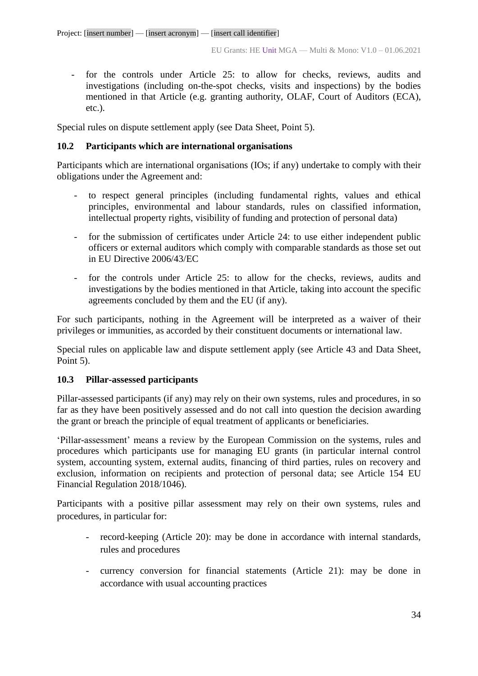- for the controls under Article 25: to allow for checks, reviews, audits and investigations (including on-the-spot checks, visits and inspections) by the bodies mentioned in that Article (e.g. granting authority, OLAF, Court of Auditors (ECA), etc.).

Special rules on dispute settlement apply (see Data Sheet, Point 5).

# <span id="page-33-0"></span>**10.2 Participants which are international organisations**

Participants which are international organisations (IOs; if any) undertake to comply with their obligations under the Agreement and:

- to respect general principles (including fundamental rights, values and ethical principles, environmental and labour standards, rules on classified information, intellectual property rights, visibility of funding and protection of personal data)
- for the submission of certificates under Article 24: to use either independent public officers or external auditors which comply with comparable standards as those set out in EU Directive 2006/43/EC
- for the controls under Article 25: to allow for the checks, reviews, audits and investigations by the bodies mentioned in that Article, taking into account the specific agreements concluded by them and the EU (if any).

For such participants, nothing in the Agreement will be interpreted as a waiver of their privileges or immunities, as accorded by their constituent documents or international law.

Special rules on applicable law and dispute settlement apply (see Article 43 and Data Sheet, Point 5).

## <span id="page-33-1"></span>**10.3 Pillar-assessed participants**

Pillar-assessed participants (if any) may rely on their own systems, rules and procedures, in so far as they have been positively assessed and do not call into question the decision awarding the grant or breach the principle of equal treatment of applicants or beneficiaries.

'Pillar-assessment' means a review by the European Commission on the systems, rules and procedures which participants use for managing EU grants (in particular internal control system, accounting system, external audits, financing of third parties, rules on recovery and exclusion, information on recipients and protection of personal data; see Article 154 EU Financial Regulation 2018/1046).

Participants with a positive pillar assessment may rely on their own systems, rules and procedures, in particular for:

- record-keeping (Article 20): may be done in accordance with internal standards, rules and procedures
- currency conversion for financial statements (Article 21): may be done in accordance with usual accounting practices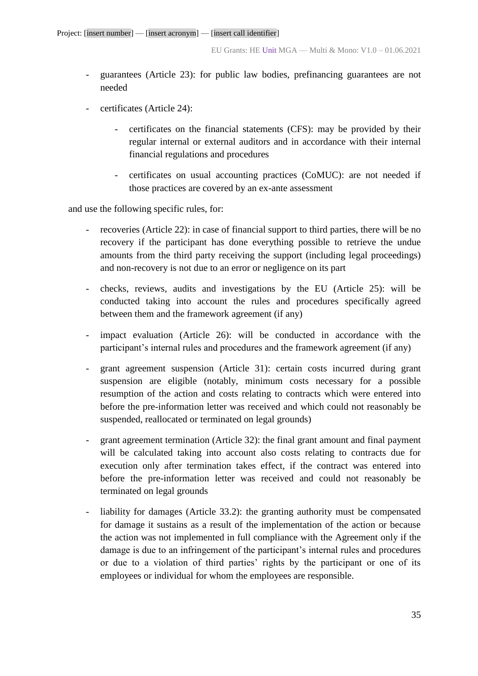- guarantees (Article 23): for public law bodies, prefinancing guarantees are not needed
- certificates (Article 24):
	- certificates on the financial statements (CFS): may be provided by their regular internal or external auditors and in accordance with their internal financial regulations and procedures
	- certificates on usual accounting practices (CoMUC): are not needed if those practices are covered by an ex-ante assessment

and use the following specific rules, for:

- recoveries (Article 22): in case of financial support to third parties, there will be no recovery if the participant has done everything possible to retrieve the undue amounts from the third party receiving the support (including legal proceedings) and non-recovery is not due to an error or negligence on its part
- checks, reviews, audits and investigations by the EU (Article 25): will be conducted taking into account the rules and procedures specifically agreed between them and the framework agreement (if any)
- impact evaluation (Article 26): will be conducted in accordance with the participant's internal rules and procedures and the framework agreement (if any)
- grant agreement suspension (Article 31): certain costs incurred during grant suspension are eligible (notably, minimum costs necessary for a possible resumption of the action and costs relating to contracts which were entered into before the pre-information letter was received and which could not reasonably be suspended, reallocated or terminated on legal grounds)
- grant agreement termination (Article 32): the final grant amount and final payment will be calculated taking into account also costs relating to contracts due for execution only after termination takes effect, if the contract was entered into before the pre-information letter was received and could not reasonably be terminated on legal grounds
- liability for damages (Article 33.2): the granting authority must be compensated for damage it sustains as a result of the implementation of the action or because the action was not implemented in full compliance with the Agreement only if the damage is due to an infringement of the participant's internal rules and procedures or due to a violation of third parties' rights by the participant or one of its employees or individual for whom the employees are responsible.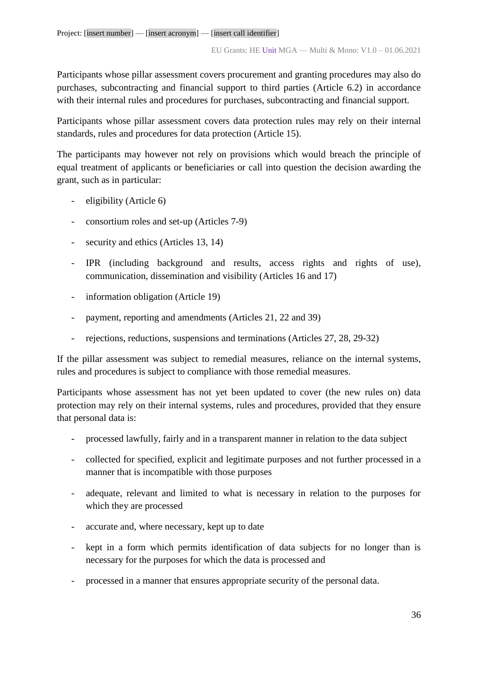Participants whose pillar assessment covers procurement and granting procedures may also do purchases, subcontracting and financial support to third parties (Article 6.2) in accordance with their internal rules and procedures for purchases, subcontracting and financial support*.* 

Participants whose pillar assessment covers data protection rules may rely on their internal standards, rules and procedures for data protection (Article 15).

The participants may however not rely on provisions which would breach the principle of equal treatment of applicants or beneficiaries or call into question the decision awarding the grant, such as in particular:

- eligibility (Article 6)
- consortium roles and set-up (Articles 7-9)
- security and ethics (Articles 13, 14)
- IPR (including background and results, access rights and rights of use), communication, dissemination and visibility (Articles 16 and 17)
- information obligation (Article 19)
- payment, reporting and amendments (Articles 21, 22 and 39)
- rejections, reductions, suspensions and terminations (Articles 27, 28, 29-32)

If the pillar assessment was subject to remedial measures, reliance on the internal systems, rules and procedures is subject to compliance with those remedial measures.

Participants whose assessment has not yet been updated to cover (the new rules on) data protection may rely on their internal systems, rules and procedures, provided that they ensure that personal data is:

- processed lawfully, fairly and in a transparent manner in relation to the data subject
- collected for specified, explicit and legitimate purposes and not further processed in a manner that is incompatible with those purposes
- adequate, relevant and limited to what is necessary in relation to the purposes for which they are processed
- accurate and, where necessary, kept up to date
- kept in a form which permits identification of data subjects for no longer than is necessary for the purposes for which the data is processed and
- processed in a manner that ensures appropriate security of the personal data.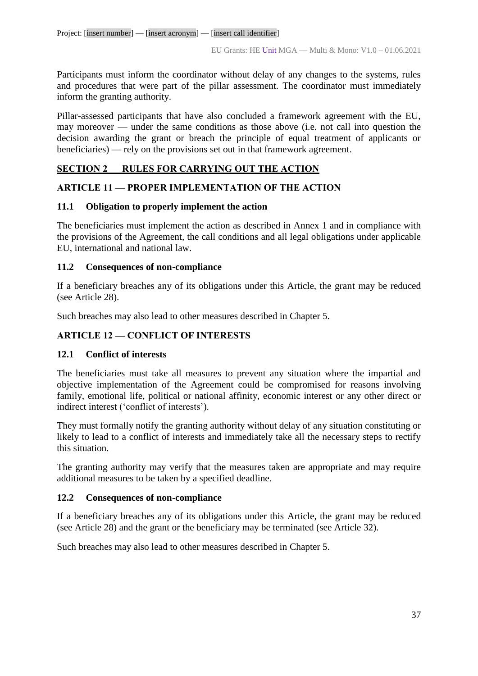Participants must inform the coordinator without delay of any changes to the systems, rules and procedures that were part of the pillar assessment. The coordinator must immediately inform the granting authority.

Pillar-assessed participants that have also concluded a framework agreement with the EU, may moreover — under the same conditions as those above (i.e. not call into question the decision awarding the grant or breach the principle of equal treatment of applicants or beneficiaries) — rely on the provisions set out in that framework agreement.

## **SECTION 2 RULES FOR CARRYING OUT THE ACTION**

## **ARTICLE 11 — PROPER IMPLEMENTATION OF THE ACTION**

## **11.1 Obligation to properly implement the action**

The beneficiaries must implement the action as described in Annex 1 and in compliance with the provisions of the Agreement, the call conditions and all legal obligations under applicable EU, international and national law.

## **11.2 Consequences of non-compliance**

If a beneficiary breaches any of its obligations under this Article, the grant may be reduced (see Article 28).

Such breaches may also lead to other measures described in Chapter 5.

## **ARTICLE 12 — CONFLICT OF INTERESTS**

## **12.1 Conflict of interests**

The beneficiaries must take all measures to prevent any situation where the impartial and objective implementation of the Agreement could be compromised for reasons involving family, emotional life, political or national affinity, economic interest or any other direct or indirect interest ('conflict of interests').

They must formally notify the granting authority without delay of any situation constituting or likely to lead to a conflict of interests and immediately take all the necessary steps to rectify this situation.

The granting authority may verify that the measures taken are appropriate and may require additional measures to be taken by a specified deadline.

## **12.2 Consequences of non-compliance**

If a beneficiary breaches any of its obligations under this Article, the grant may be reduced (see Article 28) and the grant or the beneficiary may be terminated (see Article 32).

Such breaches may also lead to other measures described in Chapter 5.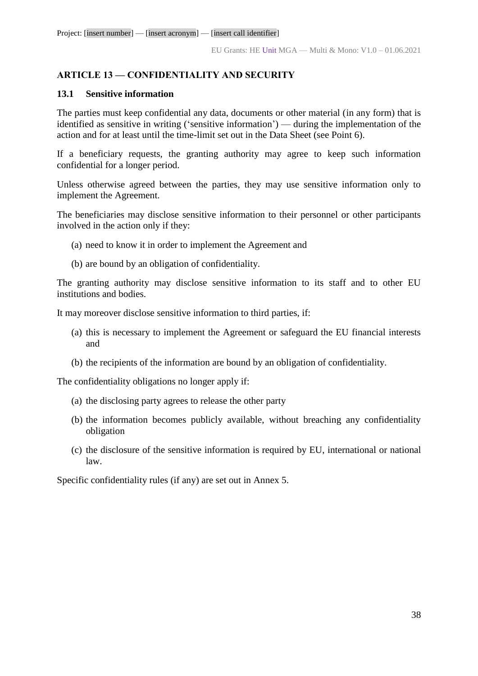## **ARTICLE 13 — CONFIDENTIALITY AND SECURITY**

## **13.1 Sensitive information**

The parties must keep confidential any data, documents or other material (in any form) that is identified as sensitive in writing ('sensitive information') — during the implementation of the action and for at least until the time-limit set out in the Data Sheet (see Point 6).

If a beneficiary requests, the granting authority may agree to keep such information confidential for a longer period.

Unless otherwise agreed between the parties, they may use sensitive information only to implement the Agreement.

The beneficiaries may disclose sensitive information to their personnel or other participants involved in the action only if they:

- (a) need to know it in order to implement the Agreement and
- (b) are bound by an obligation of confidentiality.

The granting authority may disclose sensitive information to its staff and to other EU institutions and bodies.

It may moreover disclose sensitive information to third parties, if:

- (a) this is necessary to implement the Agreement or safeguard the EU financial interests and
- (b) the recipients of the information are bound by an obligation of confidentiality.

The confidentiality obligations no longer apply if:

- (a) the disclosing party agrees to release the other party
- (b) the information becomes publicly available, without breaching any confidentiality obligation
- (c) the disclosure of the sensitive information is required by EU, international or national law.

Specific confidentiality rules (if any) are set out in Annex 5.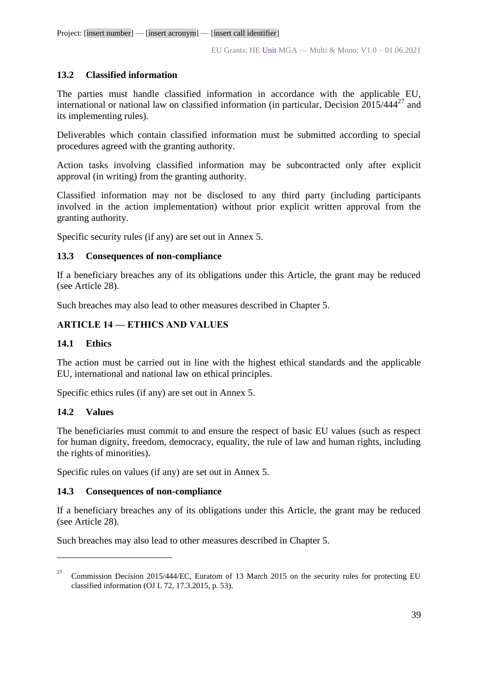## **13.2 Classified information**

The parties must handle classified information in accordance with the applicable EU, international or national law on classified information (in particular, Decision  $2015/444^{27}$  and its implementing rules).

Deliverables which contain classified information must be submitted according to special procedures agreed with the granting authority.

Action tasks involving classified information may be subcontracted only after explicit approval (in writing) from the granting authority.

Classified information may not be disclosed to any third party (including participants involved in the action implementation) without prior explicit written approval from the granting authority.

Specific security rules (if any) are set out in Annex 5.

## **13.3 Consequences of non-compliance**

If a beneficiary breaches any of its obligations under this Article, the grant may be reduced (see Article 28).

Such breaches may also lead to other measures described in Chapter 5.

## **ARTICLE 14 — ETHICS AND VALUES**

## **14.1 Ethics**

The action must be carried out in line with the highest ethical standards and the applicable EU, international and national law on ethical principles.

Specific ethics rules (if any) are set out in Annex 5.

## **14.2 Values**

 $\overline{a}$ 

The beneficiaries must commit to and ensure the respect of basic EU values (such as respect for human dignity, freedom, democracy, equality, the rule of law and human rights, including the rights of minorities).

Specific rules on values (if any) are set out in Annex 5.

## **14.3 Consequences of non-compliance**

If a beneficiary breaches any of its obligations under this Article, the grant may be reduced (see Article 28).

Such breaches may also lead to other measures described in Chapter 5.

<sup>27</sup> Commission Decision 2015/444/EC, Euratom of 13 March 2015 on the security rules for protecting EU classified information (OJ L 72, 17.3.2015, p. 53).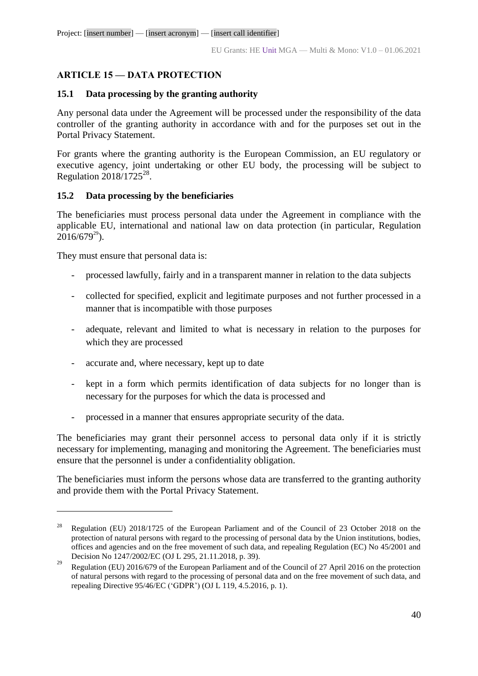# **ARTICLE 15 — DATA PROTECTION**

## **15.1 Data processing by the granting authority**

Any personal data under the Agreement will be processed under the responsibility of the data controller of the granting authority in accordance with and for the purposes set out in the Portal Privacy Statement.

For grants where the granting authority is the European Commission, an EU regulatory or executive agency, joint undertaking or other EU body, the processing will be subject to Regulation  $2018/1725^{28}$ .

## **15.2 Data processing by the beneficiaries**

The beneficiaries must process personal data under the Agreement in compliance with the applicable EU, international and national law on data protection (in particular, Regulation  $2016/679^{29}$ ).

They must ensure that personal data is:

 $\overline{a}$ 

- processed lawfully, fairly and in a transparent manner in relation to the data subjects
- collected for specified, explicit and legitimate purposes and not further processed in a manner that is incompatible with those purposes
- adequate, relevant and limited to what is necessary in relation to the purposes for which they are processed
- accurate and, where necessary, kept up to date
- kept in a form which permits identification of data subjects for no longer than is necessary for the purposes for which the data is processed and
- processed in a manner that ensures appropriate security of the data.

The beneficiaries may grant their personnel access to personal data only if it is strictly necessary for implementing, managing and monitoring the Agreement. The beneficiaries must ensure that the personnel is under a confidentiality obligation.

The beneficiaries must inform the persons whose data are transferred to the granting authority and provide them with the Portal Privacy Statement.

<sup>&</sup>lt;sup>28</sup> Regulation (EU) 2018/1725 of the European Parliament and of the Council of 23 October 2018 on the protection of natural persons with regard to the processing of personal data by the Union institutions, bodies, offices and agencies and on the free movement of such data, and repealing Regulation (EC) No 45/2001 and Decision No 1247/2002/EC (OJ L 295, 21.11.2018, p. 39).

<sup>&</sup>lt;sup>29</sup> Regulation (EU) 2016/679 of the European Parliament and of the Council of 27 April 2016 on the protection of natural persons with regard to the processing of personal data and on the free movement of such data, and repealing Directive 95/46/EC ('GDPR') (OJ L 119, 4.5.2016, p. 1).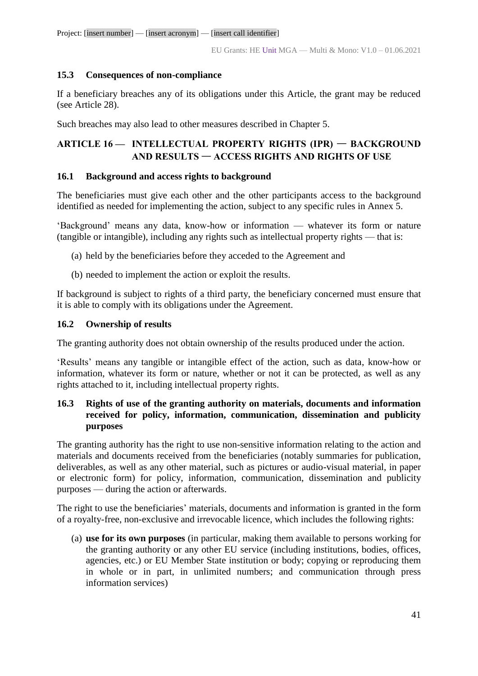## **15.3 Consequences of non-compliance**

If a beneficiary breaches any of its obligations under this Article, the grant may be reduced (see Article 28).

Such breaches may also lead to other measures described in Chapter 5.

# **ARTICLE 16 — INTELLECTUAL PROPERTY RIGHTS (IPR)** — **BACKGROUND AND RESULTS** — **ACCESS RIGHTS AND RIGHTS OF USE**

## **16.1 Background and access rights to background**

The beneficiaries must give each other and the other participants access to the background identified as needed for implementing the action, subject to any specific rules in Annex 5.

'Background' means any data, know-how or information — whatever its form or nature (tangible or intangible), including any rights such as intellectual property rights — that is:

- (a) held by the beneficiaries before they acceded to the Agreement and
- (b) needed to implement the action or exploit the results.

If background is subject to rights of a third party, the beneficiary concerned must ensure that it is able to comply with its obligations under the Agreement.

## **16.2 Ownership of results**

The granting authority does not obtain ownership of the results produced under the action.

'Results' means any tangible or intangible effect of the action, such as data, know-how or information, whatever its form or nature, whether or not it can be protected, as well as any rights attached to it, including intellectual property rights.

## **16.3 Rights of use of the granting authority on materials, documents and information received for policy, information, communication, dissemination and publicity purposes**

The granting authority has the right to use non-sensitive information relating to the action and materials and documents received from the beneficiaries (notably summaries for publication, deliverables, as well as any other material, such as pictures or audio-visual material, in paper or electronic form) for policy, information, communication, dissemination and publicity purposes — during the action or afterwards.

The right to use the beneficiaries' materials, documents and information is granted in the form of a royalty-free, non-exclusive and irrevocable licence, which includes the following rights:

(a) **use for its own purposes** (in particular, making them available to persons working for the granting authority or any other EU service (including institutions, bodies, offices, agencies, etc.) or EU Member State institution or body; copying or reproducing them in whole or in part, in unlimited numbers; and communication through press information services)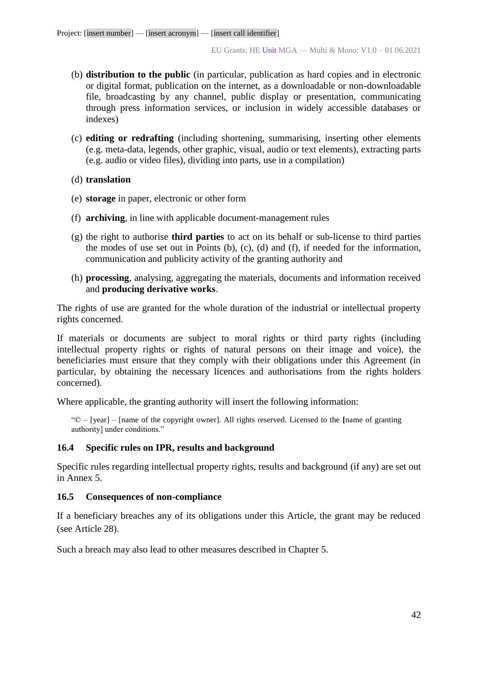- (b) **distribution to the public** (in particular, publication as hard copies and in electronic or digital format, publication on the internet, as a downloadable or non-downloadable file, broadcasting by any channel, public display or presentation, communicating through press information services, or inclusion in widely accessible databases or indexes)
- (c) **editing or redrafting** (including shortening, summarising, inserting other elements (e.g. meta-data, legends, other graphic, visual, audio or text elements), extracting parts (e.g. audio or video files), dividing into parts, use in a compilation)
- (d) **translation**
- (e) **storage** in paper, electronic or other form
- (f) **archiving**, in line with applicable document-management rules
- (g) the right to authorise **third parties** to act on its behalf or sub-license to third parties the modes of use set out in Points (b), (c), (d) and (f), if needed for the information, communication and publicity activity of the granting authority and
- (h) **processing**, analysing, aggregating the materials, documents and information received and **producing derivative works**.

The rights of use are granted for the whole duration of the industrial or intellectual property rights concerned.

If materials or documents are subject to moral rights or third party rights (including intellectual property rights or rights of natural persons on their image and voice), the beneficiaries must ensure that they comply with their obligations under this Agreement (in particular, by obtaining the necessary licences and authorisations from the rights holders concerned).

Where applicable, the granting authority will insert the following information:

"© – [year] – [name of the copyright owner]. All rights reserved. Licensed to the **[**name of granting authority] under conditions."

## **16.4 Specific rules on IPR, results and background**

Specific rules regarding intellectual property rights, results and background (if any) are set out in Annex 5.

## **16.5 Consequences of non-compliance**

If a beneficiary breaches any of its obligations under this Article, the grant may be reduced (see Article 28).

Such a breach may also lead to other measures described in Chapter 5.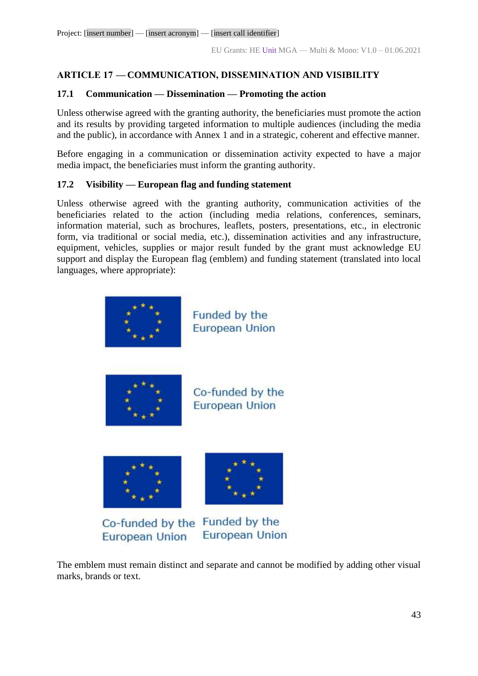## **ARTICLE 17 — COMMUNICATION, DISSEMINATION AND VISIBILITY**

## **17.1 Communication — Dissemination — Promoting the action**

Unless otherwise agreed with the granting authority, the beneficiaries must promote the action and its results by providing targeted information to multiple audiences (including the media and the public), in accordance with Annex 1 and in a strategic, coherent and effective manner.

Before engaging in a communication or dissemination activity expected to have a major media impact, the beneficiaries must inform the granting authority.

## **17.2 Visibility — European flag and funding statement**

Unless otherwise agreed with the granting authority, communication activities of the beneficiaries related to the action (including media relations, conferences, seminars, information material, such as brochures, leaflets, posters, presentations, etc., in electronic form, via traditional or social media, etc.), dissemination activities and any infrastructure, equipment, vehicles, supplies or major result funded by the grant must acknowledge EU support and display the European flag (emblem) and funding statement (translated into local languages, where appropriate):



The emblem must remain distinct and separate and cannot be modified by adding other visual marks, brands or text.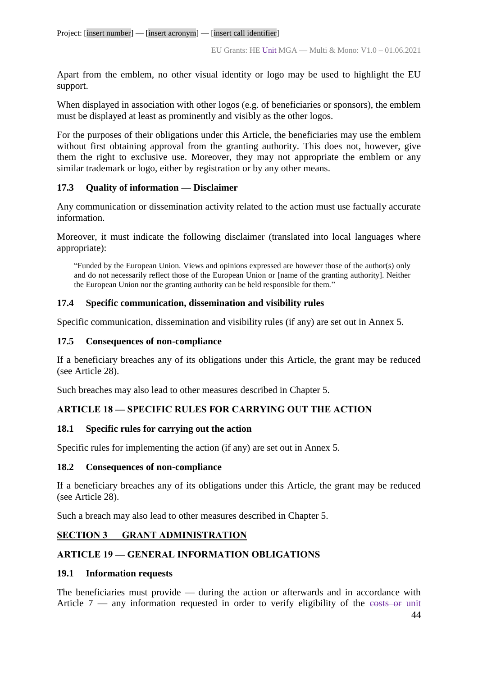Apart from the emblem, no other visual identity or logo may be used to highlight the EU support.

When displayed in association with other logos (e.g. of beneficiaries or sponsors), the emblem must be displayed at least as prominently and visibly as the other logos.

For the purposes of their obligations under this Article, the beneficiaries may use the emblem without first obtaining approval from the granting authority. This does not, however, give them the right to exclusive use. Moreover, they may not appropriate the emblem or any similar trademark or logo, either by registration or by any other means.

## **17.3 Quality of information — Disclaimer**

Any communication or dissemination activity related to the action must use factually accurate information.

Moreover, it must indicate the following disclaimer (translated into local languages where appropriate):

"Funded by the European Union. Views and opinions expressed are however those of the author(s) only and do not necessarily reflect those of the European Union or [name of the granting authority]. Neither the European Union nor the granting authority can be held responsible for them."

## **17.4 Specific communication, dissemination and visibility rules**

Specific communication, dissemination and visibility rules (if any) are set out in Annex 5.

#### **17.5 Consequences of non-compliance**

If a beneficiary breaches any of its obligations under this Article, the grant may be reduced (see Article 28).

Such breaches may also lead to other measures described in Chapter 5.

## **ARTICLE 18 — SPECIFIC RULES FOR CARRYING OUT THE ACTION**

## **18.1 Specific rules for carrying out the action**

Specific rules for implementing the action (if any) are set out in Annex 5.

#### **18.2 Consequences of non-compliance**

If a beneficiary breaches any of its obligations under this Article, the grant may be reduced (see Article 28).

Such a breach may also lead to other measures described in Chapter 5.

## **SECTION 3 GRANT ADMINISTRATION**

## **ARTICLE 19 — GENERAL INFORMATION OBLIGATIONS**

#### **19.1 Information requests**

The beneficiaries must provide — during the action or afterwards and in accordance with Article  $7 -$  any information requested in order to verify eligibility of the costs or unit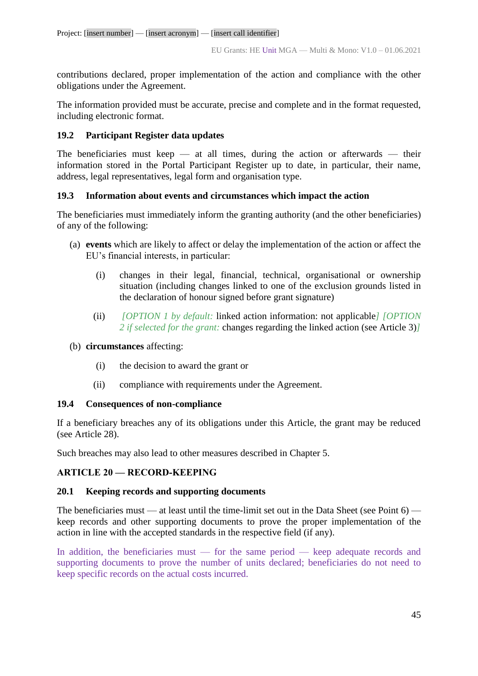contributions declared, proper implementation of the action and compliance with the other obligations under the Agreement.

The information provided must be accurate, precise and complete and in the format requested, including electronic format.

## **19.2 Participant Register data updates**

The beneficiaries must keep  $-$  at all times, during the action or afterwards  $-$  their information stored in the Portal Participant Register up to date, in particular, their name, address, legal representatives, legal form and organisation type.

## **19.3 Information about events and circumstances which impact the action**

The beneficiaries must immediately inform the granting authority (and the other beneficiaries) of any of the following:

- (a) **events** which are likely to affect or delay the implementation of the action or affect the EU's financial interests, in particular:
	- (i) changes in their legal, financial, technical, organisational or ownership situation (including changes linked to one of the exclusion grounds listed in the declaration of honour signed before grant signature)
	- (ii) *[OPTION 1 by default:* linked action information: not applicable*] [OPTION 2 if selected for the grant:* changes regarding the linked action (see Article 3)*]*

## (b) **circumstances** affecting:

- (i) the decision to award the grant or
- (ii) compliance with requirements under the Agreement.

## **19.4 Consequences of non-compliance**

If a beneficiary breaches any of its obligations under this Article, the grant may be reduced (see Article 28).

Such breaches may also lead to other measures described in Chapter 5.

## **ARTICLE 20 — RECORD-KEEPING**

## **20.1 Keeping records and supporting documents**

The beneficiaries must — at least until the time-limit set out in the Data Sheet (see Point 6) keep records and other supporting documents to prove the proper implementation of the action in line with the accepted standards in the respective field (if any).

In addition, the beneficiaries must — for the same period — keep adequate records and supporting documents to prove the number of units declared; beneficiaries do not need to keep specific records on the actual costs incurred.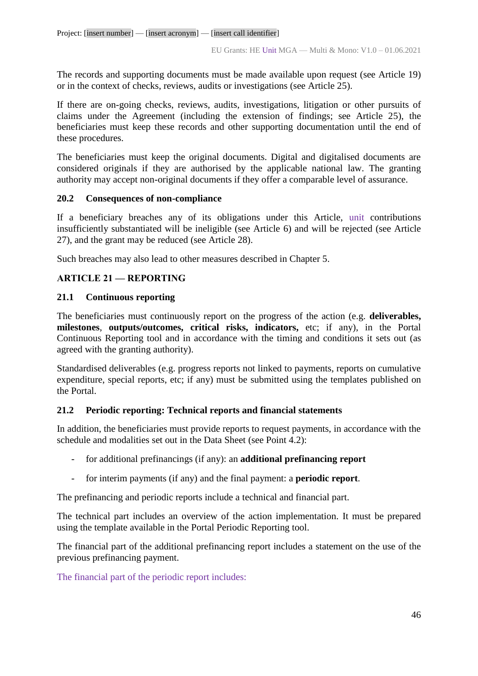The records and supporting documents must be made available upon request (see Article 19) or in the context of checks, reviews, audits or investigations (see Article 25).

If there are on-going checks, reviews, audits, investigations, litigation or other pursuits of claims under the Agreement (including the extension of findings; see Article 25), the beneficiaries must keep these records and other supporting documentation until the end of these procedures.

The beneficiaries must keep the original documents. Digital and digitalised documents are considered originals if they are authorised by the applicable national law. The granting authority may accept non-original documents if they offer a comparable level of assurance.

#### **20.2 Consequences of non-compliance**

If a beneficiary breaches any of its obligations under this Article, unit contributions insufficiently substantiated will be ineligible (see Article 6) and will be rejected (see Article 27), and the grant may be reduced (see Article 28).

Such breaches may also lead to other measures described in Chapter 5.

## **ARTICLE 21 — REPORTING**

## **21.1 Continuous reporting**

The beneficiaries must continuously report on the progress of the action (e.g. **deliverables, milestones**, **outputs/outcomes, critical risks, indicators,** etc; if any), in the Portal Continuous Reporting tool and in accordance with the timing and conditions it sets out (as agreed with the granting authority).

Standardised deliverables (e.g. progress reports not linked to payments, reports on cumulative expenditure, special reports, etc; if any) must be submitted using the templates published on the Portal.

## **21.2 Periodic reporting: Technical reports and financial statements**

In addition, the beneficiaries must provide reports to request payments, in accordance with the schedule and modalities set out in the Data Sheet (see Point 4.2):

- for additional prefinancings (if any): an **additional prefinancing report**
- for interim payments (if any) and the final payment: a **periodic report**.

The prefinancing and periodic reports include a technical and financial part.

The technical part includes an overview of the action implementation. It must be prepared using the template available in the Portal Periodic Reporting tool.

The financial part of the additional prefinancing report includes a statement on the use of the previous prefinancing payment.

The financial part of the periodic report includes: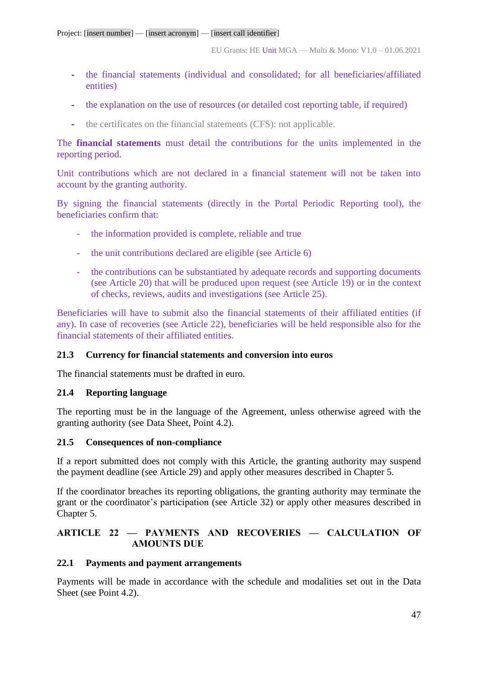- the financial statements (individual and consolidated; for all beneficiaries/affiliated entities)
- the explanation on the use of resources (or detailed cost reporting table, if required)
- the certificates on the financial statements (CFS): not applicable.

The **financial statements** must detail the contributions for the units implemented in the reporting period.

Unit contributions which are not declared in a financial statement will not be taken into account by the granting authority.

By signing the financial statements (directly in the Portal Periodic Reporting tool), the beneficiaries confirm that:

- the information provided is complete, reliable and true
- the unit contributions declared are eligible (see Article 6)
- the contributions can be substantiated by adequate records and supporting documents (see Article 20) that will be produced upon request (see Article 19) or in the context of checks, reviews, audits and investigations (see Article 25).

Beneficiaries will have to submit also the financial statements of their affiliated entities (if any). In case of recoveries (see Article 22), beneficiaries will be held responsible also for the financial statements of their affiliated entities.

## **21.3 Currency for financial statements and conversion into euros**

The financial statements must be drafted in euro.

## **21.4 Reporting language**

The reporting must be in the language of the Agreement, unless otherwise agreed with the granting authority (see Data Sheet, Point 4.2).

## **21.5 Consequences of non-compliance**

If a report submitted does not comply with this Article, the granting authority may suspend the payment deadline (see Article 29) and apply other measures described in Chapter 5.

If the coordinator breaches its reporting obligations, the granting authority may terminate the grant or the coordinator's participation (see Article 32) or apply other measures described in Chapter 5.

# **ARTICLE 22 — PAYMENTS AND RECOVERIES — CALCULATION OF AMOUNTS DUE**

## **22.1 Payments and payment arrangements**

Payments will be made in accordance with the schedule and modalities set out in the Data Sheet (see Point 4.2).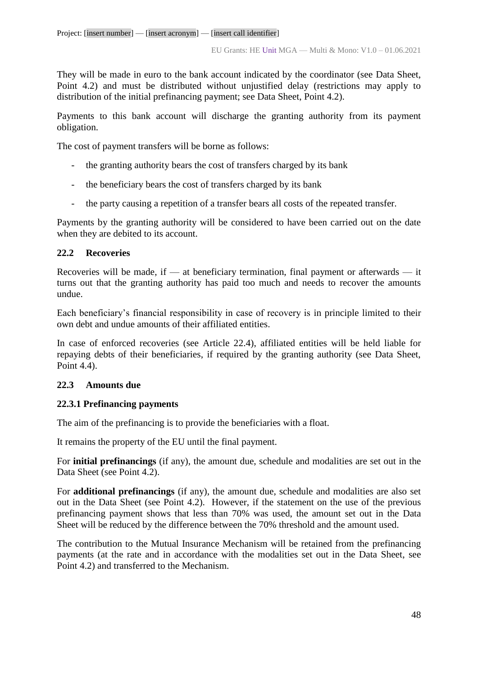They will be made in euro to the bank account indicated by the coordinator (see Data Sheet, Point 4.2) and must be distributed without unjustified delay (restrictions may apply to distribution of the initial prefinancing payment; see Data Sheet, Point 4.2).

Payments to this bank account will discharge the granting authority from its payment obligation.

The cost of payment transfers will be borne as follows:

- the granting authority bears the cost of transfers charged by its bank
- the beneficiary bears the cost of transfers charged by its bank
- the party causing a repetition of a transfer bears all costs of the repeated transfer.

Payments by the granting authority will be considered to have been carried out on the date when they are debited to its account.

## **22.2 Recoveries**

Recoveries will be made, if — at beneficiary termination, final payment or afterwards — it turns out that the granting authority has paid too much and needs to recover the amounts undue.

Each beneficiary's financial responsibility in case of recovery is in principle limited to their own debt and undue amounts of their affiliated entities.

In case of enforced recoveries (see Article 22.4), affiliated entities will be held liable for repaying debts of their beneficiaries, if required by the granting authority (see Data Sheet, Point 4.4).

## **22.3 Amounts due**

## **22.3.1 Prefinancing payments**

The aim of the prefinancing is to provide the beneficiaries with a float.

It remains the property of the EU until the final payment.

For **initial prefinancings** (if any), the amount due, schedule and modalities are set out in the Data Sheet (see Point 4.2).

For **additional prefinancings** (if any), the amount due, schedule and modalities are also set out in the Data Sheet (see Point 4.2). However, if the statement on the use of the previous prefinancing payment shows that less than 70% was used, the amount set out in the Data Sheet will be reduced by the difference between the 70% threshold and the amount used.

The contribution to the Mutual Insurance Mechanism will be retained from the prefinancing payments (at the rate and in accordance with the modalities set out in the Data Sheet, see Point 4.2) and transferred to the Mechanism.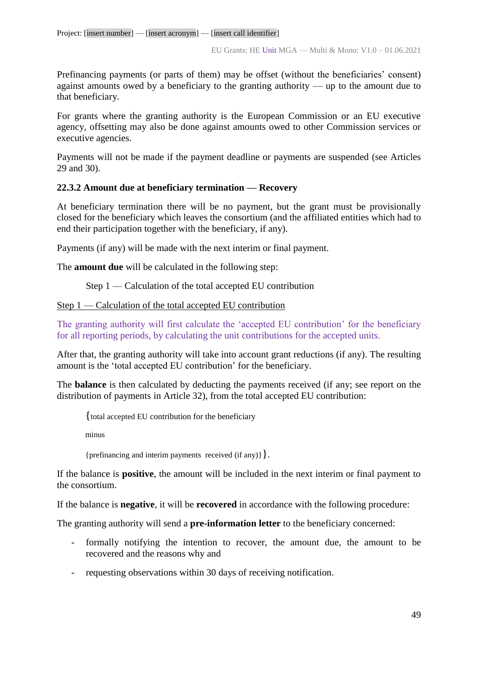Prefinancing payments (or parts of them) may be offset (without the beneficiaries' consent) against amounts owed by a beneficiary to the granting authority — up to the amount due to that beneficiary.

For grants where the granting authority is the European Commission or an EU executive agency, offsetting may also be done against amounts owed to other Commission services or executive agencies.

Payments will not be made if the payment deadline or payments are suspended (see Articles 29 and 30).

## **22.3.2 Amount due at beneficiary termination — Recovery**

At beneficiary termination there will be no payment, but the grant must be provisionally closed for the beneficiary which leaves the consortium (and the affiliated entities which had to end their participation together with the beneficiary, if any).

Payments (if any) will be made with the next interim or final payment.

The **amount due** will be calculated in the following step:

Step 1 — Calculation of the total accepted EU contribution

## Step 1 — Calculation of the total accepted EU contribution

The granting authority will first calculate the 'accepted EU contribution' for the beneficiary for all reporting periods, by calculating the unit contributions for the accepted units.

After that, the granting authority will take into account grant reductions (if any). The resulting amount is the 'total accepted EU contribution' for the beneficiary.

The **balance** is then calculated by deducting the payments received (if any; see report on the distribution of payments in Article 32), from the total accepted EU contribution:

{total accepted EU contribution for the beneficiary

minus

{prefinancing and interim payments received (if any)}}.

If the balance is **positive**, the amount will be included in the next interim or final payment to the consortium.

If the balance is **negative**, it will be **recovered** in accordance with the following procedure:

The granting authority will send a **pre-information letter** to the beneficiary concerned:

- formally notifying the intention to recover, the amount due, the amount to be recovered and the reasons why and
- requesting observations within 30 days of receiving notification.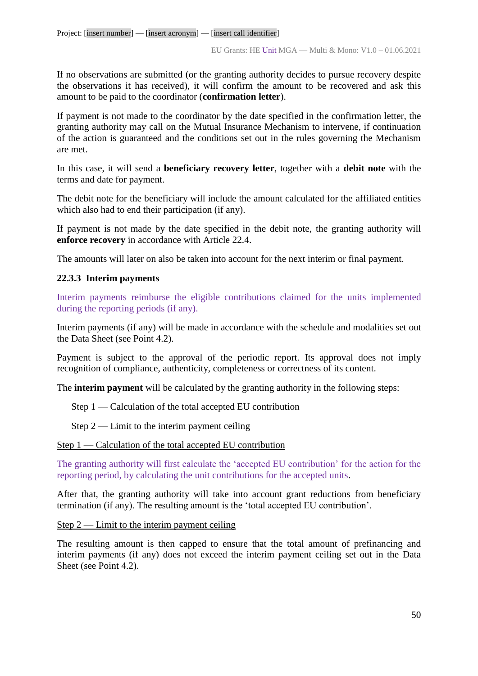If no observations are submitted (or the granting authority decides to pursue recovery despite the observations it has received), it will confirm the amount to be recovered and ask this amount to be paid to the coordinator (**confirmation letter**).

If payment is not made to the coordinator by the date specified in the confirmation letter, the granting authority may call on the Mutual Insurance Mechanism to intervene, if continuation of the action is guaranteed and the conditions set out in the rules governing the Mechanism are met.

In this case, it will send a **beneficiary recovery letter**, together with a **debit note** with the terms and date for payment.

The debit note for the beneficiary will include the amount calculated for the affiliated entities which also had to end their participation (if any).

If payment is not made by the date specified in the debit note, the granting authority will **enforce recovery** in accordance with Article 22.4.

The amounts will later on also be taken into account for the next interim or final payment.

## **22.3.3 Interim payments**

Interim payments reimburse the eligible contributions claimed for the units implemented during the reporting periods (if any).

Interim payments (if any) will be made in accordance with the schedule and modalities set out the Data Sheet (see Point 4.2).

Payment is subject to the approval of the periodic report. Its approval does not imply recognition of compliance, authenticity, completeness or correctness of its content.

The **interim payment** will be calculated by the granting authority in the following steps:

Step 1 — Calculation of the total accepted EU contribution

Step  $2$  — Limit to the interim payment ceiling

Step 1 — Calculation of the total accepted EU contribution

The granting authority will first calculate the 'accepted EU contribution' for the action for the reporting period, by calculating the unit contributions for the accepted units.

After that, the granting authority will take into account grant reductions from beneficiary termination (if any). The resulting amount is the 'total accepted EU contribution'.

Step  $2$  — Limit to the interim payment ceiling

The resulting amount is then capped to ensure that the total amount of prefinancing and interim payments (if any) does not exceed the interim payment ceiling set out in the Data Sheet (see Point 4.2).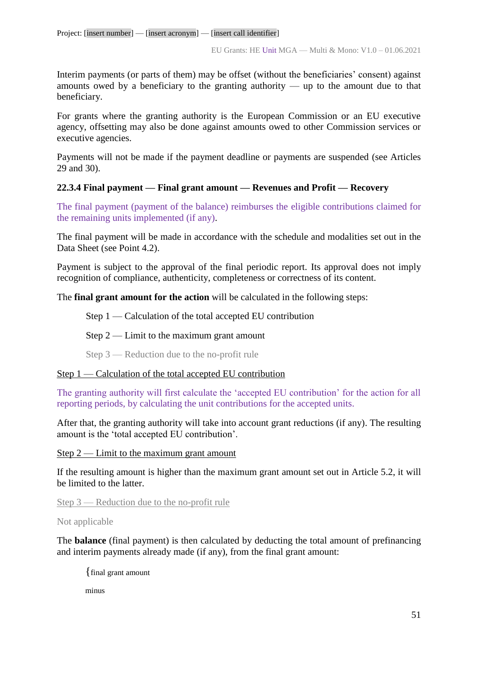Interim payments (or parts of them) may be offset (without the beneficiaries' consent) against amounts owed by a beneficiary to the granting authority — up to the amount due to that beneficiary.

For grants where the granting authority is the European Commission or an EU executive agency, offsetting may also be done against amounts owed to other Commission services or executive agencies.

Payments will not be made if the payment deadline or payments are suspended (see Articles 29 and 30).

## **22.3.4 Final payment — Final grant amount — Revenues and Profit — Recovery**

The final payment (payment of the balance) reimburses the eligible contributions claimed for the remaining units implemented (if any).

The final payment will be made in accordance with the schedule and modalities set out in the Data Sheet (see Point 4.2).

Payment is subject to the approval of the final periodic report. Its approval does not imply recognition of compliance, authenticity, completeness or correctness of its content.

The **final grant amount for the action** will be calculated in the following steps:

Step 1 — Calculation of the total accepted EU contribution

Step  $2$  — Limit to the maximum grant amount

Step 3 — Reduction due to the no-profit rule

## Step 1 — Calculation of the total accepted EU contribution

The granting authority will first calculate the 'accepted EU contribution' for the action for all reporting periods, by calculating the unit contributions for the accepted units.

After that, the granting authority will take into account grant reductions (if any). The resulting amount is the 'total accepted EU contribution'.

Step  $2$  — Limit to the maximum grant amount

If the resulting amount is higher than the maximum grant amount set out in Article 5.2, it will be limited to the latter.

Step 3 — Reduction due to the no-profit rule

Not applicable

The **balance** (final payment) is then calculated by deducting the total amount of prefinancing and interim payments already made (if any), from the final grant amount:

{final grant amount

minus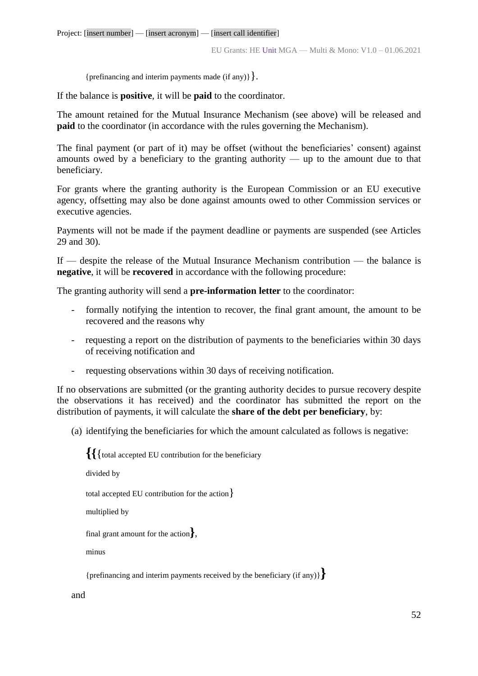{prefinancing and interim payments made (if any)  $\}$ .

If the balance is **positive**, it will be **paid** to the coordinator.

The amount retained for the Mutual Insurance Mechanism (see above) will be released and **paid** to the coordinator (in accordance with the rules governing the Mechanism).

The final payment (or part of it) may be offset (without the beneficiaries' consent) against amounts owed by a beneficiary to the granting authority — up to the amount due to that beneficiary.

For grants where the granting authority is the European Commission or an EU executive agency, offsetting may also be done against amounts owed to other Commission services or executive agencies.

Payments will not be made if the payment deadline or payments are suspended (see Articles 29 and 30).

If — despite the release of the Mutual Insurance Mechanism contribution — the balance is **negative**, it will be **recovered** in accordance with the following procedure:

The granting authority will send a **pre-information letter** to the coordinator:

- formally notifying the intention to recover, the final grant amount, the amount to be recovered and the reasons why
- requesting a report on the distribution of payments to the beneficiaries within 30 days of receiving notification and
- requesting observations within 30 days of receiving notification.

If no observations are submitted (or the granting authority decides to pursue recovery despite the observations it has received) and the coordinator has submitted the report on the distribution of payments, it will calculate the **share of the debt per beneficiary**, by:

(a) identifying the beneficiaries for which the amount calculated as follows is negative:

**{{**{total accepted EU contribution for the beneficiary divided by total accepted EU contribution for the action} multiplied by final grant amount for the action**}**, minus {prefinancing and interim payments received by the beneficiary (if any)}**}**

and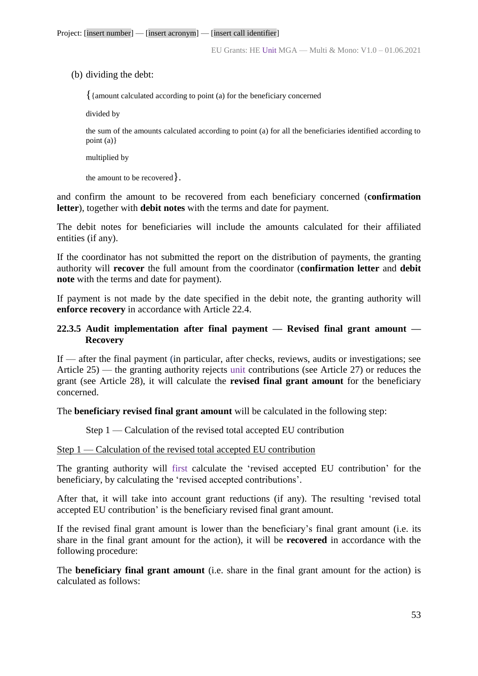(b) dividing the debt:

{{amount calculated according to point (a) for the beneficiary concerned

divided by

the sum of the amounts calculated according to point (a) for all the beneficiaries identified according to point (a)}

multiplied by

the amount to be recovered}.

and confirm the amount to be recovered from each beneficiary concerned (**confirmation letter**), together with **debit notes** with the terms and date for payment.

The debit notes for beneficiaries will include the amounts calculated for their affiliated entities (if any).

If the coordinator has not submitted the report on the distribution of payments, the granting authority will **recover** the full amount from the coordinator (**confirmation letter** and **debit note** with the terms and date for payment).

If payment is not made by the date specified in the debit note, the granting authority will **enforce recovery** in accordance with Article 22.4.

## **22.3.5 Audit implementation after final payment — Revised final grant amount — Recovery**

If — after the final payment (in particular, after checks, reviews, audits or investigations; see Article 25) — the granting authority rejects unit contributions (see Article 27) or reduces the grant (see Article 28), it will calculate the **revised final grant amount** for the beneficiary concerned.

The **beneficiary revised final grant amount** will be calculated in the following step:

Step 1 — Calculation of the revised total accepted EU contribution

#### Step 1 — Calculation of the revised total accepted EU contribution

The granting authority will first calculate the 'revised accepted EU contribution' for the beneficiary, by calculating the 'revised accepted contributions'.

After that, it will take into account grant reductions (if any). The resulting 'revised total accepted EU contribution' is the beneficiary revised final grant amount.

If the revised final grant amount is lower than the beneficiary's final grant amount (i.e. its share in the final grant amount for the action), it will be **recovered** in accordance with the following procedure:

The **beneficiary final grant amount** (i.e. share in the final grant amount for the action) is calculated as follows: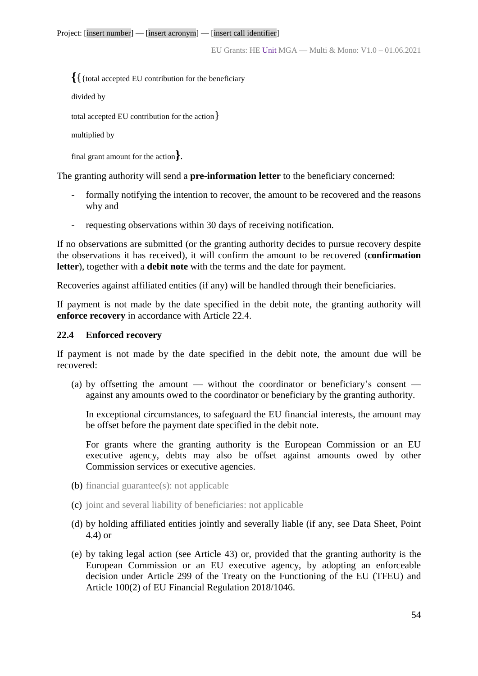EU Grants: HE Unit MGA — Multi & Mono: V1.0 – 01.06.2021

**{**{{total accepted EU contribution for the beneficiary

divided by

total accepted EU contribution for the action}

```
multiplied by
```
final grant amount for the action**}**.

The granting authority will send a **pre-information letter** to the beneficiary concerned:

- formally notifying the intention to recover, the amount to be recovered and the reasons why and
- requesting observations within 30 days of receiving notification.

If no observations are submitted (or the granting authority decides to pursue recovery despite the observations it has received), it will confirm the amount to be recovered (**confirmation letter**), together with a **debit note** with the terms and the date for payment.

Recoveries against affiliated entities (if any) will be handled through their beneficiaries.

If payment is not made by the date specified in the debit note, the granting authority will **enforce recovery** in accordance with Article 22.4.

## **22.4 Enforced recovery**

If payment is not made by the date specified in the debit note, the amount due will be recovered:

(a) by offsetting the amount — without the coordinator or beneficiary's consent against any amounts owed to the coordinator or beneficiary by the granting authority.

In exceptional circumstances, to safeguard the EU financial interests, the amount may be offset before the payment date specified in the debit note.

For grants where the granting authority is the European Commission or an EU executive agency, debts may also be offset against amounts owed by other Commission services or executive agencies.

- (b) financial guarantee(s): not applicable
- (c) joint and several liability of beneficiaries: not applicable
- (d) by holding affiliated entities jointly and severally liable (if any, see Data Sheet, Point 4.4) or
- (e) by taking legal action (see Article 43) or, provided that the granting authority is the European Commission or an EU executive agency, by adopting an enforceable decision under Article 299 of the Treaty on the Functioning of the EU (TFEU) and Article 100(2) of EU Financial Regulation 2018/1046.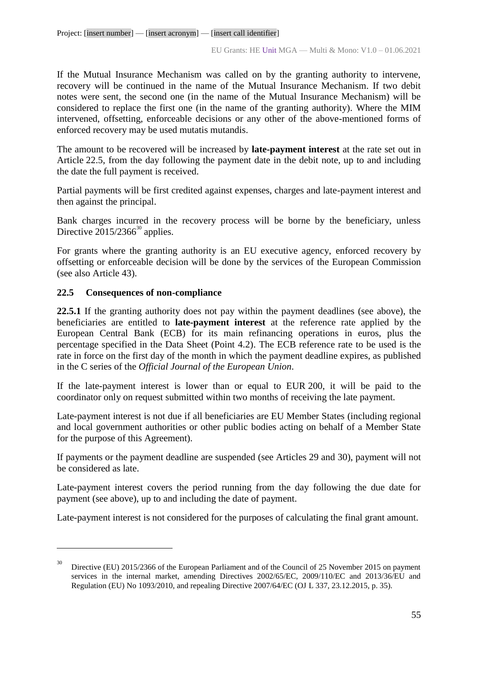If the Mutual Insurance Mechanism was called on by the granting authority to intervene, recovery will be continued in the name of the Mutual Insurance Mechanism. If two debit notes were sent, the second one (in the name of the Mutual Insurance Mechanism) will be considered to replace the first one (in the name of the granting authority). Where the MIM intervened, offsetting, enforceable decisions or any other of the above-mentioned forms of enforced recovery may be used mutatis mutandis.

The amount to be recovered will be increased by **late-payment interest** at the rate set out in Article 22.5, from the day following the payment date in the debit note, up to and including the date the full payment is received.

Partial payments will be first credited against expenses, charges and late-payment interest and then against the principal.

Bank charges incurred in the recovery process will be borne by the beneficiary, unless Directive  $2015/2366^{30}$  applies.

For grants where the granting authority is an EU executive agency, enforced recovery by offsetting or enforceable decision will be done by the services of the European Commission (see also Article 43).

## **22.5 Consequences of non-compliance**

 $\overline{a}$ 

**22.5.1** If the granting authority does not pay within the payment deadlines (see above), the beneficiaries are entitled to **late-payment interest** at the reference rate applied by the European Central Bank (ECB) for its main refinancing operations in euros, plus the percentage specified in the Data Sheet (Point 4.2). The ECB reference rate to be used is the rate in force on the first day of the month in which the payment deadline expires, as published in the C series of the *Official Journal of the European Union*.

If the late-payment interest is lower than or equal to EUR 200, it will be paid to the coordinator only on request submitted within two months of receiving the late payment.

Late-payment interest is not due if all beneficiaries are EU Member States (including regional and local government authorities or other public bodies acting on behalf of a Member State for the purpose of this Agreement).

If payments or the payment deadline are suspended (see Articles 29 and 30), payment will not be considered as late.

Late-payment interest covers the period running from the day following the due date for payment (see above), up to and including the date of payment.

Late-payment interest is not considered for the purposes of calculating the final grant amount.

<sup>30</sup> Directive (EU) 2015/2366 of the European Parliament and of the Council of 25 November 2015 on payment services in the internal market, amending Directives 2002/65/EC, 2009/110/EC and 2013/36/EU and Regulation (EU) No 1093/2010, and repealing Directive 2007/64/EC (OJ L 337, 23.12.2015, p. 35).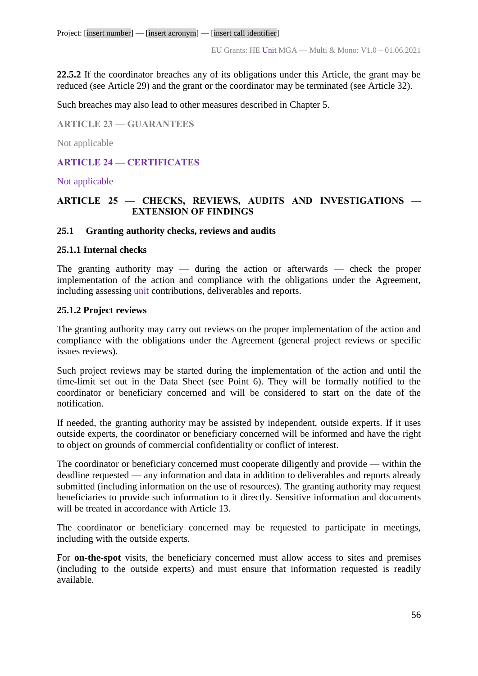**22.5.2** If the coordinator breaches any of its obligations under this Article, the grant may be reduced (see Article 29) and the grant or the coordinator may be terminated (see Article 32).

Such breaches may also lead to other measures described in Chapter 5.

**ARTICLE 23 — GUARANTEES**

Not applicable

## **ARTICLE 24 — CERTIFICATES**

#### Not applicable

## **ARTICLE 25 — CHECKS, REVIEWS, AUDITS AND INVESTIGATIONS — EXTENSION OF FINDINGS**

#### **25.1 Granting authority checks, reviews and audits**

#### **25.1.1 Internal checks**

The granting authority may — during the action or afterwards — check the proper implementation of the action and compliance with the obligations under the Agreement, including assessing unit contributions, deliverables and reports.

#### **25.1.2 Project reviews**

The granting authority may carry out reviews on the proper implementation of the action and compliance with the obligations under the Agreement (general project reviews or specific issues reviews).

Such project reviews may be started during the implementation of the action and until the time-limit set out in the Data Sheet (see Point 6). They will be formally notified to the coordinator or beneficiary concerned and will be considered to start on the date of the notification.

If needed, the granting authority may be assisted by independent, outside experts. If it uses outside experts, the coordinator or beneficiary concerned will be informed and have the right to object on grounds of commercial confidentiality or conflict of interest.

The coordinator or beneficiary concerned must cooperate diligently and provide — within the deadline requested — any information and data in addition to deliverables and reports already submitted (including information on the use of resources). The granting authority may request beneficiaries to provide such information to it directly. Sensitive information and documents will be treated in accordance with Article 13.

The coordinator or beneficiary concerned may be requested to participate in meetings, including with the outside experts.

For **on-the-spot** visits, the beneficiary concerned must allow access to sites and premises (including to the outside experts) and must ensure that information requested is readily available.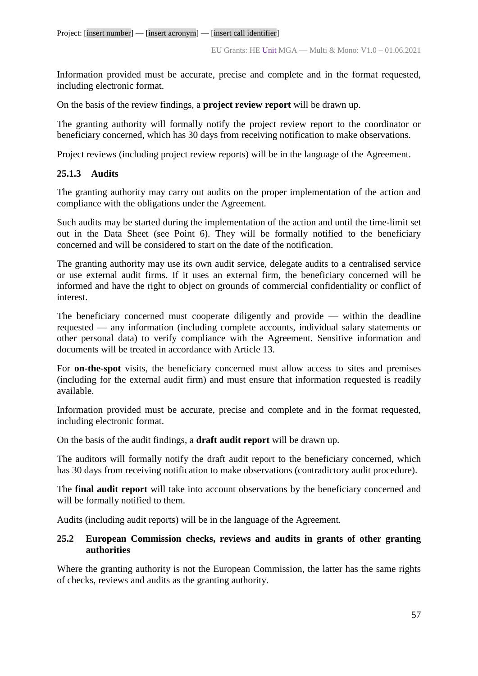Information provided must be accurate, precise and complete and in the format requested, including electronic format.

On the basis of the review findings, a **project review report** will be drawn up.

The granting authority will formally notify the project review report to the coordinator or beneficiary concerned, which has 30 days from receiving notification to make observations.

Project reviews (including project review reports) will be in the language of the Agreement.

## **25.1.3 Audits**

The granting authority may carry out audits on the proper implementation of the action and compliance with the obligations under the Agreement.

Such audits may be started during the implementation of the action and until the time-limit set out in the Data Sheet (see Point 6). They will be formally notified to the beneficiary concerned and will be considered to start on the date of the notification.

The granting authority may use its own audit service, delegate audits to a centralised service or use external audit firms. If it uses an external firm, the beneficiary concerned will be informed and have the right to object on grounds of commercial confidentiality or conflict of interest.

The beneficiary concerned must cooperate diligently and provide — within the deadline requested — any information (including complete accounts, individual salary statements or other personal data) to verify compliance with the Agreement. Sensitive information and documents will be treated in accordance with Article 13.

For **on-the-spot** visits, the beneficiary concerned must allow access to sites and premises (including for the external audit firm) and must ensure that information requested is readily available.

Information provided must be accurate, precise and complete and in the format requested, including electronic format.

On the basis of the audit findings, a **draft audit report** will be drawn up.

The auditors will formally notify the draft audit report to the beneficiary concerned, which has 30 days from receiving notification to make observations (contradictory audit procedure).

The **final audit report** will take into account observations by the beneficiary concerned and will be formally notified to them.

Audits (including audit reports) will be in the language of the Agreement.

## **25.2 European Commission checks, reviews and audits in grants of other granting authorities**

Where the granting authority is not the European Commission, the latter has the same rights of checks, reviews and audits as the granting authority.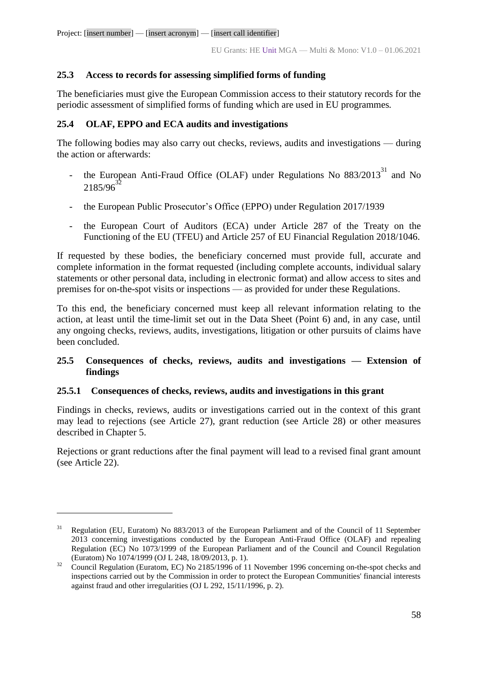## **25.3 Access to records for assessing simplified forms of funding**

The beneficiaries must give the European Commission access to their statutory records for the periodic assessment of simplified forms of funding which are used in EU programmes*.*

## **25.4 OLAF, EPPO and ECA audits and investigations**

The following bodies may also carry out checks, reviews, audits and investigations — during the action or afterwards:

- the European Anti-Fraud Office (OLAF) under Regulations No  $883/2013<sup>31</sup>$  and No 2185/96
- the European Public Prosecutor's Office (EPPO) under Regulation 2017/1939
- the European Court of Auditors (ECA) under Article 287 of the Treaty on the Functioning of the EU (TFEU) and Article 257 of EU Financial Regulation 2018/1046.

If requested by these bodies, the beneficiary concerned must provide full, accurate and complete information in the format requested (including complete accounts, individual salary statements or other personal data, including in electronic format) and allow access to sites and premises for on-the-spot visits or inspections — as provided for under these Regulations.

To this end, the beneficiary concerned must keep all relevant information relating to the action, at least until the time-limit set out in the Data Sheet (Point 6) and, in any case, until any ongoing checks, reviews, audits, investigations, litigation or other pursuits of claims have been concluded.

## **25.5 Consequences of checks, reviews, audits and investigations — Extension of findings**

## **25.5.1 Consequences of checks, reviews, audits and investigations in this grant**

 $\overline{a}$ 

Findings in checks, reviews, audits or investigations carried out in the context of this grant may lead to rejections (see Article 27), grant reduction (see Article 28) or other measures described in Chapter 5.

Rejections or grant reductions after the final payment will lead to a revised final grant amount (see Article 22).

 $31$  Regulation (EU, Euratom) No 883/2013 of the European Parliament and of the Council of 11 September 2013 concerning investigations conducted by the European Anti-Fraud Office (OLAF) and repealing Regulation (EC) No 1073/1999 of the European Parliament and of the Council and Council Regulation (Euratom) No 1074/1999 (OJ L 248, 18/09/2013, p. 1).

 $32$  Council Regulation (Euratom, EC) No 2185/1996 of 11 November 1996 concerning on-the-spot checks and inspections carried out by the Commission in order to protect the European Communities' financial interests against fraud and other irregularities (OJ L 292, 15/11/1996, p. 2).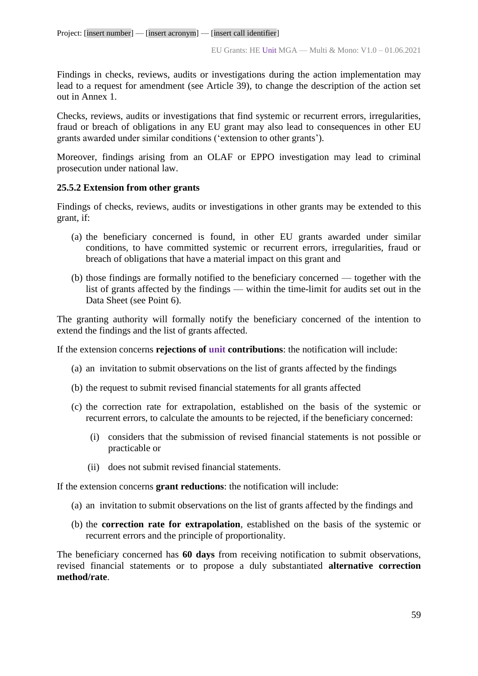Findings in checks, reviews, audits or investigations during the action implementation may lead to a request for amendment (see Article 39), to change the description of the action set out in Annex 1.

Checks, reviews, audits or investigations that find systemic or recurrent errors, irregularities, fraud or breach of obligations in any EU grant may also lead to consequences in other EU grants awarded under similar conditions ('extension to other grants').

Moreover, findings arising from an OLAF or EPPO investigation may lead to criminal prosecution under national law.

## **25.5.2 Extension from other grants**

Findings of checks, reviews, audits or investigations in other grants may be extended to this grant, if:

- (a) the beneficiary concerned is found, in other EU grants awarded under similar conditions, to have committed systemic or recurrent errors, irregularities, fraud or breach of obligations that have a material impact on this grant and
- (b) those findings are formally notified to the beneficiary concerned together with the list of grants affected by the findings — within the time-limit for audits set out in the Data Sheet (see Point 6).

The granting authority will formally notify the beneficiary concerned of the intention to extend the findings and the list of grants affected.

If the extension concerns **rejections of unit contributions**: the notification will include:

- (a) an invitation to submit observations on the list of grants affected by the findings
- (b) the request to submit revised financial statements for all grants affected
- (c) the correction rate for extrapolation, established on the basis of the systemic or recurrent errors, to calculate the amounts to be rejected, if the beneficiary concerned:
	- (i) considers that the submission of revised financial statements is not possible or practicable or
	- (ii) does not submit revised financial statements.

If the extension concerns **grant reductions**: the notification will include:

- (a) an invitation to submit observations on the list of grants affected by the findings and
- (b) the **correction rate for extrapolation**, established on the basis of the systemic or recurrent errors and the principle of proportionality.

The beneficiary concerned has **60 days** from receiving notification to submit observations, revised financial statements or to propose a duly substantiated **alternative correction method/rate**.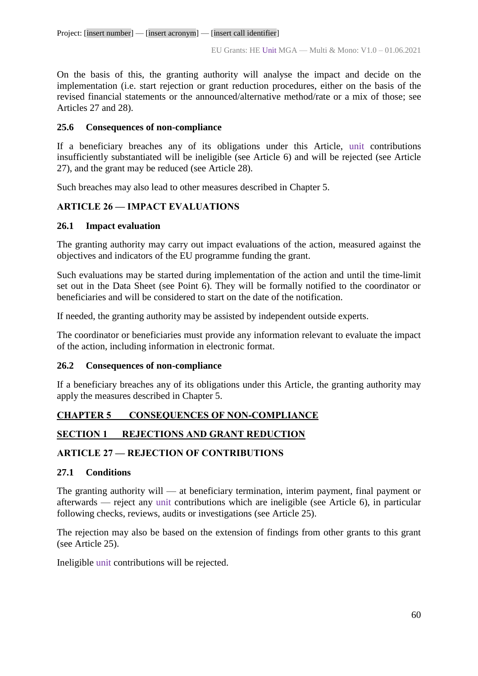On the basis of this, the granting authority will analyse the impact and decide on the implementation (i.e. start rejection or grant reduction procedures, either on the basis of the revised financial statements or the announced/alternative method/rate or a mix of those; see Articles 27 and 28).

## **25.6 Consequences of non-compliance**

If a beneficiary breaches any of its obligations under this Article, unit contributions insufficiently substantiated will be ineligible (see Article 6) and will be rejected (see Article 27), and the grant may be reduced (see Article 28).

Such breaches may also lead to other measures described in Chapter 5.

# **ARTICLE 26 — IMPACT EVALUATIONS**

## **26.1 Impact evaluation**

The granting authority may carry out impact evaluations of the action, measured against the objectives and indicators of the EU programme funding the grant.

Such evaluations may be started during implementation of the action and until the time-limit set out in the Data Sheet (see Point 6). They will be formally notified to the coordinator or beneficiaries and will be considered to start on the date of the notification.

If needed, the granting authority may be assisted by independent outside experts.

The coordinator or beneficiaries must provide any information relevant to evaluate the impact of the action, including information in electronic format.

## **26.2 Consequences of non-compliance**

If a beneficiary breaches any of its obligations under this Article, the granting authority may apply the measures described in Chapter 5.

# **CHAPTER 5 CONSEQUENCES OF NON-COMPLIANCE**

## **SECTION 1 REJECTIONS AND GRANT REDUCTION**

## **ARTICLE 27 — REJECTION OF CONTRIBUTIONS**

## **27.1 Conditions**

The granting authority will — at beneficiary termination, interim payment, final payment or afterwards — reject any unit contributions which are ineligible (see Article 6), in particular following checks, reviews, audits or investigations (see Article 25).

The rejection may also be based on the extension of findings from other grants to this grant (see Article 25).

Ineligible unit contributions will be rejected.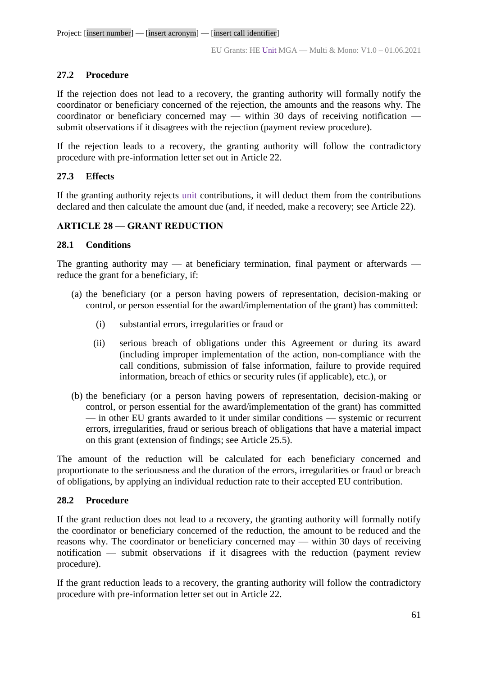## **27.2 Procedure**

If the rejection does not lead to a recovery, the granting authority will formally notify the coordinator or beneficiary concerned of the rejection, the amounts and the reasons why. The coordinator or beneficiary concerned may — within 30 days of receiving notification submit observations if it disagrees with the rejection (payment review procedure).

If the rejection leads to a recovery, the granting authority will follow the contradictory procedure with pre-information letter set out in Article 22.

## **27.3 Effects**

If the granting authority rejects unit contributions, it will deduct them from the contributions declared and then calculate the amount due (and, if needed, make a recovery; see Article 22).

## **ARTICLE 28 — GRANT REDUCTION**

## **28.1 Conditions**

The granting authority may — at beneficiary termination, final payment or afterwards reduce the grant for a beneficiary, if:

- (a) the beneficiary (or a person having powers of representation, decision-making or control, or person essential for the award/implementation of the grant) has committed:
	- (i) substantial errors, irregularities or fraud or
	- (ii) serious breach of obligations under this Agreement or during its award (including improper implementation of the action, non-compliance with the call conditions, submission of false information, failure to provide required information, breach of ethics or security rules (if applicable), etc.), or
- (b) the beneficiary (or a person having powers of representation, decision-making or control, or person essential for the award/implementation of the grant) has committed — in other EU grants awarded to it under similar conditions — systemic or recurrent errors, irregularities, fraud or serious breach of obligations that have a material impact on this grant (extension of findings; see Article 25.5).

The amount of the reduction will be calculated for each beneficiary concerned and proportionate to the seriousness and the duration of the errors, irregularities or fraud or breach of obligations, by applying an individual reduction rate to their accepted EU contribution.

## **28.2 Procedure**

If the grant reduction does not lead to a recovery, the granting authority will formally notify the coordinator or beneficiary concerned of the reduction, the amount to be reduced and the reasons why. The coordinator or beneficiary concerned may — within 30 days of receiving notification — submit observations if it disagrees with the reduction (payment review procedure).

If the grant reduction leads to a recovery, the granting authority will follow the contradictory procedure with pre-information letter set out in Article 22.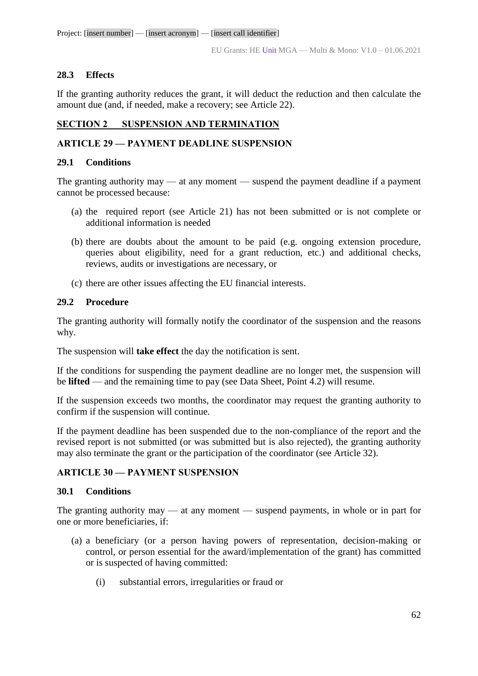## **28.3 Effects**

If the granting authority reduces the grant, it will deduct the reduction and then calculate the amount due (and, if needed, make a recovery; see Article 22).

## **SECTION 2 SUSPENSION AND TERMINATION**

## **ARTICLE 29 — PAYMENT DEADLINE SUSPENSION**

## **29.1 Conditions**

The granting authority may — at any moment — suspend the payment deadline if a payment cannot be processed because:

- (a) the required report (see Article 21) has not been submitted or is not complete or additional information is needed
- (b) there are doubts about the amount to be paid (e.g. ongoing extension procedure, queries about eligibility, need for a grant reduction, etc.) and additional checks, reviews, audits or investigations are necessary, or
- (c) there are other issues affecting the EU financial interests.

## **29.2 Procedure**

The granting authority will formally notify the coordinator of the suspension and the reasons why.

The suspension will **take effect** the day the notification is sent.

If the conditions for suspending the payment deadline are no longer met, the suspension will be **lifted** — and the remaining time to pay (see Data Sheet, Point 4.2) will resume.

If the suspension exceeds two months, the coordinator may request the granting authority to confirm if the suspension will continue.

If the payment deadline has been suspended due to the non-compliance of the report and the revised report is not submitted (or was submitted but is also rejected), the granting authority may also terminate the grant or the participation of the coordinator (see Article 32).

## **ARTICLE 30 — PAYMENT SUSPENSION**

## **30.1 Conditions**

The granting authority may — at any moment — suspend payments, in whole or in part for one or more beneficiaries, if:

- (a) a beneficiary (or a person having powers of representation, decision-making or control, or person essential for the award/implementation of the grant) has committed or is suspected of having committed:
	- (i) substantial errors, irregularities or fraud or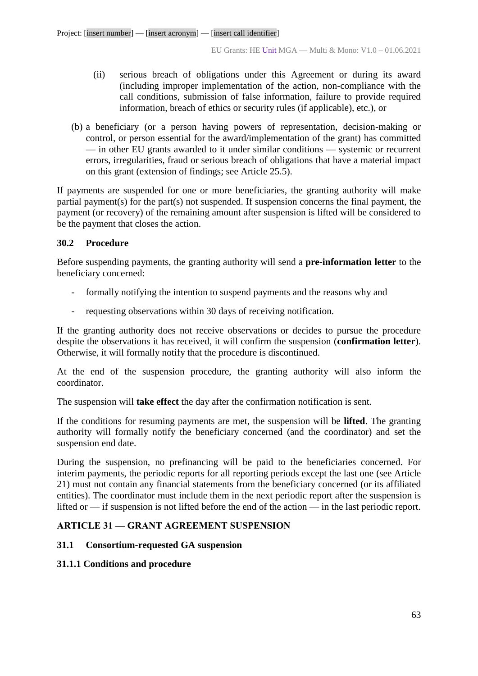- (ii) serious breach of obligations under this Agreement or during its award (including improper implementation of the action, non-compliance with the call conditions, submission of false information, failure to provide required information, breach of ethics or security rules (if applicable), etc.), or
- (b) a beneficiary (or a person having powers of representation, decision-making or control, or person essential for the award/implementation of the grant) has committed — in other EU grants awarded to it under similar conditions — systemic or recurrent errors, irregularities, fraud or serious breach of obligations that have a material impact on this grant (extension of findings; see Article 25.5).

If payments are suspended for one or more beneficiaries, the granting authority will make partial payment(s) for the part(s) not suspended. If suspension concerns the final payment, the payment (or recovery) of the remaining amount after suspension is lifted will be considered to be the payment that closes the action.

## **30.2 Procedure**

Before suspending payments, the granting authority will send a **pre-information letter** to the beneficiary concerned:

- formally notifying the intention to suspend payments and the reasons why and
- requesting observations within 30 days of receiving notification.

If the granting authority does not receive observations or decides to pursue the procedure despite the observations it has received, it will confirm the suspension (**confirmation letter**). Otherwise, it will formally notify that the procedure is discontinued.

At the end of the suspension procedure, the granting authority will also inform the coordinator.

The suspension will **take effect** the day after the confirmation notification is sent.

If the conditions for resuming payments are met, the suspension will be **lifted**. The granting authority will formally notify the beneficiary concerned (and the coordinator) and set the suspension end date.

During the suspension, no prefinancing will be paid to the beneficiaries concerned. For interim payments, the periodic reports for all reporting periods except the last one (see Article 21) must not contain any financial statements from the beneficiary concerned (or its affiliated entities). The coordinator must include them in the next periodic report after the suspension is lifted or — if suspension is not lifted before the end of the action — in the last periodic report.

## **ARTICLE 31 — GRANT AGREEMENT SUSPENSION**

## **31.1 Consortium-requested GA suspension**

## **31.1.1 Conditions and procedure**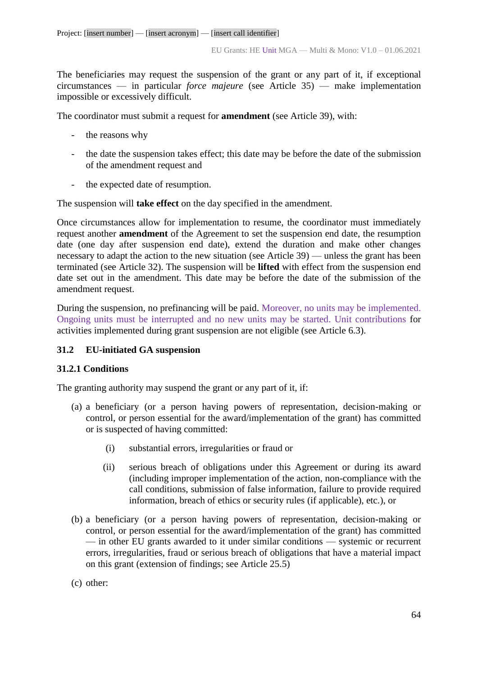The beneficiaries may request the suspension of the grant or any part of it, if exceptional circumstances — in particular *force majeure* (see Article 35) — make implementation impossible or excessively difficult.

The coordinator must submit a request for **amendment** (see Article 39), with:

- the reasons why
- the date the suspension takes effect; this date may be before the date of the submission of the amendment request and
- the expected date of resumption.

The suspension will **take effect** on the day specified in the amendment.

Once circumstances allow for implementation to resume, the coordinator must immediately request another **amendment** of the Agreement to set the suspension end date, the resumption date (one day after suspension end date), extend the duration and make other changes necessary to adapt the action to the new situation (see Article 39) — unless the grant has been terminated (see Article 32). The suspension will be **lifted** with effect from the suspension end date set out in the amendment. This date may be before the date of the submission of the amendment request.

During the suspension, no prefinancing will be paid. Moreover, no units may be implemented. Ongoing units must be interrupted and no new units may be started. Unit contributions for activities implemented during grant suspension are not eligible (see Article 6.3).

## **31.2 EU-initiated GA suspension**

## **31.2.1 Conditions**

The granting authority may suspend the grant or any part of it, if:

- (a) a beneficiary (or a person having powers of representation, decision-making or control, or person essential for the award/implementation of the grant) has committed or is suspected of having committed:
	- (i) substantial errors, irregularities or fraud or
	- (ii) serious breach of obligations under this Agreement or during its award (including improper implementation of the action, non-compliance with the call conditions, submission of false information, failure to provide required information, breach of ethics or security rules (if applicable), etc.), or
- (b) a beneficiary (or a person having powers of representation, decision-making or control, or person essential for the award/implementation of the grant) has committed — in other EU grants awarded to it under similar conditions — systemic or recurrent errors, irregularities, fraud or serious breach of obligations that have a material impact on this grant (extension of findings; see Article 25.5)
- (c) other: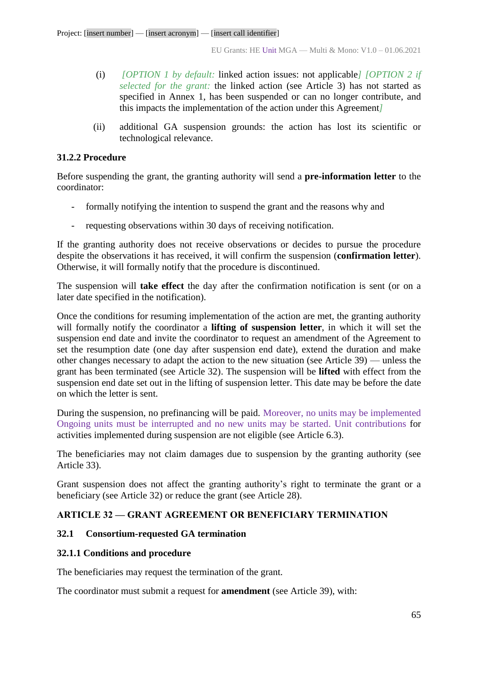- (i) *[OPTION 1 by default:* linked action issues: not applicable*] [OPTION 2 if selected for the grant:* the linked action (see Article 3) has not started as specified in Annex 1, has been suspended or can no longer contribute, and this impacts the implementation of the action under this Agreement*]*
- (ii) additional GA suspension grounds: the action has lost its scientific or technological relevance.

## **31.2.2 Procedure**

Before suspending the grant, the granting authority will send a **pre-information letter** to the coordinator:

- formally notifying the intention to suspend the grant and the reasons why and
- requesting observations within 30 days of receiving notification.

If the granting authority does not receive observations or decides to pursue the procedure despite the observations it has received, it will confirm the suspension (**confirmation letter**). Otherwise, it will formally notify that the procedure is discontinued.

The suspension will **take effect** the day after the confirmation notification is sent (or on a later date specified in the notification).

Once the conditions for resuming implementation of the action are met, the granting authority will formally notify the coordinator a **lifting of suspension letter**, in which it will set the suspension end date and invite the coordinator to request an amendment of the Agreement to set the resumption date (one day after suspension end date), extend the duration and make other changes necessary to adapt the action to the new situation (see Article 39) — unless the grant has been terminated (see Article 32). The suspension will be **lifted** with effect from the suspension end date set out in the lifting of suspension letter. This date may be before the date on which the letter is sent.

During the suspension, no prefinancing will be paid. Moreover, no units may be implemented Ongoing units must be interrupted and no new units may be started. Unit contributions for activities implemented during suspension are not eligible (see Article 6.3).

The beneficiaries may not claim damages due to suspension by the granting authority (see Article 33).

Grant suspension does not affect the granting authority's right to terminate the grant or a beneficiary (see Article 32) or reduce the grant (see Article 28).

## **ARTICLE 32 — GRANT AGREEMENT OR BENEFICIARY TERMINATION**

## **32.1 Consortium-requested GA termination**

## **32.1.1 Conditions and procedure**

The beneficiaries may request the termination of the grant.

The coordinator must submit a request for **amendment** (see Article 39), with: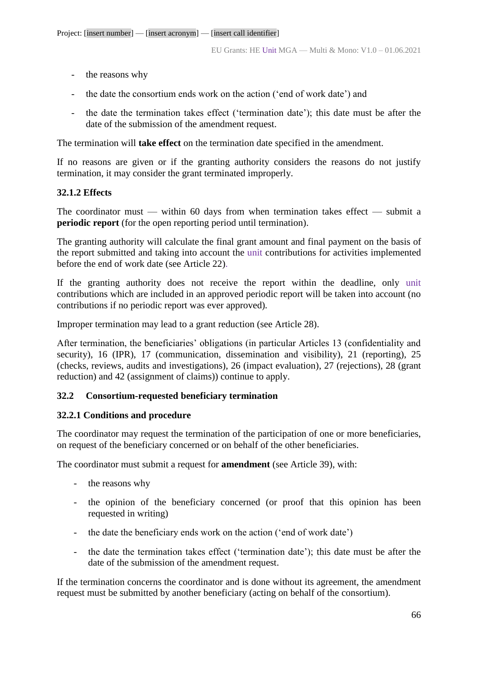- the reasons why
- the date the consortium ends work on the action ('end of work date') and
- the date the termination takes effect ('termination date'); this date must be after the date of the submission of the amendment request.

The termination will **take effect** on the termination date specified in the amendment.

If no reasons are given or if the granting authority considers the reasons do not justify termination, it may consider the grant terminated improperly.

## **32.1.2 Effects**

The coordinator must — within 60 days from when termination takes effect — submit a **periodic report** (for the open reporting period until termination).

The granting authority will calculate the final grant amount and final payment on the basis of the report submitted and taking into account the unit contributions for activities implemented before the end of work date (see Article 22).

If the granting authority does not receive the report within the deadline, only unit contributions which are included in an approved periodic report will be taken into account (no contributions if no periodic report was ever approved)*.*

Improper termination may lead to a grant reduction (see Article 28).

After termination, the beneficiaries' obligations (in particular Articles 13 (confidentiality and security), 16 (IPR), 17 (communication, dissemination and visibility), 21 (reporting), 25 (checks, reviews, audits and investigations), 26 (impact evaluation), 27 (rejections), 28 (grant reduction) and 42 (assignment of claims)) continue to apply.

## **32.2 Consortium-requested beneficiary termination**

## **32.2.1 Conditions and procedure**

The coordinator may request the termination of the participation of one or more beneficiaries, on request of the beneficiary concerned or on behalf of the other beneficiaries.

The coordinator must submit a request for **amendment** (see Article 39), with:

- the reasons why
- the opinion of the beneficiary concerned (or proof that this opinion has been requested in writing)
- the date the beneficiary ends work on the action ('end of work date')
- the date the termination takes effect ('termination date'); this date must be after the date of the submission of the amendment request.

If the termination concerns the coordinator and is done without its agreement, the amendment request must be submitted by another beneficiary (acting on behalf of the consortium).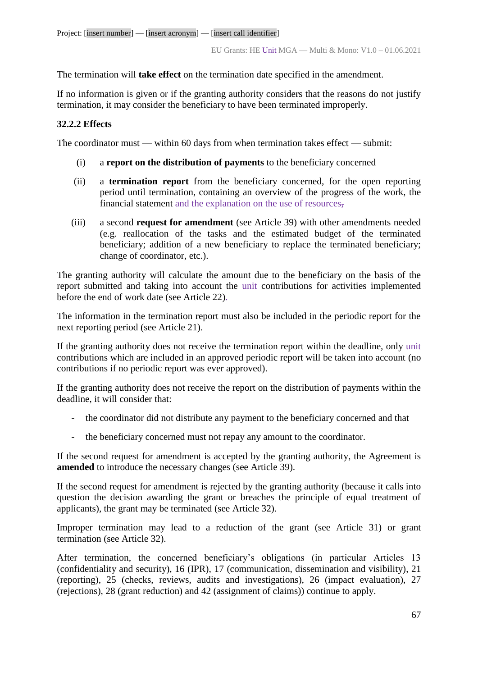The termination will **take effect** on the termination date specified in the amendment.

If no information is given or if the granting authority considers that the reasons do not justify termination, it may consider the beneficiary to have been terminated improperly.

## **32.2.2 Effects**

The coordinator must — within 60 days from when termination takes effect — submit:

- (i) a **report on the distribution of payments** to the beneficiary concerned
- (ii) a **termination report** from the beneficiary concerned, for the open reporting period until termination, containing an overview of the progress of the work, the financial statement and the explanation on the use of resources,
- (iii) a second **request for amendment** (see Article 39) with other amendments needed (e.g. reallocation of the tasks and the estimated budget of the terminated beneficiary; addition of a new beneficiary to replace the terminated beneficiary; change of coordinator, etc.).

The granting authority will calculate the amount due to the beneficiary on the basis of the report submitted and taking into account the unit contributions for activities implemented before the end of work date (see Article 22).

The information in the termination report must also be included in the periodic report for the next reporting period (see Article 21).

If the granting authority does not receive the termination report within the deadline, only unit contributions which are included in an approved periodic report will be taken into account (no contributions if no periodic report was ever approved).

If the granting authority does not receive the report on the distribution of payments within the deadline, it will consider that:

- the coordinator did not distribute any payment to the beneficiary concerned and that
- the beneficiary concerned must not repay any amount to the coordinator.

If the second request for amendment is accepted by the granting authority, the Agreement is **amended** to introduce the necessary changes (see Article 39).

If the second request for amendment is rejected by the granting authority (because it calls into question the decision awarding the grant or breaches the principle of equal treatment of applicants), the grant may be terminated (see Article 32).

Improper termination may lead to a reduction of the grant (see Article 31) or grant termination (see Article 32).

After termination, the concerned beneficiary's obligations (in particular Articles 13 (confidentiality and security), 16 (IPR), 17 (communication, dissemination and visibility), 21 (reporting), 25 (checks, reviews, audits and investigations), 26 (impact evaluation), 27 (rejections), 28 (grant reduction) and 42 (assignment of claims)) continue to apply.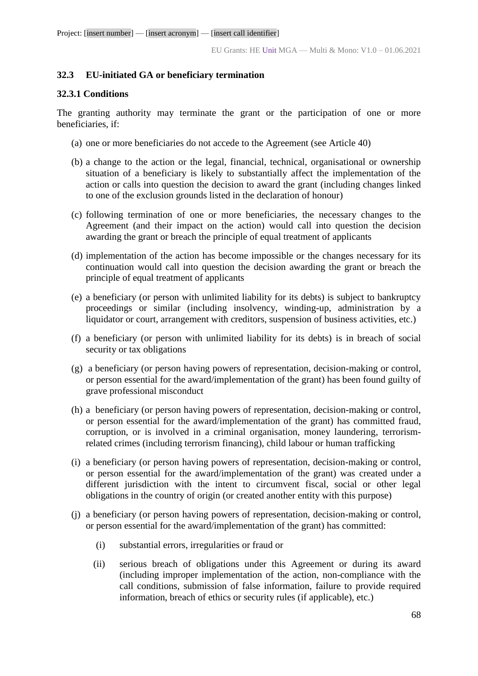## **32.3 EU-initiated GA or beneficiary termination**

#### **32.3.1 Conditions**

The granting authority may terminate the grant or the participation of one or more beneficiaries, if:

- (a) one or more beneficiaries do not accede to the Agreement (see Article 40)
- (b) a change to the action or the legal, financial, technical, organisational or ownership situation of a beneficiary is likely to substantially affect the implementation of the action or calls into question the decision to award the grant (including changes linked to one of the exclusion grounds listed in the declaration of honour)
- (c) following termination of one or more beneficiaries, the necessary changes to the Agreement (and their impact on the action) would call into question the decision awarding the grant or breach the principle of equal treatment of applicants
- (d) implementation of the action has become impossible or the changes necessary for its continuation would call into question the decision awarding the grant or breach the principle of equal treatment of applicants
- (e) a beneficiary (or person with unlimited liability for its debts) is subject to bankruptcy proceedings or similar (including insolvency, winding-up, administration by a liquidator or court, arrangement with creditors, suspension of business activities, etc.)
- (f) a beneficiary (or person with unlimited liability for its debts) is in breach of social security or tax obligations
- (g) a beneficiary (or person having powers of representation, decision-making or control, or person essential for the award/implementation of the grant) has been found guilty of grave professional misconduct
- (h) a beneficiary (or person having powers of representation, decision-making or control, or person essential for the award/implementation of the grant) has committed fraud, corruption, or is involved in a criminal organisation, money laundering, terrorismrelated crimes (including terrorism financing), child labour or human trafficking
- (i) a beneficiary (or person having powers of representation, decision-making or control, or person essential for the award/implementation of the grant) was created under a different jurisdiction with the intent to circumvent fiscal, social or other legal obligations in the country of origin (or created another entity with this purpose)
- (j) a beneficiary (or person having powers of representation, decision-making or control, or person essential for the award/implementation of the grant) has committed:
	- (i) substantial errors, irregularities or fraud or
	- (ii) serious breach of obligations under this Agreement or during its award (including improper implementation of the action, non-compliance with the call conditions, submission of false information, failure to provide required information, breach of ethics or security rules (if applicable), etc.)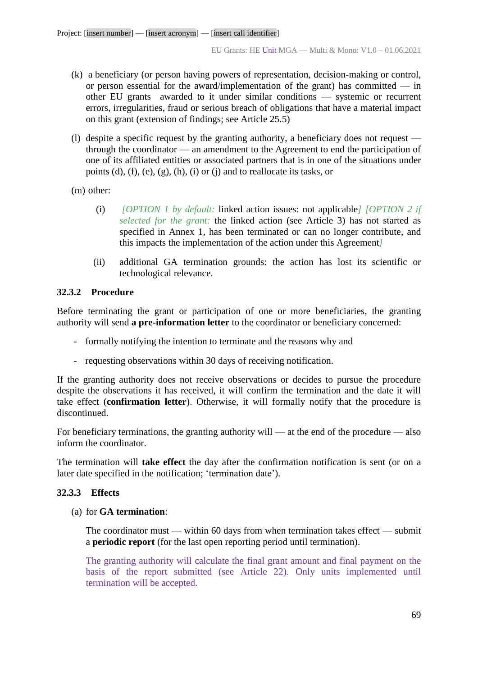- (k) a beneficiary (or person having powers of representation, decision-making or control, or person essential for the award/implementation of the grant) has committed — in other EU grants awarded to it under similar conditions — systemic or recurrent errors, irregularities, fraud or serious breach of obligations that have a material impact on this grant (extension of findings; see Article 25.5)
- (l) despite a specific request by the granting authority, a beneficiary does not request through the coordinator — an amendment to the Agreement to end the participation of one of its affiliated entities or associated partners that is in one of the situations under points (d), (f), (e), (g), (h), (i) or (j) and to reallocate its tasks, or
- (m) other:
	- (i) *[OPTION 1 by default:* linked action issues: not applicable*] [OPTION 2 if selected for the grant:* the linked action (see Article 3) has not started as specified in Annex 1, has been terminated or can no longer contribute, and this impacts the implementation of the action under this Agreement*]*
	- (ii) additional GA termination grounds: the action has lost its scientific or technological relevance.

## **32.3.2 Procedure**

Before terminating the grant or participation of one or more beneficiaries, the granting authority will send **a pre-information letter** to the coordinator or beneficiary concerned:

- formally notifying the intention to terminate and the reasons why and
- requesting observations within 30 days of receiving notification.

If the granting authority does not receive observations or decides to pursue the procedure despite the observations it has received, it will confirm the termination and the date it will take effect (**confirmation letter**). Otherwise, it will formally notify that the procedure is discontinued.

For beneficiary terminations, the granting authority will — at the end of the procedure — also inform the coordinator.

The termination will **take effect** the day after the confirmation notification is sent (or on a later date specified in the notification; 'termination date').

## **32.3.3 Effects**

(a) for **GA termination**:

The coordinator must — within 60 days from when termination takes effect — submit a **periodic report** (for the last open reporting period until termination).

The granting authority will calculate the final grant amount and final payment on the basis of the report submitted (see Article 22). Only units implemented until termination will be accepted.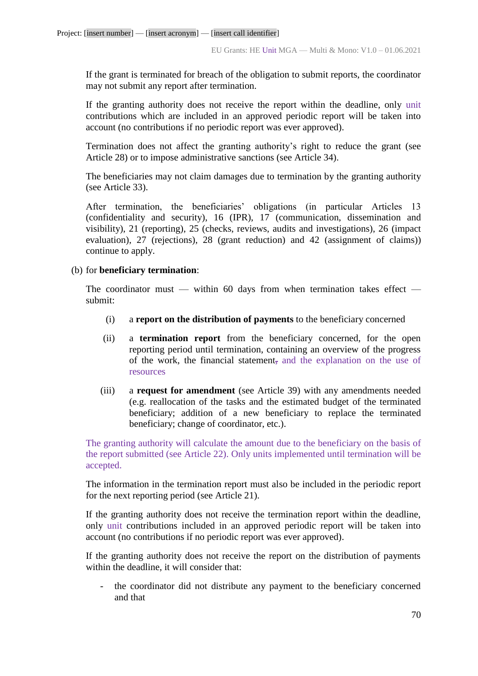If the grant is terminated for breach of the obligation to submit reports, the coordinator may not submit any report after termination.

If the granting authority does not receive the report within the deadline, only unit contributions which are included in an approved periodic report will be taken into account (no contributions if no periodic report was ever approved).

Termination does not affect the granting authority's right to reduce the grant (see Article 28) or to impose administrative sanctions (see Article 34).

The beneficiaries may not claim damages due to termination by the granting authority (see Article 33).

After termination, the beneficiaries' obligations (in particular Articles 13 (confidentiality and security), 16 (IPR), 17 (communication, dissemination and visibility), 21 (reporting), 25 (checks, reviews, audits and investigations), 26 (impact evaluation), 27 (rejections), 28 (grant reduction) and 42 (assignment of claims)) continue to apply.

#### (b) for **beneficiary termination**:

The coordinator must — within 60 days from when termination takes effect submit:

- (i) a **report on the distribution of payments** to the beneficiary concerned
- (ii) a **termination report** from the beneficiary concerned, for the open reporting period until termination, containing an overview of the progress of the work, the financial statement, and the explanation on the use of resources
- (iii) a **request for amendment** (see Article 39) with any amendments needed (e.g. reallocation of the tasks and the estimated budget of the terminated beneficiary; addition of a new beneficiary to replace the terminated beneficiary; change of coordinator, etc.).

The granting authority will calculate the amount due to the beneficiary on the basis of the report submitted (see Article 22). Only units implemented until termination will be accepted.

The information in the termination report must also be included in the periodic report for the next reporting period (see Article 21).

If the granting authority does not receive the termination report within the deadline, only unit contributions included in an approved periodic report will be taken into account (no contributions if no periodic report was ever approved).

If the granting authority does not receive the report on the distribution of payments within the deadline, it will consider that:

the coordinator did not distribute any payment to the beneficiary concerned and that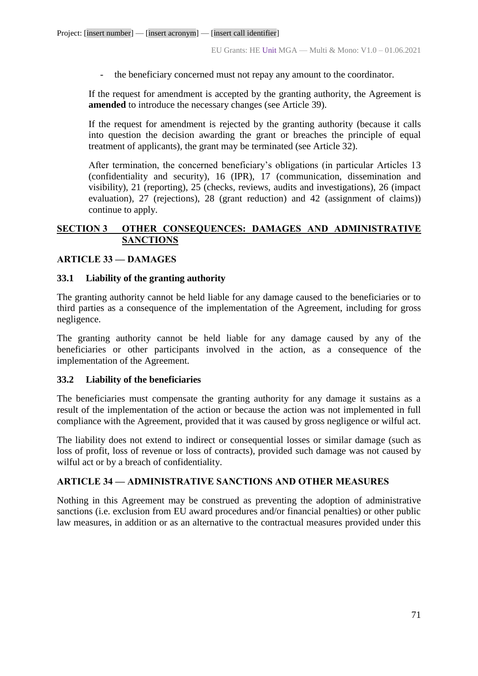the beneficiary concerned must not repay any amount to the coordinator.

If the request for amendment is accepted by the granting authority, the Agreement is **amended** to introduce the necessary changes (see Article 39).

If the request for amendment is rejected by the granting authority (because it calls into question the decision awarding the grant or breaches the principle of equal treatment of applicants), the grant may be terminated (see Article 32).

After termination, the concerned beneficiary's obligations (in particular Articles 13 (confidentiality and security), 16 (IPR), 17 (communication, dissemination and visibility), 21 (reporting), 25 (checks, reviews, audits and investigations), 26 (impact evaluation), 27 (rejections), 28 (grant reduction) and 42 (assignment of claims)) continue to apply.

## **SECTION 3 OTHER CONSEQUENCES: DAMAGES AND ADMINISTRATIVE SANCTIONS**

## **ARTICLE 33 — DAMAGES**

### **33.1 Liability of the granting authority**

The granting authority cannot be held liable for any damage caused to the beneficiaries or to third parties as a consequence of the implementation of the Agreement, including for gross negligence.

The granting authority cannot be held liable for any damage caused by any of the beneficiaries or other participants involved in the action, as a consequence of the implementation of the Agreement.

#### **33.2 Liability of the beneficiaries**

The beneficiaries must compensate the granting authority for any damage it sustains as a result of the implementation of the action or because the action was not implemented in full compliance with the Agreement, provided that it was caused by gross negligence or wilful act.

The liability does not extend to indirect or consequential losses or similar damage (such as loss of profit, loss of revenue or loss of contracts), provided such damage was not caused by wilful act or by a breach of confidentiality.

## **ARTICLE 34 — ADMINISTRATIVE SANCTIONS AND OTHER MEASURES**

Nothing in this Agreement may be construed as preventing the adoption of administrative sanctions (i.e. exclusion from EU award procedures and/or financial penalties) or other public law measures, in addition or as an alternative to the contractual measures provided under this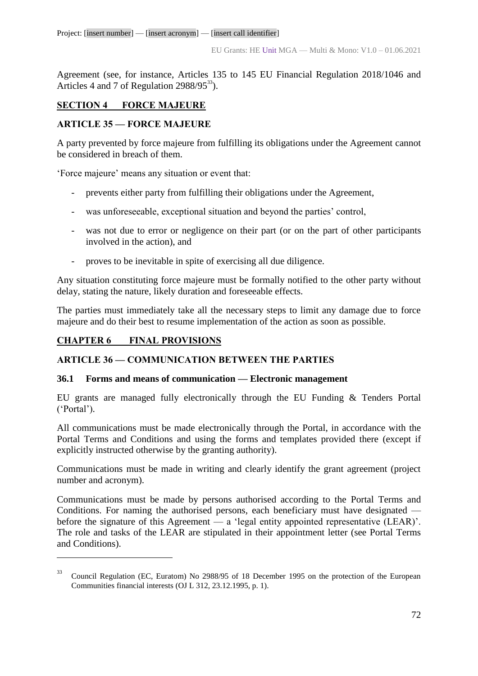Project: [insert number] — [insert acronym] — [insert call identifier]

Agreement (see, for instance, Articles 135 to 145 EU Financial Regulation 2018/1046 and Articles 4 and 7 of Regulation  $2988/95^{33}$ ).

# **SECTION 4 FORCE MAJEURE**

## **ARTICLE 35 — FORCE MAJEURE**

A party prevented by force majeure from fulfilling its obligations under the Agreement cannot be considered in breach of them.

'Force majeure' means any situation or event that:

- prevents either party from fulfilling their obligations under the Agreement,
- was unforeseeable, exceptional situation and beyond the parties' control,
- was not due to error or negligence on their part (or on the part of other participants involved in the action), and
- proves to be inevitable in spite of exercising all due diligence.

Any situation constituting force majeure must be formally notified to the other party without delay, stating the nature, likely duration and foreseeable effects.

The parties must immediately take all the necessary steps to limit any damage due to force majeure and do their best to resume implementation of the action as soon as possible.

# **CHAPTER 6 FINAL PROVISIONS**

 $\overline{a}$ 

## **ARTICLE 36 — COMMUNICATION BETWEEN THE PARTIES**

## **36.1 Forms and means of communication — Electronic management**

EU grants are managed fully electronically through the EU Funding & Tenders Portal ('Portal').

All communications must be made electronically through the Portal, in accordance with the Portal Terms and Conditions and using the forms and templates provided there (except if explicitly instructed otherwise by the granting authority).

Communications must be made in writing and clearly identify the grant agreement (project number and acronym).

Communications must be made by persons authorised according to the Portal Terms and Conditions. For naming the authorised persons, each beneficiary must have designated before the signature of this Agreement — a 'legal entity appointed representative (LEAR)'. The role and tasks of the LEAR are stipulated in their appointment letter (see Portal Terms and Conditions).

<sup>33</sup> Council Regulation (EC, Euratom) No 2988/95 of 18 December 1995 on the protection of the European Communities financial interests (OJ L 312, 23.12.1995, p. 1).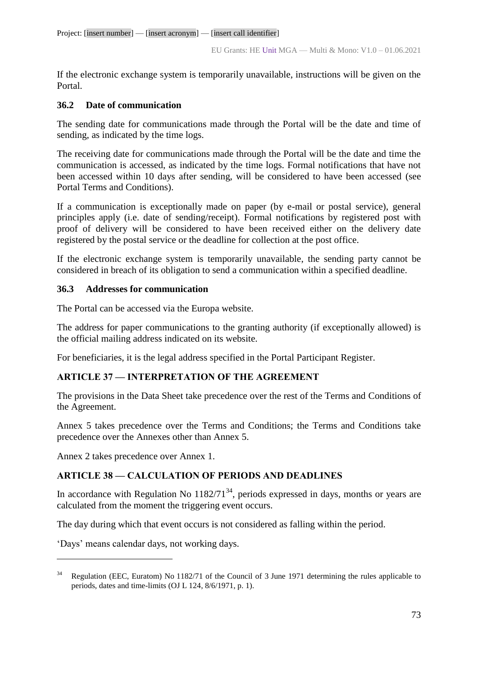If the electronic exchange system is temporarily unavailable, instructions will be given on the Portal.

# **36.2 Date of communication**

The sending date for communications made through the Portal will be the date and time of sending, as indicated by the time logs.

The receiving date for communications made through the Portal will be the date and time the communication is accessed, as indicated by the time logs. Formal notifications that have not been accessed within 10 days after sending, will be considered to have been accessed (see Portal Terms and Conditions).

If a communication is exceptionally made on paper (by e-mail or postal service), general principles apply (i.e. date of sending/receipt). Formal notifications by registered post with proof of delivery will be considered to have been received either on the delivery date registered by the postal service or the deadline for collection at the post office.

If the electronic exchange system is temporarily unavailable, the sending party cannot be considered in breach of its obligation to send a communication within a specified deadline.

# **36.3 Addresses for communication**

The Portal can be accessed via the Europa website.

The address for paper communications to the granting authority (if exceptionally allowed) is the official mailing address indicated on its website.

For beneficiaries, it is the legal address specified in the Portal Participant Register.

# **ARTICLE 37 — INTERPRETATION OF THE AGREEMENT**

The provisions in the Data Sheet take precedence over the rest of the Terms and Conditions of the Agreement.

Annex 5 takes precedence over the Terms and Conditions; the Terms and Conditions take precedence over the Annexes other than Annex 5.

Annex 2 takes precedence over Annex 1.

# **ARTICLE 38 — CALCULATION OF PERIODS AND DEADLINES**

In accordance with Regulation No  $1182/71^{34}$ , periods expressed in days, months or years are calculated from the moment the triggering event occurs.

The day during which that event occurs is not considered as falling within the period.

'Days' means calendar days, not working days.

 $\overline{a}$ 

<sup>&</sup>lt;sup>34</sup> Regulation (EEC, Euratom) No 1182/71 of the Council of 3 June 1971 determining the rules applicable to periods, dates and time-limits (OJ L 124, 8/6/1971, p. 1).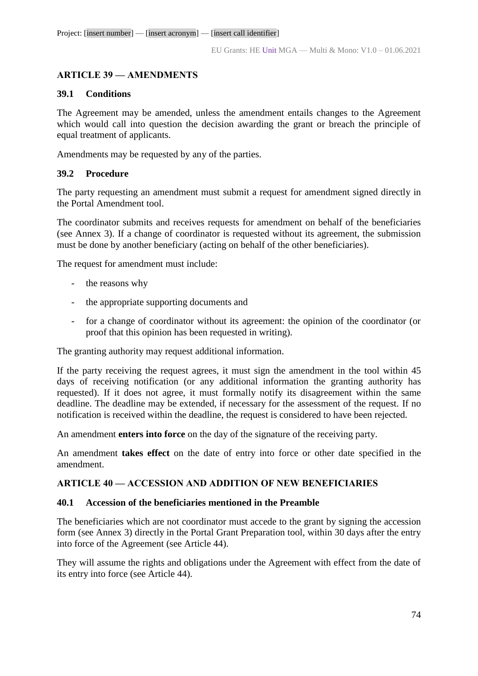# **ARTICLE 39 — AMENDMENTS**

### **39.1 Conditions**

The Agreement may be amended, unless the amendment entails changes to the Agreement which would call into question the decision awarding the grant or breach the principle of equal treatment of applicants.

Amendments may be requested by any of the parties.

### **39.2 Procedure**

The party requesting an amendment must submit a request for amendment signed directly in the Portal Amendment tool.

The coordinator submits and receives requests for amendment on behalf of the beneficiaries (see Annex 3). If a change of coordinator is requested without its agreement, the submission must be done by another beneficiary (acting on behalf of the other beneficiaries).

The request for amendment must include:

- the reasons why
- the appropriate supporting documents and
- for a change of coordinator without its agreement: the opinion of the coordinator (or proof that this opinion has been requested in writing).

The granting authority may request additional information.

If the party receiving the request agrees, it must sign the amendment in the tool within 45 days of receiving notification (or any additional information the granting authority has requested). If it does not agree, it must formally notify its disagreement within the same deadline. The deadline may be extended, if necessary for the assessment of the request. If no notification is received within the deadline, the request is considered to have been rejected.

An amendment **enters into force** on the day of the signature of the receiving party.

An amendment **takes effect** on the date of entry into force or other date specified in the amendment.

### **ARTICLE 40 — ACCESSION AND ADDITION OF NEW BENEFICIARIES**

#### **40.1 Accession of the beneficiaries mentioned in the Preamble**

The beneficiaries which are not coordinator must accede to the grant by signing the accession form (see Annex 3) directly in the Portal Grant Preparation tool, within 30 days after the entry into force of the Agreement (see Article 44).

They will assume the rights and obligations under the Agreement with effect from the date of its entry into force (see Article 44).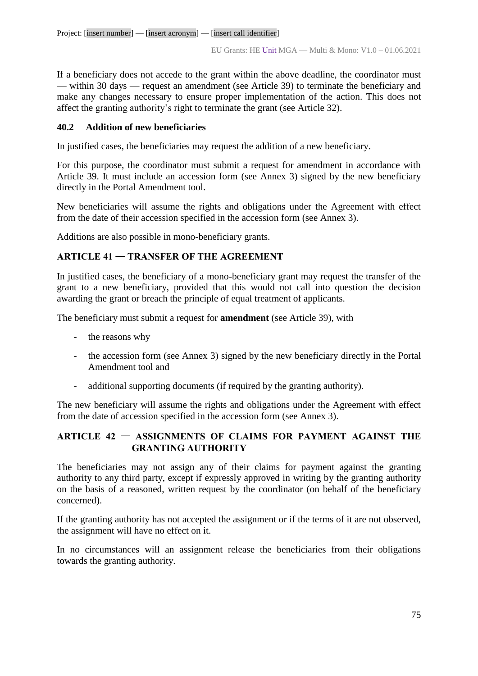If a beneficiary does not accede to the grant within the above deadline, the coordinator must — within 30 days — request an amendment (see Article 39) to terminate the beneficiary and make any changes necessary to ensure proper implementation of the action. This does not affect the granting authority's right to terminate the grant (see Article 32).

# **40.2 Addition of new beneficiaries**

In justified cases, the beneficiaries may request the addition of a new beneficiary.

For this purpose, the coordinator must submit a request for amendment in accordance with Article 39. It must include an accession form (see Annex 3) signed by the new beneficiary directly in the Portal Amendment tool.

New beneficiaries will assume the rights and obligations under the Agreement with effect from the date of their accession specified in the accession form (see Annex 3).

Additions are also possible in mono-beneficiary grants.

# **ARTICLE 41** — **TRANSFER OF THE AGREEMENT**

In justified cases, the beneficiary of a mono-beneficiary grant may request the transfer of the grant to a new beneficiary, provided that this would not call into question the decision awarding the grant or breach the principle of equal treatment of applicants.

The beneficiary must submit a request for **amendment** (see Article 39), with

- the reasons why
- the accession form (see Annex 3) signed by the new beneficiary directly in the Portal Amendment tool and
- additional supporting documents (if required by the granting authority).

The new beneficiary will assume the rights and obligations under the Agreement with effect from the date of accession specified in the accession form (see Annex 3).

# **ARTICLE 42** — **ASSIGNMENTS OF CLAIMS FOR PAYMENT AGAINST THE GRANTING AUTHORITY**

The beneficiaries may not assign any of their claims for payment against the granting authority to any third party, except if expressly approved in writing by the granting authority on the basis of a reasoned, written request by the coordinator (on behalf of the beneficiary concerned).

If the granting authority has not accepted the assignment or if the terms of it are not observed, the assignment will have no effect on it.

In no circumstances will an assignment release the beneficiaries from their obligations towards the granting authority.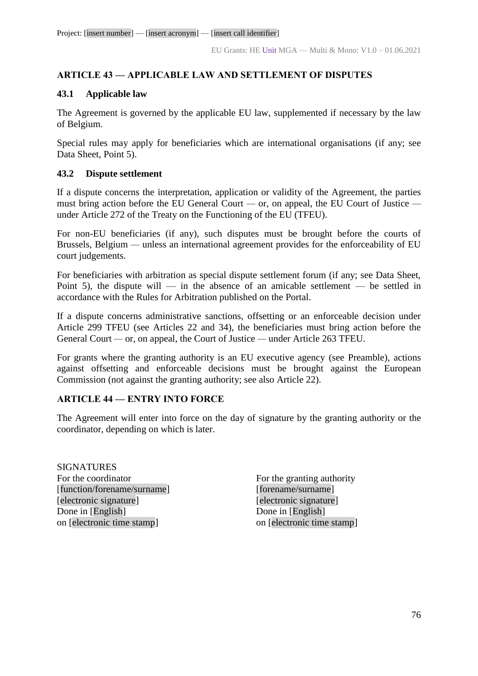# **ARTICLE 43 — APPLICABLE LAW AND SETTLEMENT OF DISPUTES**

### **43.1 Applicable law**

The Agreement is governed by the applicable EU law, supplemented if necessary by the law of Belgium.

Special rules may apply for beneficiaries which are international organisations (if any; see Data Sheet, Point 5).

# **43.2 Dispute settlement**

If a dispute concerns the interpretation, application or validity of the Agreement, the parties must bring action before the EU General Court *—* or, on appeal, the EU Court of Justice  under Article 272 of the Treaty on the Functioning of the EU (TFEU).

For non-EU beneficiaries (if any), such disputes must be brought before the courts of Brussels, Belgium *—* unless an international agreement provides for the enforceability of EU court judgements.

For beneficiaries with arbitration as special dispute settlement forum (if any; see Data Sheet, Point 5), the dispute will — in the absence of an amicable settlement — be settled in accordance with the Rules for Arbitration published on the Portal.

If a dispute concerns administrative sanctions, offsetting or an enforceable decision under Article 299 TFEU (see Articles 22 and 34), the beneficiaries must bring action before the General Court *—* or, on appeal, the Court of Justice *—* under Article 263 TFEU.

For grants where the granting authority is an EU executive agency (see Preamble), actions against offsetting and enforceable decisions must be brought against the European Commission (not against the granting authority; see also Article 22).

# **ARTICLE 44 — ENTRY INTO FORCE**

The Agreement will enter into force on the day of signature by the granting authority or the coordinator, depending on which is later.

**SIGNATURES** For the coordinator For the granting authority [function/forename/surname] [forename/surname] [electronic signature] [electronic signature] Done in [English] Done in [English] on [electronic time stamp] on [electronic time stamp]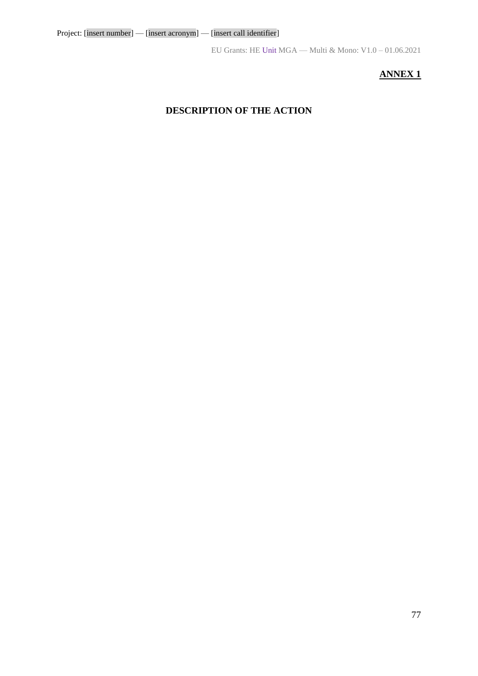EU Grants: HE Unit MGA — Multi & Mono: V1.0 – 01.06.2021

# **ANNEX 1**

# **DESCRIPTION OF THE ACTION**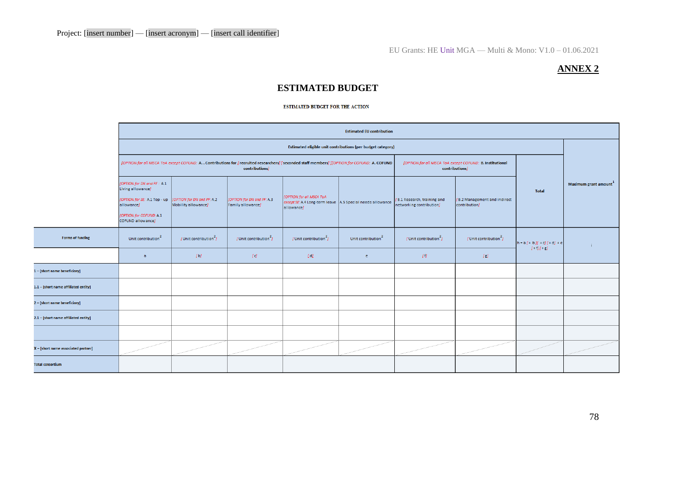# **ANNEX 2**

# **ESTIMATED BUDGET**

#### **ESTIMATED BUDGET FOR THE ACTION**

|                                      | <b>Estimated EU contribution</b>                                                                                                               |                                                   |                                                 |                                                                                                                                               |                                                                            |                                                                                                                                                                                                                                                                                                                                                                                                                                                                                                                                                                                                                                                                                                                                                                                     |                                               |                                              |                                   |  |
|--------------------------------------|------------------------------------------------------------------------------------------------------------------------------------------------|---------------------------------------------------|-------------------------------------------------|-----------------------------------------------------------------------------------------------------------------------------------------------|----------------------------------------------------------------------------|-------------------------------------------------------------------------------------------------------------------------------------------------------------------------------------------------------------------------------------------------------------------------------------------------------------------------------------------------------------------------------------------------------------------------------------------------------------------------------------------------------------------------------------------------------------------------------------------------------------------------------------------------------------------------------------------------------------------------------------------------------------------------------------|-----------------------------------------------|----------------------------------------------|-----------------------------------|--|
|                                      | Estimated eligible unit contributions (per budget category)                                                                                    |                                                   |                                                 |                                                                                                                                               |                                                                            |                                                                                                                                                                                                                                                                                                                                                                                                                                                                                                                                                                                                                                                                                                                                                                                     |                                               |                                              |                                   |  |
|                                      |                                                                                                                                                |                                                   | contributions]                                  | [OPTION for all MSCA ToA except COFUND: A. . Contributions for [recruited researchers] [seconded staff members]][OPTION for COFUND: A. COFUND | [OPTION for all MSCA ToA except COFUND: B. Institutional<br>contributions] |                                                                                                                                                                                                                                                                                                                                                                                                                                                                                                                                                                                                                                                                                                                                                                                     |                                               |                                              |                                   |  |
|                                      | [OPTION for DN and PF : A.1<br>Living allowance]<br>[OPTION for SE: A.1 Top - up<br>allowance]<br>[OPTION for COFUND: A.1<br>COFUND allowance] | [OPTION for DN and PF: A.2<br>Mobility allowance] | [OPTION for DN and PF: A.3<br>Family allowance] | [OPTION for all MSCA ToA<br>except SE: A.4 Long-term leave   A.5 Special needs allowance<br>allowance]                                        |                                                                            | B.1 Research, training and<br>networking contribution]                                                                                                                                                                                                                                                                                                                                                                                                                                                                                                                                                                                                                                                                                                                              | [B.2 Management and indirect<br>contribution] | <b>Total</b>                                 | Maximum grant amount <sup>1</sup> |  |
| <b>Forms of funding</b>              | Unit contribution <sup>2</sup>                                                                                                                 | $[$ Unit contribution <sup>2</sup> $]$            | $\sqrt{2}$ Unit contribution $\frac{2}{J}$      | $[$ Unit contribution <sup>2</sup>                                                                                                            | Unit contribution <sup>2</sup>                                             | $[$ Unit contribution <sup>2</sup> $]$                                                                                                                                                                                                                                                                                                                                                                                                                                                                                                                                                                                                                                                                                                                                              | $[$ Unit contribution <sup>2</sup> $]$        | $h = a [ + b][ + c][ + d] + e$<br>$[+1][+g]$ |                                   |  |
|                                      | $\alpha$                                                                                                                                       | [b]                                               | $\lceil \mathbf{c} \rceil$                      | IdI                                                                                                                                           | e.                                                                         | $[1] \centering% \includegraphics[width=1.0\textwidth]{Figures/PN1.png} \caption{The 3D (black) model for a different region of the left (red) and the right (red) model for the right (red) and the right (red) model for the right (red) and the right (red) model for the right (red) and the right (red) field for the right (red) and the right (red) field for the right (red) and the right (red) field for the right (red) and the right (red) field for the right (red) and the right (red) field for the right (red) and the right (red) field for the right (red) and the right (red) field for the right (red) and the right (red) field for the right (red) and the right (red) field for the right (red) and the right (red) field for the right (red) and the right$ | [ <sub>ε</sub> ]                              |                                              |                                   |  |
| 1 - [short name beneficiary]         |                                                                                                                                                |                                                   |                                                 |                                                                                                                                               |                                                                            |                                                                                                                                                                                                                                                                                                                                                                                                                                                                                                                                                                                                                                                                                                                                                                                     |                                               |                                              |                                   |  |
| 1.1 - [short name affiliated entity] |                                                                                                                                                |                                                   |                                                 |                                                                                                                                               |                                                                            |                                                                                                                                                                                                                                                                                                                                                                                                                                                                                                                                                                                                                                                                                                                                                                                     |                                               |                                              |                                   |  |
| 2 - [short name beneficiary]         |                                                                                                                                                |                                                   |                                                 |                                                                                                                                               |                                                                            |                                                                                                                                                                                                                                                                                                                                                                                                                                                                                                                                                                                                                                                                                                                                                                                     |                                               |                                              |                                   |  |
| 2.1 - [short name affiliated entity] |                                                                                                                                                |                                                   |                                                 |                                                                                                                                               |                                                                            |                                                                                                                                                                                                                                                                                                                                                                                                                                                                                                                                                                                                                                                                                                                                                                                     |                                               |                                              |                                   |  |
|                                      |                                                                                                                                                |                                                   |                                                 |                                                                                                                                               |                                                                            |                                                                                                                                                                                                                                                                                                                                                                                                                                                                                                                                                                                                                                                                                                                                                                                     |                                               |                                              |                                   |  |
| X - [short name associated partner]  |                                                                                                                                                |                                                   |                                                 |                                                                                                                                               |                                                                            |                                                                                                                                                                                                                                                                                                                                                                                                                                                                                                                                                                                                                                                                                                                                                                                     |                                               |                                              |                                   |  |
| <b>Total consortium</b>              |                                                                                                                                                |                                                   |                                                 |                                                                                                                                               |                                                                            |                                                                                                                                                                                                                                                                                                                                                                                                                                                                                                                                                                                                                                                                                                                                                                                     |                                               |                                              |                                   |  |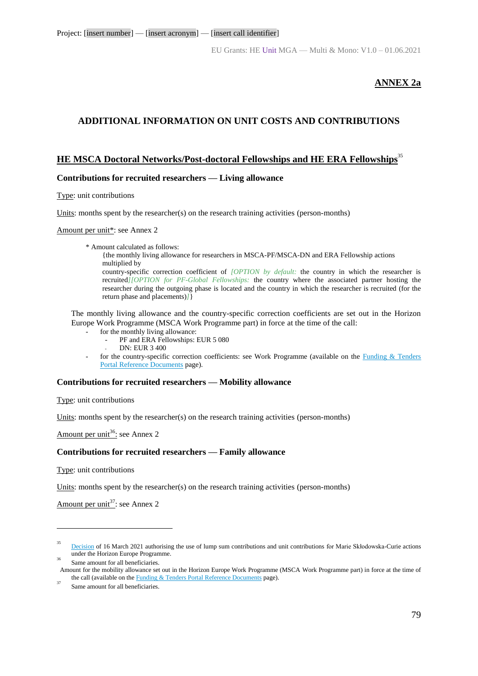### **ANNEX 2a**

# **ADDITIONAL INFORMATION ON UNIT COSTS AND CONTRIBUTIONS**

# **HE MSCA Doctoral Networks/Post-doctoral Fellowships and HE ERA Fellowships**<sup>35</sup>

#### **Contributions for recruited researchers — Living allowance**

Type: unit contributions

Units: months spent by the researcher(s) on the research training activities (person-months)

Amount per unit<sup>\*</sup>: see Annex 2

\* Amount calculated as follows:

{the monthly living allowance for researchers in MSCA-PF/MSCA-DN and ERA Fellowship actions multiplied by

country-specific correction coefficient of *[OPTION by default:* the country in which the researcher is recruited*][OPTION for PF-Global Fellowships:* the country where the associated partner hosting the researcher during the outgoing phase is located and the country in which the researcher is recruited (for the return phase and placements)*]*}

The monthly living allowance and the country-specific correction coefficients are set out in the Horizon Europe Work Programme (MSCA Work Programme part) in force at the time of the call:

- for the monthly living allowance:
	- PF and ERA Fellowships: EUR 5 080
	- DN: EUR 3 400
- for the country-specific correction coefficients: see Work Programme (available on the [Funding & Tenders](https://ec.europa.eu/info/funding-tenders/opportunities/portal/screen/how-to-participate/reference-documents;programCode=HORIZON)  [Portal Reference Documents](https://ec.europa.eu/info/funding-tenders/opportunities/portal/screen/how-to-participate/reference-documents;programCode=HORIZON) page).

#### **Contributions for recruited researchers — Mobility allowance**

Type: unit contributions

Units: months spent by the researcher(s) on the research training activities (person-months)

Amount per unit<sup>36</sup>: see Annex 2

#### **Contributions for recruited researchers — Family allowance**

Type: unit contributions

<u>.</u>

Units: months spent by the researcher(s) on the research training activities (person-months)

Amount per unit<sup>37</sup>: see Annex 2

<sup>35</sup> [Decision](https://ec.europa.eu/info/funding-tenders/opportunities/docs/2021-2027/horizon/guidance/unit-cost-decision_he-msca_en.pdf) of 16 March 2021 authorising the use of lump sum contributions and unit contributions for Marie Skłodowska-Curie actions under the Horizon Europe Programme. 36

Same amount for all beneficiaries. Amount for the mobility allowance set out in the Horizon Europe Work Programme (MSCA Work Programme part) in force at the time of the call (available on the **Funding & Tenders Portal Reference Documents** page).

<sup>37</sup> Same amount for all beneficiaries.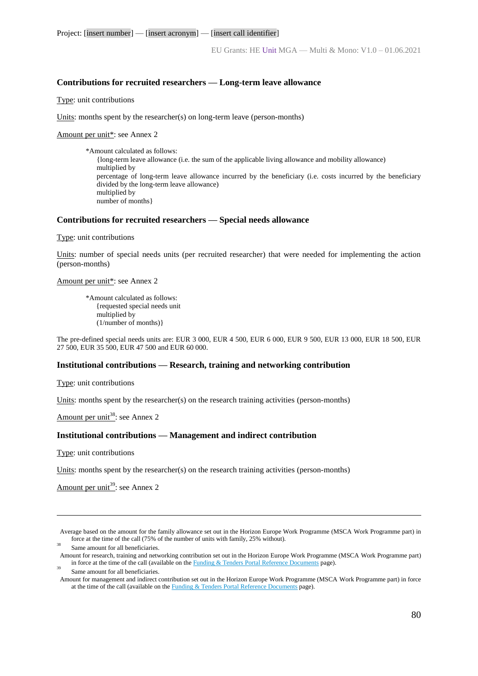#### **Contributions for recruited researchers — Long-term leave allowance**

Type: unit contributions

Units: months spent by the researcher(s) on long-term leave (person-months)

Amount per unit<sup>\*</sup>: see Annex 2

\*Amount calculated as follows: {long-term leave allowance (i.e. the sum of the applicable living allowance and mobility allowance) multiplied by percentage of long-term leave allowance incurred by the beneficiary (i.e. costs incurred by the beneficiary divided by the long-term leave allowance) multiplied by number of months}

#### **Contributions for recruited researchers — Special needs allowance**

Type: unit contributions

Units: number of special needs units (per recruited researcher) that were needed for implementing the action (person-months)

#### Amount per unit\*: see Annex 2

\*Amount calculated as follows: {requested special needs unit multiplied by (1/number of months)}

The pre-defined special needs units are: EUR 3 000, EUR 4 500, EUR 6 000, EUR 9 500, EUR 13 000, EUR 18 500, EUR 27 500, EUR 35 500, EUR 47 500 and EUR 60 000.

#### **Institutional contributions — Research, training and networking contribution**

Type: unit contributions

Units: months spent by the researcher(s) on the research training activities (person-months)

Amount per unit<sup>38</sup>: see Annex 2

#### **Institutional contributions — Management and indirect contribution**

Type: unit contributions

<u>.</u>

Units: months spent by the researcher(s) on the research training activities (person-months)

Amount per unit<sup>39</sup>: see Annex 2

Average based on the amount for the family allowance set out in the Horizon Europe Work Programme (MSCA Work Programme part) in force at the time of the call (75% of the number of units with family, 25% without).

38 Same amount for all beneficiaries.

Amount for research, training and networking contribution set out in the Horizon Europe Work Programme (MSCA Work Programme part) in force at the time of the call (available on th[e Funding & Tenders Portal Reference Documents](https://ec.europa.eu/info/funding-tenders/opportunities/portal/screen/how-to-participate/reference-documents;programCode=HORIZON) page).

39 Same amount for all beneficiaries.

Amount for management and indirect contribution set out in the Horizon Europe Work Programme (MSCA Work Programme part) in force at the time of the call (available on the [Funding & Tenders Portal Reference Documents](https://ec.europa.eu/info/funding-tenders/opportunities/portal/screen/how-to-participate/reference-documents;programCode=HORIZON) page).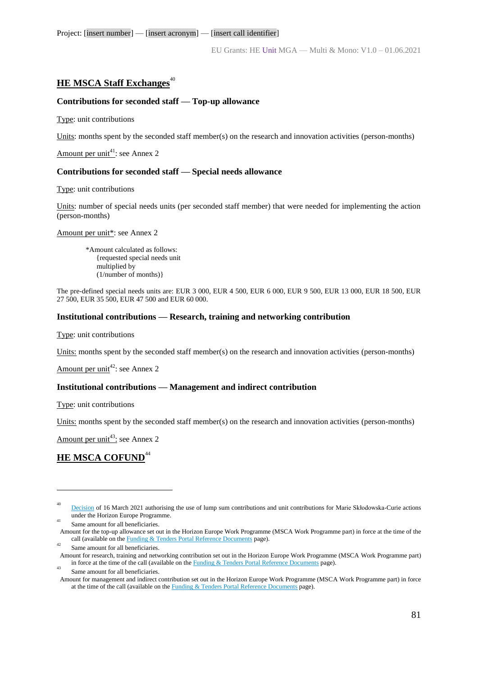# **HE MSCA Staff Exchanges**<sup>40</sup>

#### **Contributions for seconded staff — Top-up allowance**

Type: unit contributions

Units: months spent by the seconded staff member(s) on the research and innovation activities (person-months)

Amount per unit<sup>41</sup>: see Annex 2

#### **Contributions for seconded staff — Special needs allowance**

Type: unit contributions

Units: number of special needs units (per seconded staff member) that were needed for implementing the action (person-months)

Amount per unit\*: see Annex 2

\*Amount calculated as follows: {requested special needs unit multiplied by (1/number of months)}

The pre-defined special needs units are: EUR 3 000, EUR 4 500, EUR 6 000, EUR 9 500, EUR 13 000, EUR 18 500, EUR 27 500, EUR 35 500, EUR 47 500 and EUR 60 000.

#### **Institutional contributions — Research, training and networking contribution**

Type: unit contributions

Units: months spent by the seconded staff member(s) on the research and innovation activities (person-months)

Amount per unit<sup>42</sup>: see Annex 2

#### **Institutional contributions — Management and indirect contribution**

Type: unit contributions

Units: months spent by the seconded staff member(s) on the research and innovation activities (person-months)

Amount per unit<sup>43</sup>: see Annex 2

# **HE MSCA COFUND<sup>44</sup>**

<u>.</u>

Same amount for all beneficiaries. Amount for the top-up allowance set out in the Horizon Europe Work Programme (MSCA Work Programme part) in force at the time of the call (available on th[e Funding & Tenders Portal Reference Documents](https://ec.europa.eu/info/funding-tenders/opportunities/portal/screen/how-to-participate/reference-documents;programCode=HORIZON) page). 42

43 Same amount for all beneficiaries.

<sup>40</sup> [Decision](https://ec.europa.eu/info/funding-tenders/opportunities/docs/2021-2027/horizon/guidance/unit-cost-decision_he-msca_en.pdf) of 16 March 2021 authorising the use of lump sum contributions and unit contributions for Marie Skłodowska-Curie actions under the Horizon Europe Programme. 41

Same amount for all beneficiaries. Amount for research, training and networking contribution set out in the Horizon Europe Work Programme (MSCA Work Programme part) in force at the time of the call (available on th[e Funding & Tenders Portal Reference Documents](https://ec.europa.eu/info/funding-tenders/opportunities/portal/screen/how-to-participate/reference-documents;programCode=HORIZON) page).

Amount for management and indirect contribution set out in the Horizon Europe Work Programme (MSCA Work Programme part) in force at the time of the call (available on the **Funding & Tenders Portal Reference Documents** page).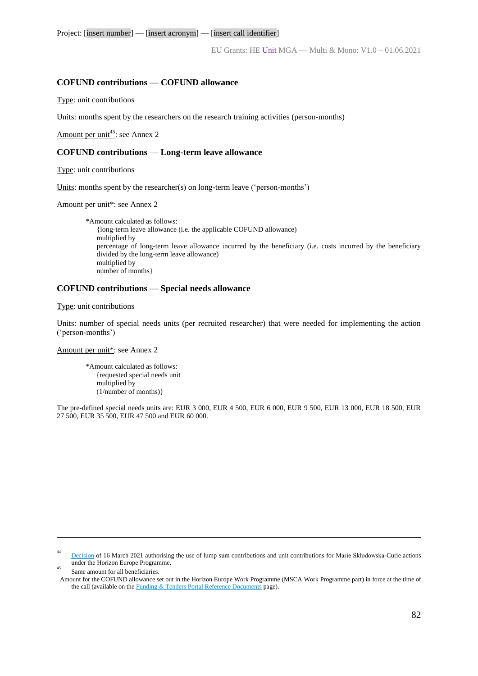EU Grants: HE Unit MGA — Multi & Mono: V1.0 – 01.06.2021

#### **COFUND contributions — COFUND allowance**

Type: unit contributions

Units: months spent by the researchers on the research training activities (person-months)

Amount per unit<sup>45</sup>: see Annex 2

#### **COFUND contributions — Long-term leave allowance**

Type: unit contributions

Units: months spent by the researcher(s) on long-term leave ('person-months')

Amount per unit<sup>\*</sup>: see Annex 2

\*Amount calculated as follows: {long-term leave allowance (i.e. the applicable COFUND allowance) multiplied by percentage of long-term leave allowance incurred by the beneficiary (i.e. costs incurred by the beneficiary divided by the long-term leave allowance) multiplied by number of months}

#### **COFUND contributions — Special needs allowance**

Type: unit contributions

Units: number of special needs units (per recruited researcher) that were needed for implementing the action ('person-months')

Amount per unit<sup>\*</sup>: see Annex 2

\*Amount calculated as follows: {requested special needs unit multiplied by (1/number of months)}

The pre-defined special needs units are: EUR 3 000, EUR 4 500, EUR 6 000, EUR 9 500, EUR 13 000, EUR 18 500, EUR 27 500, EUR 35 500, EUR 47 500 and EUR 60 000.

[Decision](https://ec.europa.eu/info/funding-tenders/opportunities/docs/2021-2027/horizon/guidance/unit-cost-decision_he-msca_en.pdf) of 16 March 2021 authorising the use of lump sum contributions and unit contributions for Marie Skłodowska-Curie actions under the Horizon Europe Programme. 45

1 44

Same amount for all beneficiaries.

Amount for the COFUND allowance set out in the Horizon Europe Work Programme (MSCA Work Programme part) in force at the time of the call (available on th[e Funding & Tenders Portal Reference Documents](https://ec.europa.eu/info/funding-tenders/opportunities/portal/screen/how-to-participate/reference-documents;programCode=HORIZON) page).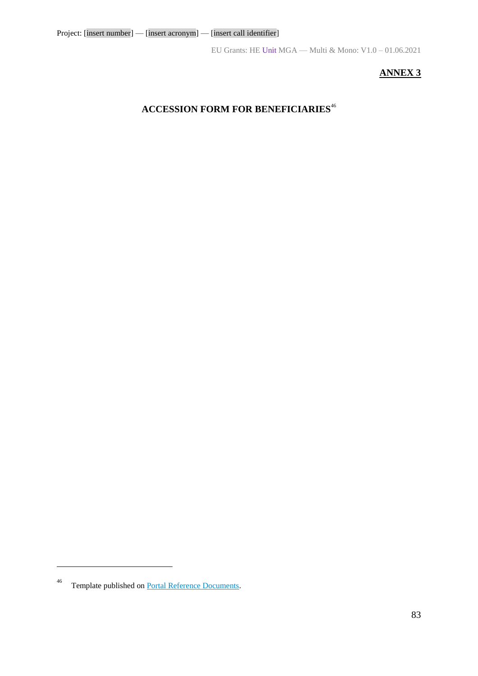# **ANNEX 3**

# **ACCESSION FORM FOR BENEFICIARIES**<sup>46</sup>

<u>.</u>

<sup>46</sup> Template published on [Portal Reference Documents.](https://ec.europa.eu/info/funding-tenders/opportunities/portal/screen/how-to-participate/reference-documents)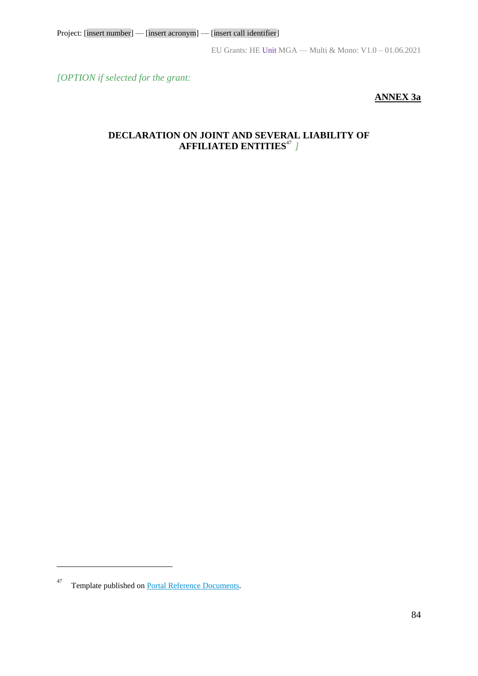*[OPTION if selected for the grant:*

# **ANNEX 3a**

# **DECLARATION ON JOINT AND SEVERAL LIABILITY OF AFFILIATED ENTITIES**<sup>47</sup> *]*

 $\overline{a}$ 

<sup>47</sup> Template published on [Portal Reference Documents.](https://ec.europa.eu/info/funding-tenders/opportunities/portal/screen/how-to-participate/reference-documents)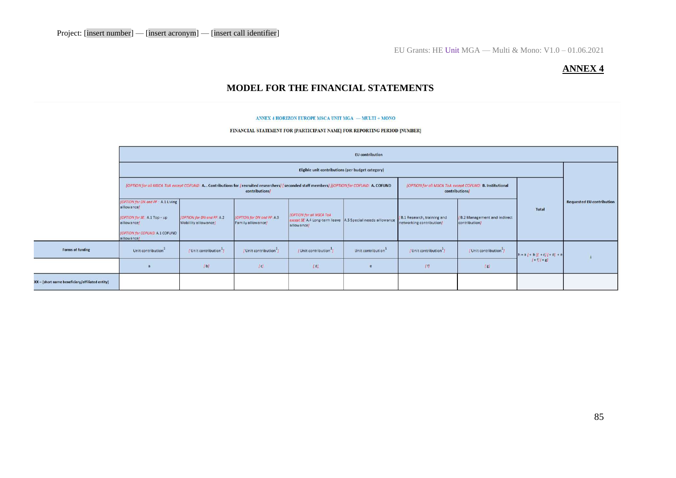# **ANNEX 4**

# **MODEL FOR THE FINANCIAL STATEMENTS**

#### ANNEX 4 HORIZON EUROPE MSCA UNIT MGA  $-$  MULTI + MONO

FINANCIAL STATEMENT FOR [PARTICIPANT NAME] FOR REPORTING PERIOD [NUMBER]

|                                                 | <b>EU</b> contribution                                                                                                                                                                                                                        |                                                   |                                                 |                                                                                                        |                                |                                                         |                                                |                                            |                                  |
|-------------------------------------------------|-----------------------------------------------------------------------------------------------------------------------------------------------------------------------------------------------------------------------------------------------|---------------------------------------------------|-------------------------------------------------|--------------------------------------------------------------------------------------------------------|--------------------------------|---------------------------------------------------------|------------------------------------------------|--------------------------------------------|----------------------------------|
|                                                 | Eligible unit contributions (per budget category)                                                                                                                                                                                             |                                                   |                                                 |                                                                                                        |                                |                                                         |                                                |                                            |                                  |
|                                                 | [OPTION for all MSCA ToA except COFUND: A., Contributions for [recruited researchers] [seconded staff members] [[OPTION for COFUND: A. COFUND<br>[OPTION for all MSCA ToA except COFUND: B. Institutional<br>contributions/<br>contributions/ |                                                   |                                                 |                                                                                                        |                                |                                                         |                                                |                                            |                                  |
|                                                 | [OPTION for DN and PF : A.1 Living<br>allowance)<br>(OPTION for SE: A.1 Top - up<br>allowance)<br>[OPTION for COFUND: A.1 COFUND<br>allowance)                                                                                                | [OPTION for DN and PF: A.2<br>Mobility allowance] | [OPTION for DN and PF: A.3<br>Family allowance) | [OPTION for all MSCA ToA<br>except SE: A.4 Long-term leave   A.5 Special needs allowance<br>allowance) |                                | /B.1 Research, training and<br>networking contribution/ | / B.2 Management and indirect<br>contribution] | Total                                      | <b>Requested EU contribution</b> |
| <b>Forms of funding</b>                         | Unit contribution <sup>+</sup>                                                                                                                                                                                                                | / Unit contribution <sup>1</sup>                  | / Unit contribution <sup>1</sup>                | / Unit contribution <sup>1</sup>                                                                       | Unit contribution <sup>1</sup> | / Unit contribution <sup>1</sup>                        | (Unit contribution <sup>1</sup> )              | $h = a + bH + cH + d + e$<br>$1 + 71 + 81$ |                                  |
|                                                 |                                                                                                                                                                                                                                               | [b]                                               | [<]                                             | ldl                                                                                                    |                                | 11                                                      | g                                              |                                            |                                  |
| XX - [short name beneficiary/affiliated entity] |                                                                                                                                                                                                                                               |                                                   |                                                 |                                                                                                        |                                |                                                         |                                                |                                            |                                  |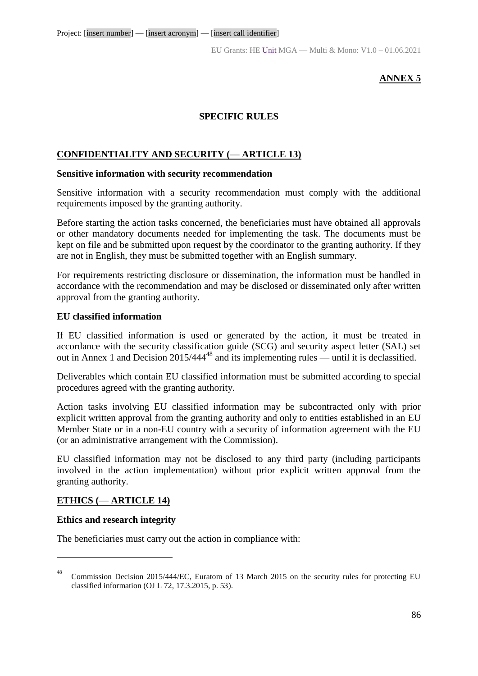EU Grants: HE Unit MGA — Multi & Mono: V1.0 – 01.06.2021

# **ANNEX 5**

# **SPECIFIC RULES**

# **CONFIDENTIALITY AND SECURITY (**— **ARTICLE 13)**

#### **Sensitive information with security recommendation**

Sensitive information with a security recommendation must comply with the additional requirements imposed by the granting authority.

Before starting the action tasks concerned, the beneficiaries must have obtained all approvals or other mandatory documents needed for implementing the task. The documents must be kept on file and be submitted upon request by the coordinator to the granting authority. If they are not in English, they must be submitted together with an English summary.

For requirements restricting disclosure or dissemination, the information must be handled in accordance with the recommendation and may be disclosed or disseminated only after written approval from the granting authority.

#### **EU classified information**

If EU classified information is used or generated by the action, it must be treated in accordance with the security classification guide (SCG) and security aspect letter (SAL) set out in Annex 1 and Decision  $2015/444^{48}$  and its implementing rules — until it is declassified.

Deliverables which contain EU classified information must be submitted according to special procedures agreed with the granting authority.

Action tasks involving EU classified information may be subcontracted only with prior explicit written approval from the granting authority and only to entities established in an EU Member State or in a non-EU country with a security of information agreement with the EU (or an administrative arrangement with the Commission).

EU classified information may not be disclosed to any third party (including participants involved in the action implementation) without prior explicit written approval from the granting authority.

#### **ETHICS (**— **ARTICLE 14)**

#### **Ethics and research integrity**

1

The beneficiaries must carry out the action in compliance with:

<sup>48</sup> Commission Decision 2015/444/EC, Euratom of 13 March 2015 on the security rules for protecting EU classified information (OJ L 72, 17.3.2015, p. 53).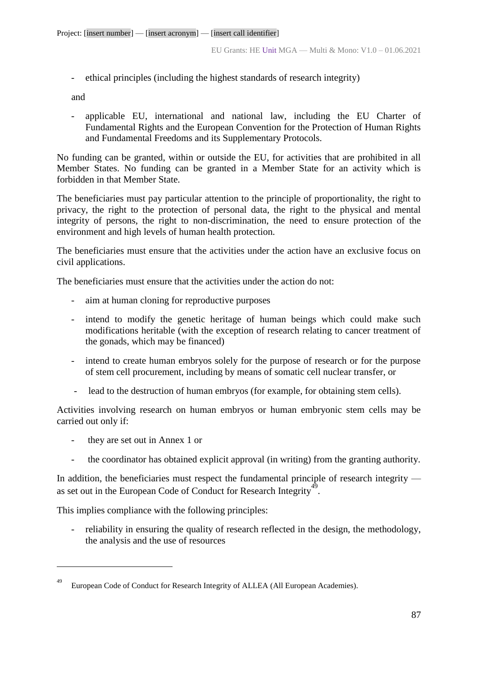- ethical principles (including the highest standards of research integrity)

and

- applicable EU, international and national law, including the EU Charter of Fundamental Rights and the European Convention for the Protection of Human Rights and Fundamental Freedoms and its Supplementary Protocols.

No funding can be granted, within or outside the EU, for activities that are prohibited in all Member States. No funding can be granted in a Member State for an activity which is forbidden in that Member State.

The beneficiaries must pay particular attention to the principle of proportionality, the right to privacy, the right to the protection of personal data, the right to the physical and mental integrity of persons, the right to non-discrimination, the need to ensure protection of the environment and high levels of human health protection.

The beneficiaries must ensure that the activities under the action have an exclusive focus on civil applications.

The beneficiaries must ensure that the activities under the action do not:

- aim at human cloning for reproductive purposes
- intend to modify the genetic heritage of human beings which could make such modifications heritable (with the exception of research relating to cancer treatment of the gonads, which may be financed)
- intend to create human embryos solely for the purpose of research or for the purpose of stem cell procurement, including by means of somatic cell nuclear transfer, or
- lead to the destruction of human embryos (for example, for obtaining stem cells).

Activities involving research on human embryos or human embryonic stem cells may be carried out only if:

- they are set out in Annex 1 or

<u>.</u>

- the coordinator has obtained explicit approval (in writing) from the granting authority.

In addition, the beneficiaries must respect the fundamental principle of research integrity as set out in the European Code of Conduct for Research Integrity<sup>49</sup>.

This implies compliance with the following principles:

- reliability in ensuring the quality of research reflected in the design, the methodology, the analysis and the use of resources

<sup>49</sup> European Code of Conduct for Research Integrity of ALLEA (All European Academies).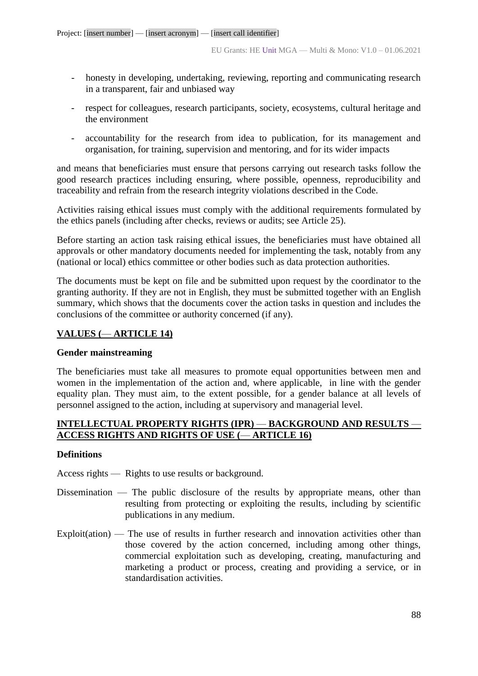- honesty in developing, undertaking, reviewing, reporting and communicating research in a transparent, fair and unbiased way
- respect for colleagues, research participants, society, ecosystems, cultural heritage and the environment
- accountability for the research from idea to publication, for its management and organisation, for training, supervision and mentoring, and for its wider impacts

and means that beneficiaries must ensure that persons carrying out research tasks follow the good research practices including ensuring, where possible, openness, reproducibility and traceability and refrain from the research integrity violations described in the Code.

Activities raising ethical issues must comply with the additional requirements formulated by the ethics panels (including after checks, reviews or audits; see Article 25).

Before starting an action task raising ethical issues, the beneficiaries must have obtained all approvals or other mandatory documents needed for implementing the task, notably from any (national or local) ethics committee or other bodies such as data protection authorities.

The documents must be kept on file and be submitted upon request by the coordinator to the granting authority. If they are not in English, they must be submitted together with an English summary, which shows that the documents cover the action tasks in question and includes the conclusions of the committee or authority concerned (if any).

# **VALUES (**— **ARTICLE 14)**

### **Gender mainstreaming**

The beneficiaries must take all measures to promote equal opportunities between men and women in the implementation of the action and, where applicable, in line with the gender equality plan. They must aim, to the extent possible, for a gender balance at all levels of personnel assigned to the action, including at supervisory and managerial level.

# **INTELLECTUAL PROPERTY RIGHTS (IPR)** — **BACKGROUND AND RESULTS** — **ACCESS RIGHTS AND RIGHTS OF USE (**— **ARTICLE 16)**

# **Definitions**

Access rights — Rights to use results or background.

- Dissemination The public disclosure of the results by appropriate means, other than resulting from protecting or exploiting the results, including by scientific publications in any medium.
- Exploit(ation) The use of results in further research and innovation activities other than those covered by the action concerned, including among other things, commercial exploitation such as developing, creating, manufacturing and marketing a product or process, creating and providing a service, or in standardisation activities.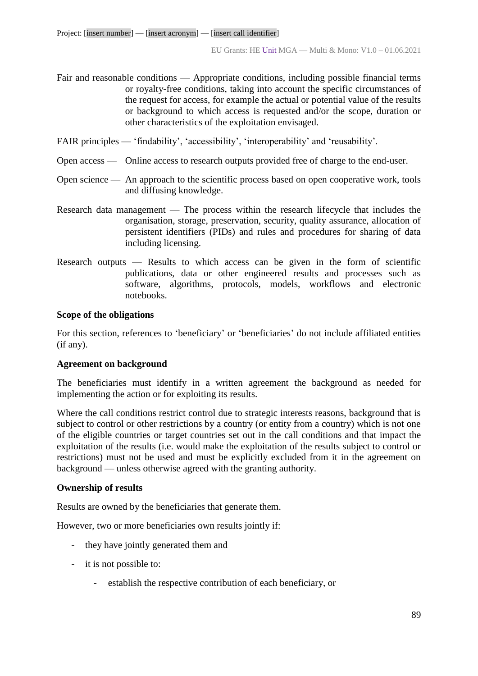- Fair and reasonable conditions Appropriate conditions, including possible financial terms or royalty-free conditions, taking into account the specific circumstances of the request for access, for example the actual or potential value of the results or background to which access is requested and/or the scope, duration or other characteristics of the exploitation envisaged.
- FAIR principles 'findability', 'accessibility', 'interoperability' and 'reusability'.
- Open access Online access to research outputs provided free of charge to the end-user.
- Open science An approach to the scientific process based on open cooperative work, tools and diffusing knowledge.
- Research data management The process within the research lifecycle that includes the organisation, storage, preservation, security, quality assurance, allocation of persistent identifiers (PIDs) and rules and procedures for sharing of data including licensing.
- Research outputs Results to which access can be given in the form of scientific publications, data or other engineered results and processes such as software, algorithms, protocols, models, workflows and electronic notebooks.

#### **Scope of the obligations**

For this section, references to 'beneficiary' or 'beneficiaries' do not include affiliated entities (if any).

### **Agreement on background**

The beneficiaries must identify in a written agreement the background as needed for implementing the action or for exploiting its results.

Where the call conditions restrict control due to strategic interests reasons, background that is subject to control or other restrictions by a country (or entity from a country) which is not one of the eligible countries or target countries set out in the call conditions and that impact the exploitation of the results (i.e. would make the exploitation of the results subject to control or restrictions) must not be used and must be explicitly excluded from it in the agreement on background — unless otherwise agreed with the granting authority.

#### **Ownership of results**

Results are owned by the beneficiaries that generate them.

However, two or more beneficiaries own results jointly if:

- they have jointly generated them and
- it is not possible to:
	- establish the respective contribution of each beneficiary, or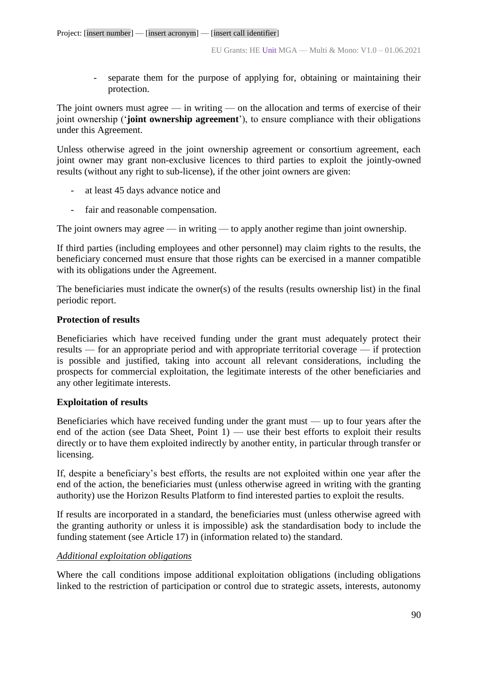- separate them for the purpose of applying for, obtaining or maintaining their protection.

The joint owners must agree — in writing — on the allocation and terms of exercise of their joint ownership ('**joint ownership agreement**'), to ensure compliance with their obligations under this Agreement.

Unless otherwise agreed in the joint ownership agreement or consortium agreement, each joint owner may grant non-exclusive licences to third parties to exploit the jointly-owned results (without any right to sub-license), if the other joint owners are given:

- at least 45 days advance notice and
- fair and reasonable compensation.

The joint owners may agree — in writing — to apply another regime than joint ownership.

If third parties (including employees and other personnel) may claim rights to the results, the beneficiary concerned must ensure that those rights can be exercised in a manner compatible with its obligations under the Agreement.

The beneficiaries must indicate the owner(s) of the results (results ownership list) in the final periodic report.

### **Protection of results**

Beneficiaries which have received funding under the grant must adequately protect their results — for an appropriate period and with appropriate territorial coverage — if protection is possible and justified, taking into account all relevant considerations, including the prospects for commercial exploitation, the legitimate interests of the other beneficiaries and any other legitimate interests.

### **Exploitation of results**

Beneficiaries which have received funding under the grant must — up to four years after the end of the action (see Data Sheet, Point  $1$ ) — use their best efforts to exploit their results directly or to have them exploited indirectly by another entity, in particular through transfer or licensing.

If, despite a beneficiary's best efforts, the results are not exploited within one year after the end of the action, the beneficiaries must (unless otherwise agreed in writing with the granting authority) use the Horizon Results Platform to find interested parties to exploit the results.

If results are incorporated in a standard, the beneficiaries must (unless otherwise agreed with the granting authority or unless it is impossible) ask the standardisation body to include the funding statement (see Article 17) in (information related to) the standard.

### *Additional exploitation obligations*

Where the call conditions impose additional exploitation obligations (including obligations linked to the restriction of participation or control due to strategic assets, interests, autonomy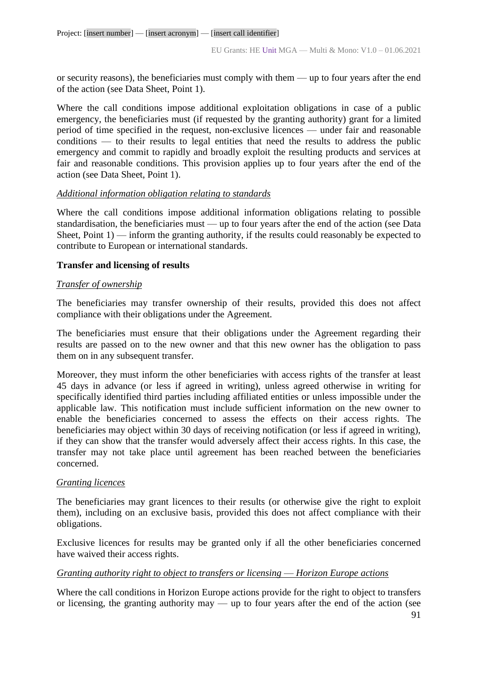or security reasons), the beneficiaries must comply with them — up to four years after the end of the action (see Data Sheet, Point 1).

Where the call conditions impose additional exploitation obligations in case of a public emergency, the beneficiaries must (if requested by the granting authority) grant for a limited period of time specified in the request, non-exclusive licences — under fair and reasonable conditions — to their results to legal entities that need the results to address the public emergency and commit to rapidly and broadly exploit the resulting products and services at fair and reasonable conditions. This provision applies up to four years after the end of the action (see Data Sheet, Point 1).

### *Additional information obligation relating to standards*

Where the call conditions impose additional information obligations relating to possible standardisation, the beneficiaries must — up to four years after the end of the action (see Data Sheet, Point  $1$ ) — inform the granting authority, if the results could reasonably be expected to contribute to European or international standards.

### **Transfer and licensing of results**

### *Transfer of ownership*

The beneficiaries may transfer ownership of their results, provided this does not affect compliance with their obligations under the Agreement.

The beneficiaries must ensure that their obligations under the Agreement regarding their results are passed on to the new owner and that this new owner has the obligation to pass them on in any subsequent transfer.

Moreover, they must inform the other beneficiaries with access rights of the transfer at least 45 days in advance (or less if agreed in writing), unless agreed otherwise in writing for specifically identified third parties including affiliated entities or unless impossible under the applicable law. This notification must include sufficient information on the new owner to enable the beneficiaries concerned to assess the effects on their access rights. The beneficiaries may object within 30 days of receiving notification (or less if agreed in writing), if they can show that the transfer would adversely affect their access rights. In this case, the transfer may not take place until agreement has been reached between the beneficiaries concerned.

### *Granting licences*

The beneficiaries may grant licences to their results (or otherwise give the right to exploit them), including on an exclusive basis, provided this does not affect compliance with their obligations.

Exclusive licences for results may be granted only if all the other beneficiaries concerned have waived their access rights.

### *Granting authority right to object to transfers or licensing* — *Horizon Europe actions*

Where the call conditions in Horizon Europe actions provide for the right to object to transfers or licensing, the granting authority may  $\overline{\phantom{a}}$  up to four years after the end of the action (see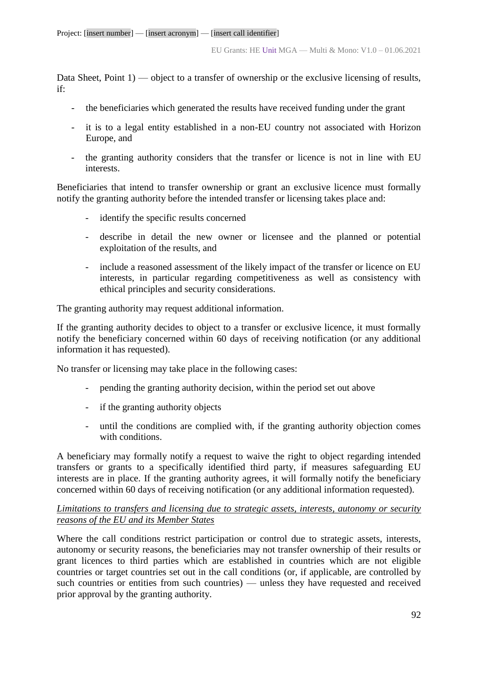Data Sheet, Point 1) — object to a transfer of ownership or the exclusive licensing of results, if:

- the beneficiaries which generated the results have received funding under the grant
- it is to a legal entity established in a non-EU country not associated with Horizon Europe, and
- the granting authority considers that the transfer or licence is not in line with EU interests.

Beneficiaries that intend to transfer ownership or grant an exclusive licence must formally notify the granting authority before the intended transfer or licensing takes place and:

- identify the specific results concerned
- describe in detail the new owner or licensee and the planned or potential exploitation of the results, and
- include a reasoned assessment of the likely impact of the transfer or licence on EU interests, in particular regarding competitiveness as well as consistency with ethical principles and security considerations.

The granting authority may request additional information.

If the granting authority decides to object to a transfer or exclusive licence, it must formally notify the beneficiary concerned within 60 days of receiving notification (or any additional information it has requested).

No transfer or licensing may take place in the following cases:

- pending the granting authority decision, within the period set out above
- if the granting authority objects
- until the conditions are complied with, if the granting authority objection comes with conditions.

A beneficiary may formally notify a request to waive the right to object regarding intended transfers or grants to a specifically identified third party, if measures safeguarding EU interests are in place. If the granting authority agrees, it will formally notify the beneficiary concerned within 60 days of receiving notification (or any additional information requested).

### *Limitations to transfers and licensing due to strategic assets, interests, autonomy or security reasons of the EU and its Member States*

Where the call conditions restrict participation or control due to strategic assets, interests, autonomy or security reasons, the beneficiaries may not transfer ownership of their results or grant licences to third parties which are established in countries which are not eligible countries or target countries set out in the call conditions (or, if applicable, are controlled by such countries or entities from such countries) — unless they have requested and received prior approval by the granting authority.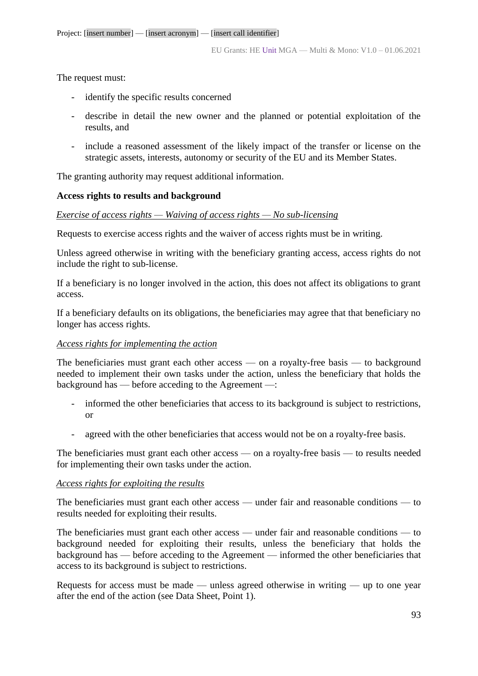The request must:

- identify the specific results concerned
- describe in detail the new owner and the planned or potential exploitation of the results, and
- include a reasoned assessment of the likely impact of the transfer or license on the strategic assets, interests, autonomy or security of the EU and its Member States.

The granting authority may request additional information.

# **Access rights to results and background**

### *Exercise of access rights — Waiving of access rights — No sub-licensing*

Requests to exercise access rights and the waiver of access rights must be in writing.

Unless agreed otherwise in writing with the beneficiary granting access, access rights do not include the right to sub-license.

If a beneficiary is no longer involved in the action, this does not affect its obligations to grant access.

If a beneficiary defaults on its obligations, the beneficiaries may agree that that beneficiary no longer has access rights.

### *Access rights for implementing the action*

The beneficiaries must grant each other access — on a royalty-free basis — to background needed to implement their own tasks under the action, unless the beneficiary that holds the background has — before acceding to the Agreement —:

- informed the other beneficiaries that access to its background is subject to restrictions, or
- agreed with the other beneficiaries that access would not be on a royalty-free basis.

The beneficiaries must grant each other access — on a royalty-free basis — to results needed for implementing their own tasks under the action.

### *Access rights for exploiting the results*

The beneficiaries must grant each other access — under fair and reasonable conditions — to results needed for exploiting their results.

The beneficiaries must grant each other access — under fair and reasonable conditions — to background needed for exploiting their results, unless the beneficiary that holds the background has — before acceding to the Agreement — informed the other beneficiaries that access to its background is subject to restrictions.

Requests for access must be made — unless agreed otherwise in writing — up to one year after the end of the action (see Data Sheet, Point 1).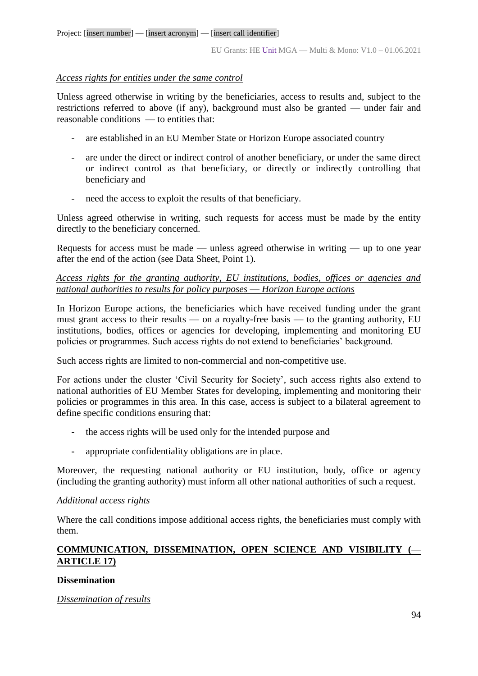### *Access rights for entities under the same control*

Unless agreed otherwise in writing by the beneficiaries, access to results and, subject to the restrictions referred to above (if any), background must also be granted — under fair and reasonable conditions — to entities that:

- are established in an EU Member State or Horizon Europe associated country
- are under the direct or indirect control of another beneficiary, or under the same direct or indirect control as that beneficiary, or directly or indirectly controlling that beneficiary and
- need the access to exploit the results of that beneficiary.

Unless agreed otherwise in writing, such requests for access must be made by the entity directly to the beneficiary concerned.

Requests for access must be made — unless agreed otherwise in writing — up to one year after the end of the action (see Data Sheet, Point 1).

# *Access rights for the granting authority, EU institutions, bodies, offices or agencies and national authorities to results for policy purposes* — *Horizon Europe actions*

In Horizon Europe actions, the beneficiaries which have received funding under the grant must grant access to their results — on a royalty-free basis — to the granting authority, EU institutions, bodies, offices or agencies for developing, implementing and monitoring EU policies or programmes. Such access rights do not extend to beneficiaries' background.

Such access rights are limited to non-commercial and non-competitive use.

For actions under the cluster 'Civil Security for Society', such access rights also extend to national authorities of EU Member States for developing, implementing and monitoring their policies or programmes in this area. In this case, access is subject to a bilateral agreement to define specific conditions ensuring that:

- **-** the access rights will be used only for the intended purpose and
- **-** appropriate confidentiality obligations are in place.

Moreover, the requesting national authority or EU institution, body, office or agency (including the granting authority) must inform all other national authorities of such a request.

### *Additional access rights*

Where the call conditions impose additional access rights, the beneficiaries must comply with them.

# **COMMUNICATION, DISSEMINATION, OPEN SCIENCE AND VISIBILITY (**— **ARTICLE 17)**

### **Dissemination**

### *Dissemination of results*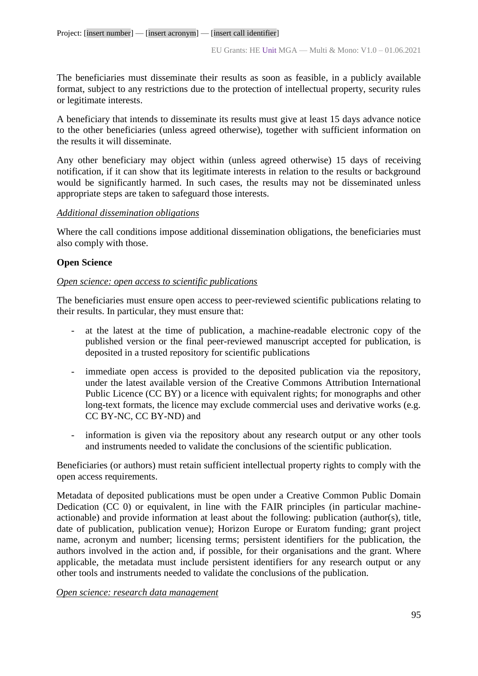The beneficiaries must disseminate their results as soon as feasible, in a publicly available format, subject to any restrictions due to the protection of intellectual property, security rules or legitimate interests.

A beneficiary that intends to disseminate its results must give at least 15 days advance notice to the other beneficiaries (unless agreed otherwise), together with sufficient information on the results it will disseminate.

Any other beneficiary may object within (unless agreed otherwise) 15 days of receiving notification, if it can show that its legitimate interests in relation to the results or background would be significantly harmed. In such cases, the results may not be disseminated unless appropriate steps are taken to safeguard those interests.

# *Additional dissemination obligations*

Where the call conditions impose additional dissemination obligations, the beneficiaries must also comply with those.

# **Open Science**

### *Open science: open access to scientific publications*

The beneficiaries must ensure open access to peer-reviewed scientific publications relating to their results. In particular, they must ensure that:

- at the latest at the time of publication, a machine-readable electronic copy of the published version or the final peer-reviewed manuscript accepted for publication, is deposited in a trusted repository for scientific publications
- immediate open access is provided to the deposited publication via the repository, under the latest available version of the Creative Commons Attribution International Public Licence (CC BY) or a licence with equivalent rights; for monographs and other long-text formats, the licence may exclude commercial uses and derivative works (e.g. CC BY-NC, CC BY-ND) and
- information is given via the repository about any research output or any other tools and instruments needed to validate the conclusions of the scientific publication.

Beneficiaries (or authors) must retain sufficient intellectual property rights to comply with the open access requirements.

Metadata of deposited publications must be open under a Creative Common Public Domain Dedication (CC 0) or equivalent, in line with the FAIR principles (in particular machineactionable) and provide information at least about the following: publication (author(s), title, date of publication, publication venue); Horizon Europe or Euratom funding; grant project name, acronym and number; licensing terms; persistent identifiers for the publication, the authors involved in the action and, if possible, for their organisations and the grant. Where applicable, the metadata must include persistent identifiers for any research output or any other tools and instruments needed to validate the conclusions of the publication.

### *Open science: research data management*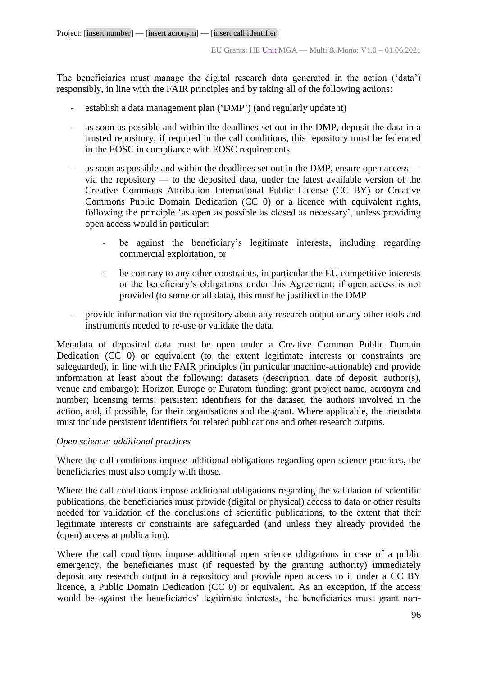The beneficiaries must manage the digital research data generated in the action ('data') responsibly, in line with the FAIR principles and by taking all of the following actions:

- establish a data management plan ('DMP') (and regularly update it)
- as soon as possible and within the deadlines set out in the DMP, deposit the data in a trusted repository; if required in the call conditions, this repository must be federated in the EOSC in compliance with EOSC requirements
- as soon as possible and within the deadlines set out in the DMP, ensure open access via the repository — to the deposited data, under the latest available version of the Creative Commons Attribution International Public License (CC BY) or Creative Commons Public Domain Dedication (CC 0) or a licence with equivalent rights, following the principle 'as open as possible as closed as necessary', unless providing open access would in particular:
	- be against the beneficiary's legitimate interests, including regarding commercial exploitation, or
	- be contrary to any other constraints, in particular the EU competitive interests or the beneficiary's obligations under this Agreement; if open access is not provided (to some or all data), this must be justified in the DMP
- provide information via the repository about any research output or any other tools and instruments needed to re-use or validate the data.

Metadata of deposited data must be open under a Creative Common Public Domain Dedication (CC 0) or equivalent (to the extent legitimate interests or constraints are safeguarded), in line with the FAIR principles (in particular machine-actionable) and provide information at least about the following: datasets (description, date of deposit, author(s), venue and embargo); Horizon Europe or Euratom funding; grant project name, acronym and number; licensing terms; persistent identifiers for the dataset, the authors involved in the action, and, if possible, for their organisations and the grant. Where applicable, the metadata must include persistent identifiers for related publications and other research outputs.

### *Open science: additional practices*

Where the call conditions impose additional obligations regarding open science practices, the beneficiaries must also comply with those.

Where the call conditions impose additional obligations regarding the validation of scientific publications, the beneficiaries must provide (digital or physical) access to data or other results needed for validation of the conclusions of scientific publications, to the extent that their legitimate interests or constraints are safeguarded (and unless they already provided the (open) access at publication).

Where the call conditions impose additional open science obligations in case of a public emergency, the beneficiaries must (if requested by the granting authority) immediately deposit any research output in a repository and provide open access to it under a CC BY licence, a Public Domain Dedication (CC 0) or equivalent. As an exception, if the access would be against the beneficiaries' legitimate interests, the beneficiaries must grant non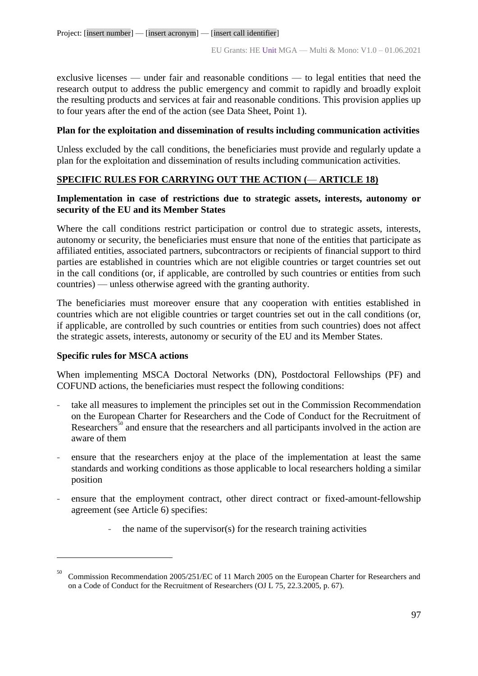exclusive licenses — under fair and reasonable conditions — to legal entities that need the research output to address the public emergency and commit to rapidly and broadly exploit the resulting products and services at fair and reasonable conditions. This provision applies up to four years after the end of the action (see Data Sheet, Point 1).

# **Plan for the exploitation and dissemination of results including communication activities**

Unless excluded by the call conditions, the beneficiaries must provide and regularly update a plan for the exploitation and dissemination of results including communication activities.

# **SPECIFIC RULES FOR CARRYING OUT THE ACTION (**— **ARTICLE 18)**

# **Implementation in case of restrictions due to strategic assets, interests, autonomy or security of the EU and its Member States**

Where the call conditions restrict participation or control due to strategic assets, interests, autonomy or security, the beneficiaries must ensure that none of the entities that participate as affiliated entities, associated partners, subcontractors or recipients of financial support to third parties are established in countries which are not eligible countries or target countries set out in the call conditions (or, if applicable, are controlled by such countries or entities from such countries) — unless otherwise agreed with the granting authority.

The beneficiaries must moreover ensure that any cooperation with entities established in countries which are not eligible countries or target countries set out in the call conditions (or, if applicable, are controlled by such countries or entities from such countries) does not affect the strategic assets, interests, autonomy or security of the EU and its Member States.

### **Specific rules for MSCA actions**

1

When implementing MSCA Doctoral Networks (DN), Postdoctoral Fellowships (PF) and COFUND actions, the beneficiaries must respect the following conditions:

- take all measures to implement the principles set out in the Commission Recommendation on the European Charter for Researchers and the Code of Conduct for the Recruitment of Researchers<sup>50</sup> and ensure that the researchers and all participants involved in the action are aware of them
- ensure that the researchers enjoy at the place of the implementation at least the same standards and working conditions as those applicable to local researchers holding a similar position
- ensure that the employment contract, other direct contract or fixed-amount-fellowship agreement (see Article 6) specifies:
	- the name of the supervisor(s) for the research training activities

<sup>50</sup> Commission Recommendation 2005/251/EC of 11 March 2005 on the European Charter for Researchers and on a Code of Conduct for the Recruitment of Researchers (OJ L 75, 22.3.2005, p. 67).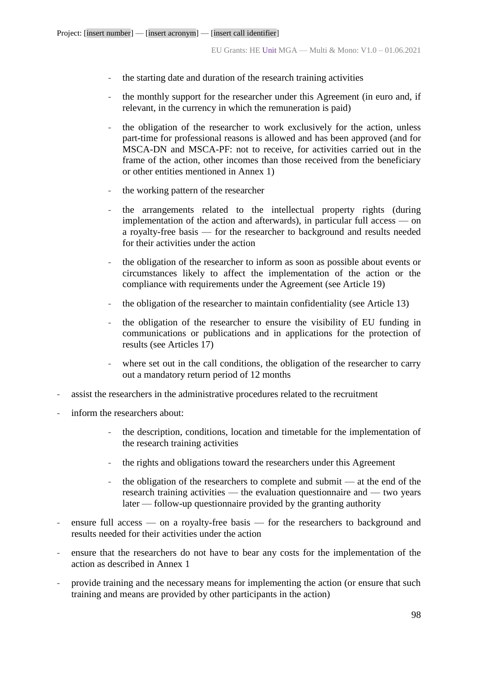- the starting date and duration of the research training activities
- the monthly support for the researcher under this Agreement (in euro and, if relevant, in the currency in which the remuneration is paid)
- the obligation of the researcher to work exclusively for the action, unless part-time for professional reasons is allowed and has been approved (and for MSCA-DN and MSCA-PF: not to receive, for activities carried out in the frame of the action, other incomes than those received from the beneficiary or other entities mentioned in Annex 1)
- the working pattern of the researcher
- the arrangements related to the intellectual property rights (during implementation of the action and afterwards), in particular full access — on a royalty-free basis — for the researcher to background and results needed for their activities under the action
- the obligation of the researcher to inform as soon as possible about events or circumstances likely to affect the implementation of the action or the compliance with requirements under the Agreement (see Article 19)
- the obligation of the researcher to maintain confidentiality (see Article 13)
- the obligation of the researcher to ensure the visibility of EU funding in communications or publications and in applications for the protection of results (see Articles 17)
- where set out in the call conditions, the obligation of the researcher to carry out a mandatory return period of 12 months
- assist the researchers in the administrative procedures related to the recruitment
- inform the researchers about:
	- the description, conditions, location and timetable for the implementation of the research training activities
	- the rights and obligations toward the researchers under this Agreement
	- the obligation of the researchers to complete and submit  $-$  at the end of the research training activities — the evaluation questionnaire and — two years later — follow-up questionnaire provided by the granting authority
- ensure full access on a royalty-free basis for the researchers to background and results needed for their activities under the action
- ensure that the researchers do not have to bear any costs for the implementation of the action as described in Annex 1
- provide training and the necessary means for implementing the action (or ensure that such training and means are provided by other participants in the action)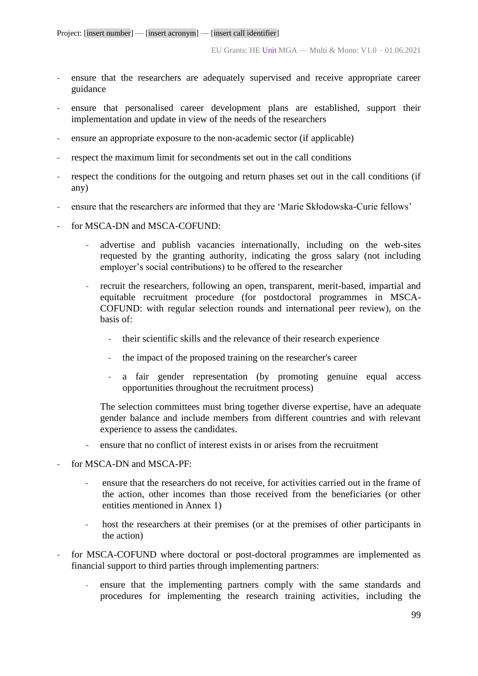- ensure that the researchers are adequately supervised and receive appropriate career guidance
- ensure that personalised career development plans are established, support their implementation and update in view of the needs of the researchers
- ensure an appropriate exposure to the non-academic sector (if applicable)
- respect the maximum limit for secondments set out in the call conditions
- respect the conditions for the outgoing and return phases set out in the call conditions (if any)
- ensure that the researchers are informed that they are 'Marie Skłodowska-Curie fellows'
- for MSCA-DN and MSCA-COFUND:
	- advertise and publish vacancies internationally, including on the web-sites requested by the granting authority, indicating the gross salary (not including employer's social contributions) to be offered to the researcher
	- recruit the researchers, following an open, transparent, merit-based, impartial and equitable recruitment procedure (for postdoctoral programmes in MSCA-COFUND: with regular selection rounds and international peer review), on the basis of:
		- their scientific skills and the relevance of their research experience
		- the impact of the proposed training on the researcher's career
		- a fair gender representation (by promoting genuine equal access opportunities throughout the recruitment process)

The selection committees must bring together diverse expertise, have an adequate gender balance and include members from different countries and with relevant experience to assess the candidates.

- ensure that no conflict of interest exists in or arises from the recruitment
- for MSCA-DN and MSCA-PF:
	- ensure that the researchers do not receive, for activities carried out in the frame of the action, other incomes than those received from the beneficiaries (or other entities mentioned in Annex 1)
	- host the researchers at their premises (or at the premises of other participants in the action)
- for MSCA-COFUND where doctoral or post-doctoral programmes are implemented as financial support to third parties through implementing partners:
	- ensure that the implementing partners comply with the same standards and procedures for implementing the research training activities, including the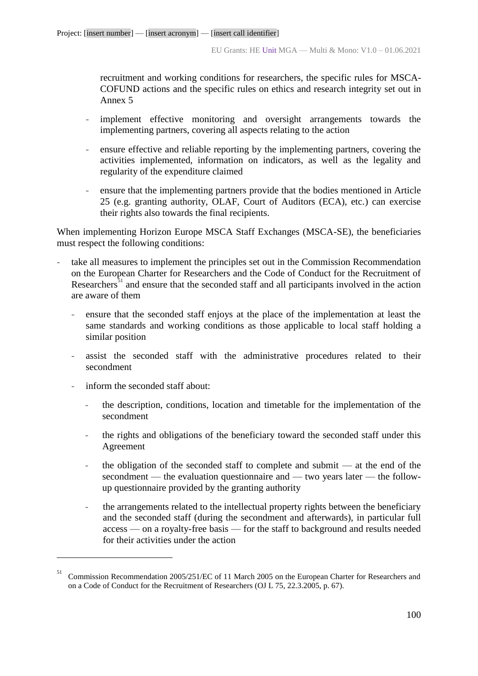recruitment and working conditions for researchers, the specific rules for MSCA-COFUND actions and the specific rules on ethics and research integrity set out in Annex 5

- implement effective monitoring and oversight arrangements towards the implementing partners, covering all aspects relating to the action
- ensure effective and reliable reporting by the implementing partners, covering the activities implemented, information on indicators, as well as the legality and regularity of the expenditure claimed
- ensure that the implementing partners provide that the bodies mentioned in Article 25 (e.g. granting authority, OLAF, Court of Auditors (ECA), etc.) can exercise their rights also towards the final recipients.

When implementing Horizon Europe MSCA Staff Exchanges (MSCA-SE), the beneficiaries must respect the following conditions:

- take all measures to implement the principles set out in the Commission Recommendation on the European Charter for Researchers and the Code of Conduct for the Recruitment of Researchers<sup>51</sup> and ensure that the seconded staff and all participants involved in the action are aware of them
	- ensure that the seconded staff enjoys at the place of the implementation at least the same standards and working conditions as those applicable to local staff holding a similar position
	- assist the seconded staff with the administrative procedures related to their secondment
	- inform the seconded staff about:

1

- the description, conditions, location and timetable for the implementation of the secondment
- the rights and obligations of the beneficiary toward the seconded staff under this Agreement
- the obligation of the seconded staff to complete and submit  $-$  at the end of the secondment — the evaluation questionnaire and — two years later — the followup questionnaire provided by the granting authority
- the arrangements related to the intellectual property rights between the beneficiary and the seconded staff (during the secondment and afterwards), in particular full access — on a royalty-free basis — for the staff to background and results needed for their activities under the action

<sup>51</sup> Commission Recommendation 2005/251/EC of 11 March 2005 on the European Charter for Researchers and on a Code of Conduct for the Recruitment of Researchers (OJ L 75, 22.3.2005, p. 67).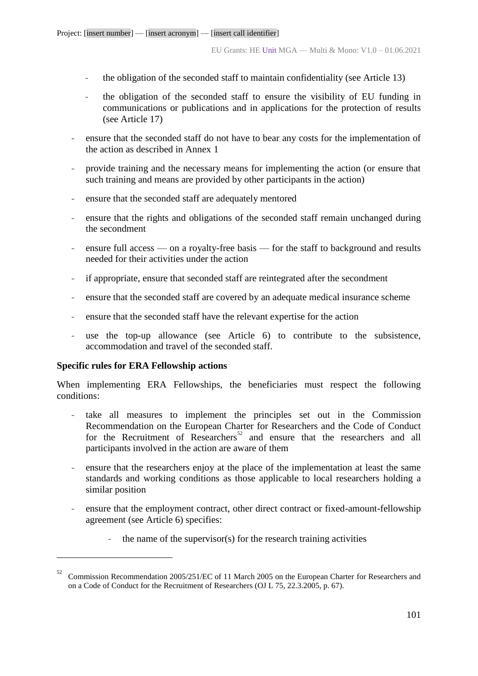- the obligation of the seconded staff to maintain confidentiality (see Article 13)
- the obligation of the seconded staff to ensure the visibility of EU funding in communications or publications and in applications for the protection of results (see Article 17)
- ensure that the seconded staff do not have to bear any costs for the implementation of the action as described in Annex 1
- provide training and the necessary means for implementing the action (or ensure that such training and means are provided by other participants in the action)
- ensure that the seconded staff are adequately mentored
- ensure that the rights and obligations of the seconded staff remain unchanged during the secondment
- ensure full access on a royalty-free basis for the staff to background and results needed for their activities under the action
- if appropriate, ensure that seconded staff are reintegrated after the secondment
- ensure that the seconded staff are covered by an adequate medical insurance scheme
- ensure that the seconded staff have the relevant expertise for the action
- use the top-up allowance (see Article 6) to contribute to the subsistence, accommodation and travel of the seconded staff.

#### **Specific rules for ERA Fellowship actions**

1

When implementing ERA Fellowships, the beneficiaries must respect the following conditions:

- take all measures to implement the principles set out in the Commission Recommendation on the European Charter for Researchers and the Code of Conduct for the Recruitment of Researchers<sup>52</sup> and ensure that the researchers and all participants involved in the action are aware of them
- ensure that the researchers enjoy at the place of the implementation at least the same standards and working conditions as those applicable to local researchers holding a similar position
- ensure that the employment contract, other direct contract or fixed-amount-fellowship agreement (see Article 6) specifies:
	- the name of the supervisor $(s)$  for the research training activities

<sup>52</sup> Commission Recommendation 2005/251/EC of 11 March 2005 on the European Charter for Researchers and on a Code of Conduct for the Recruitment of Researchers (OJ L 75, 22.3.2005, p. 67).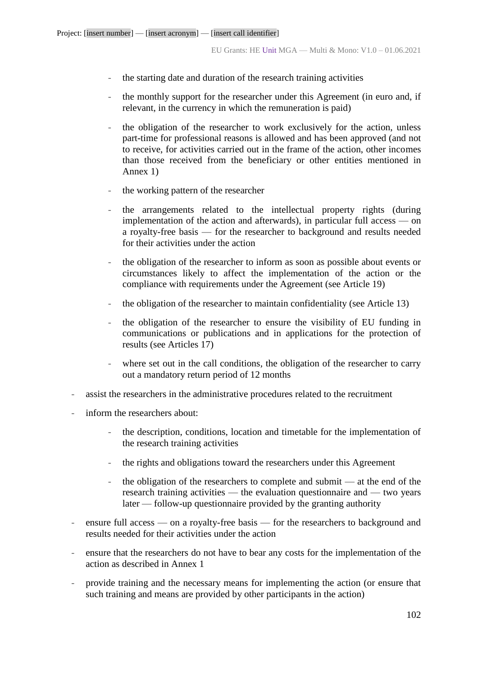- the starting date and duration of the research training activities
- the monthly support for the researcher under this Agreement (in euro and, if relevant, in the currency in which the remuneration is paid)
- the obligation of the researcher to work exclusively for the action, unless part-time for professional reasons is allowed and has been approved (and not to receive, for activities carried out in the frame of the action, other incomes than those received from the beneficiary or other entities mentioned in Annex 1)
- the working pattern of the researcher
- the arrangements related to the intellectual property rights (during implementation of the action and afterwards), in particular full access — on a royalty-free basis — for the researcher to background and results needed for their activities under the action
- the obligation of the researcher to inform as soon as possible about events or circumstances likely to affect the implementation of the action or the compliance with requirements under the Agreement (see Article 19)
- the obligation of the researcher to maintain confidentiality (see Article 13)
- the obligation of the researcher to ensure the visibility of EU funding in communications or publications and in applications for the protection of results (see Articles 17)
- where set out in the call conditions, the obligation of the researcher to carry out a mandatory return period of 12 months
- assist the researchers in the administrative procedures related to the recruitment
- inform the researchers about:
	- the description, conditions, location and timetable for the implementation of the research training activities
	- the rights and obligations toward the researchers under this Agreement
	- the obligation of the researchers to complete and submit  $-$  at the end of the research training activities — the evaluation questionnaire and — two years later — follow-up questionnaire provided by the granting authority
- ensure full access on a royalty-free basis for the researchers to background and results needed for their activities under the action
- ensure that the researchers do not have to bear any costs for the implementation of the action as described in Annex 1
- provide training and the necessary means for implementing the action (or ensure that such training and means are provided by other participants in the action)